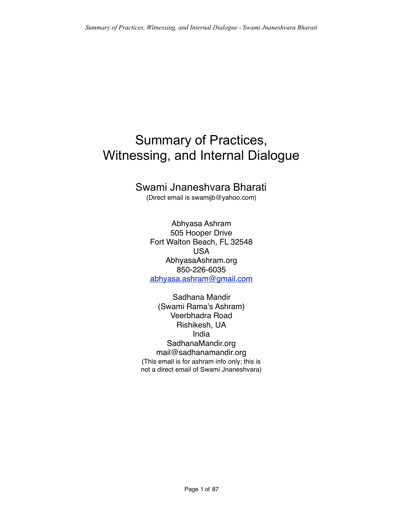## Summary of Practices, Witnessing, and Internal Dialogue

## Swami Jnaneshvara Bharati

(Direct email is swamijb@yahoo.com)

Abhyasa Ashram 505 Hooper Drive Fort Walton Beach, FL 32548 USA AbhyasaAshram.org 850-226-6035 [abhyasa.ashram@gmail.com](mailto:abhyasa.ashram@gmail.com)

Sadhana Mandir (Swami Rama's Ashram) Veerbhadra Road Rishikesh, UA India SadhanaMandir.org mail@sadhanamandir.org (This email is for ashram info only; this is not a direct email of Swami Jnaneshvara)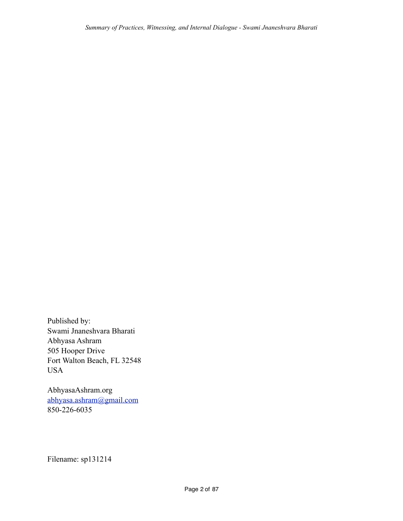Published by: Swami Jnaneshvara Bharati Abhyasa Ashram 505 Hooper Drive Fort Walton Beach, FL 32548 USA

AbhyasaAshram.org [abhyasa.ashram@gmail.com](mailto:abhyasa.ashram@gmail.com) 850-226-6035

Filename: sp131214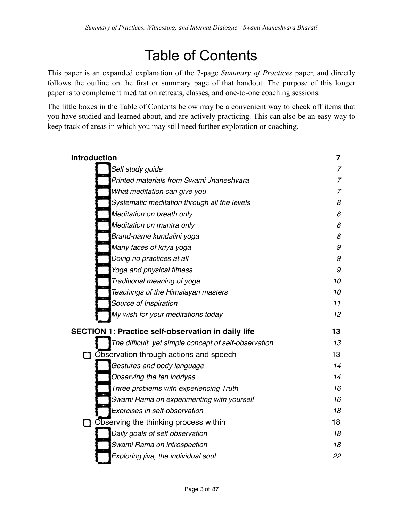# Table of Contents

This paper is an expanded explanation of the 7-page *Summary of Practices* paper, and directly follows the outline on the first or summary page of that handout. The purpose of this longer paper is to complement meditation retreats, classes, and one-to-one coaching sessions.

The little boxes in the Table of Contents below may be a convenient way to check off items that you have studied and learned about, and are actively practicing. This can also be an easy way to keep track of areas in which you may still need further exploration or coaching.

| <b>Introduction</b> |                                                           | 7              |
|---------------------|-----------------------------------------------------------|----------------|
|                     | Self study guide                                          | 7              |
|                     | Printed materials from Swami Jnaneshvara                  | $\overline{7}$ |
|                     | What meditation can give you                              | 7              |
|                     | Systematic meditation through all the levels              | 8              |
|                     | Meditation on breath only                                 | 8              |
|                     | Meditation on mantra only                                 | 8              |
|                     | Brand-name kundalini yoga                                 | 8              |
|                     | Many faces of kriya yoga                                  | 9              |
|                     | Doing no practices at all                                 | 9              |
|                     | Yoga and physical fitness                                 | 9              |
|                     | Traditional meaning of yoga                               | 10             |
|                     | Teachings of the Himalayan masters                        | 10             |
|                     | Source of Inspiration                                     | 11             |
|                     | My wish for your meditations today                        | 12             |
|                     | <b>SECTION 1: Practice self-observation in daily life</b> | 13             |
|                     | The difficult, yet simple concept of self-observation     | 13             |
|                     | <b>D</b> Observation through actions and speech           | 13             |
|                     | Gestures and body language                                | 14             |
|                     | Observing the ten indriyas                                | 14             |
|                     | Three problems with experiencing Truth                    | 16             |
|                     | Swami Rama on experimenting with yourself                 | 16             |
|                     | Exercises in self-observation                             | 18             |
|                     | Observing the thinking process within                     | 18             |
|                     | Daily goals of self observation                           | 18             |
|                     | Swami Rama on introspection                               | 18             |
|                     | Exploring jiva, the individual soul                       | 22             |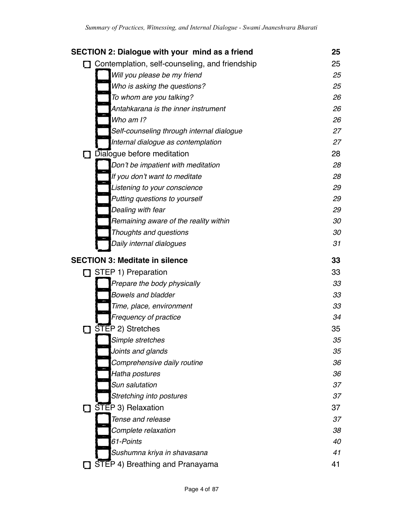|   | <b>SECTION 2: Dialogue with your mind as a friend</b> | 25 |
|---|-------------------------------------------------------|----|
|   | Contemplation, self-counseling, and friendship        | 25 |
|   | Will you please be my friend                          | 25 |
|   | Who is asking the questions?                          | 25 |
|   | To whom are you talking?                              | 26 |
|   | Antahkarana is the inner instrument                   | 26 |
|   | Who am I?                                             | 26 |
|   | Self-counseling through internal dialogue             | 27 |
|   | Internal dialogue as contemplation                    | 27 |
| П | Dialogue before meditation                            | 28 |
|   | Don't be impatient with meditation                    | 28 |
|   | If you don't want to meditate                         | 28 |
|   | Listening to your conscience                          | 29 |
|   | Putting questions to yourself                         | 29 |
|   | Dealing with fear                                     | 29 |
|   | Remaining aware of the reality within                 | 30 |
|   | Thoughts and questions                                | 30 |
|   | Daily internal dialogues                              | 31 |
|   | <b>SECTION 3: Meditate in silence</b>                 | 33 |
|   | STEP 1) Preparation                                   | 33 |
|   | Prepare the body physically                           | 33 |
|   | <b>Bowels and bladder</b>                             | 33 |
|   | Time, place, environment                              | 33 |
|   | Frequency of practice                                 | 34 |
|   | STEP 2) Stretches                                     | 35 |
|   | Simple stretches                                      | 35 |
|   | Joints and glands                                     | 35 |
|   | Comprehensive daily routine                           | 36 |
|   | Hatha postures                                        | 36 |
|   | Sun salutation                                        | 37 |
|   | Stretching into postures                              | 37 |
|   | STEP 3) Relaxation                                    | 37 |
|   | Tense and release                                     | 37 |
|   | Complete relaxation                                   | 38 |
|   | 61-Points                                             | 40 |
|   | Sushumna kriya in shavasana                           | 41 |
|   | STEP 4) Breathing and Pranayama                       | 41 |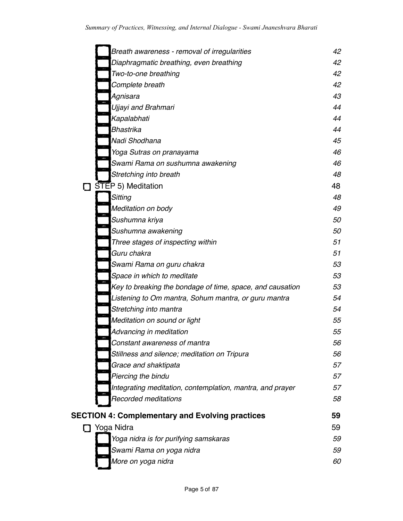| Breath awareness - removal of irregularities              | 42 |
|-----------------------------------------------------------|----|
| Diaphragmatic breathing, even breathing                   | 42 |
| Two-to-one breathing                                      | 42 |
| Complete breath                                           | 42 |
| Agnisara                                                  | 43 |
| Ujjayi and Brahmari                                       | 44 |
| Kapalabhati                                               | 44 |
| <b>Bhastrika</b>                                          | 44 |
| Nadi Shodhana                                             | 45 |
| Yoga Sutras on pranayama                                  | 46 |
| Swami Rama on sushumna awakening                          | 46 |
| Stretching into breath                                    | 48 |
| STEP 5) Meditation                                        | 48 |
| Sitting                                                   | 48 |
| Meditation on body                                        | 49 |
| Sushumna kriya                                            | 50 |
| Sushumna awakening                                        | 50 |
| Three stages of inspecting within                         | 51 |
| Guru chakra                                               | 51 |
| Swami Rama on guru chakra                                 | 53 |
| Space in which to meditate                                | 53 |
| Key to breaking the bondage of time, space, and causation | 53 |
| Listening to Om mantra, Sohum mantra, or guru mantra      | 54 |
| Stretching into mantra                                    | 54 |
| Meditation on sound or light                              | 55 |
| Advancing in meditation                                   | 55 |
| Constant awareness of mantra                              | 56 |
| Stillness and silence; meditation on Tripura              | 56 |
| Grace and shaktipata                                      | 57 |
| Piercing the bindu                                        | 57 |
| Integrating meditation, contemplation, mantra, and prayer | 57 |
| Recorded meditations                                      | 58 |
| <b>SECTION 4: Complementary and Evolving practices</b>    | 59 |
| □ Yoga Nidra                                              | 59 |
| Yoga nidra is for purifying samskaras                     | 59 |
| Swami Rama on yoga nidra                                  | 59 |
| More on yoga nidra                                        | 60 |
|                                                           |    |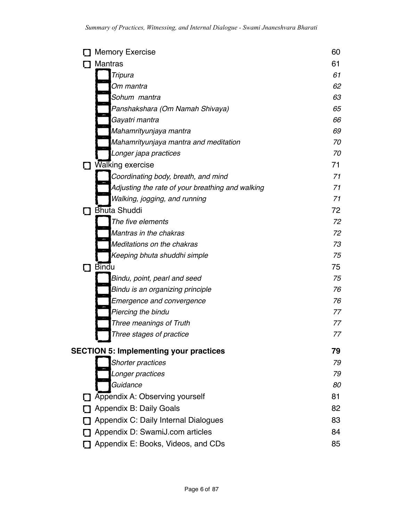| <b>Memory Exercise</b>                           | 60 |
|--------------------------------------------------|----|
| <b>Mantras</b>                                   | 61 |
| Tripura                                          | 61 |
| Om mantra                                        | 62 |
| Sohum mantra                                     | 63 |
| Panshakshara (Om Namah Shivaya)                  | 65 |
| Gayatri mantra                                   | 66 |
| Mahamrityunjaya mantra                           | 69 |
| Mahamrityunjaya mantra and meditation            | 70 |
| Longer japa practices                            | 70 |
| Walking exercise                                 | 71 |
| Coordinating body, breath, and mind              | 71 |
| Adjusting the rate of your breathing and walking | 71 |
| Walking, jogging, and running                    | 71 |
| <b>Bhuta Shuddi</b>                              | 72 |
| The five elements                                | 72 |
| Mantras in the chakras                           | 72 |
| Meditations on the chakras                       | 73 |
| Keeping bhuta shuddhi simple                     | 75 |
| <b>Bindu</b>                                     | 75 |
| Bindu, point, pearl and seed                     | 75 |
| Bindu is an organizing principle                 | 76 |
| Emergence and convergence                        | 76 |
| Piercing the bindu                               | 77 |
| Three meanings of Truth                          | 77 |
| Three stages of practice                         | 77 |
| <b>SECTION 5: Implementing your practices</b>    | 79 |
| Shorter practices                                | 79 |
| Longer practices                                 | 79 |
| Guidance                                         | 80 |
| Appendix A: Observing yourself                   | 81 |
| Appendix B: Daily Goals                          | 82 |
| Appendix C: Daily Internal Dialogues             | 83 |
| Appendix D: SwamiJ.com articles                  | 84 |
| Appendix E: Books, Videos, and CDs               | 85 |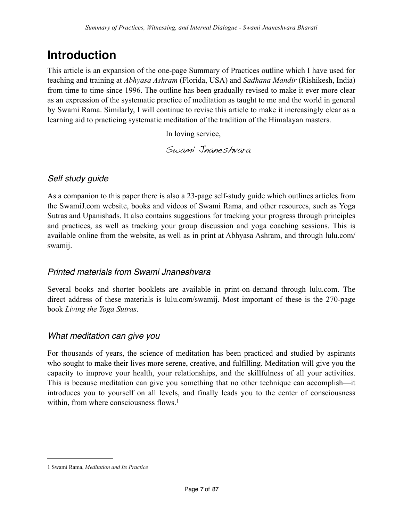## <span id="page-6-0"></span>**Introduction**

This article is an expansion of the one-page Summary of Practices outline which I have used for teaching and training at *Abhyasa Ashram* (Florida, USA) and *Sadhana Mandir* (Rishikesh, India) from time to time since 1996. The outline has been gradually revised to make it ever more clear as an expression of the systematic practice of meditation as taught to me and the world in general by Swami Rama. Similarly, I will continue to revise this article to make it increasingly clear as a learning aid to practicing systematic meditation of the tradition of the Himalayan masters.

In loving service,

Swami Jnaneshvara

## <span id="page-6-1"></span>*Self study guide*

As a companion to this paper there is also a 23-page self-study guide which outlines articles from the SwamiJ.com website, books and videos of Swami Rama, and other resources, such as Yoga Sutras and Upanishads. It also contains suggestions for tracking your progress through principles and practices, as well as tracking your group discussion and yoga coaching sessions. This is available online from the website, as well as in print at Abhyasa Ashram, and through lulu.com/ swamij.

## <span id="page-6-2"></span>*Printed materials from Swami Jnaneshvara*

Several books and shorter booklets are available in print-on-demand through lulu.com. The direct address of these materials is lulu.com/swamij. Most important of these is the 270-page book *Living the Yoga Sutras*.

## <span id="page-6-3"></span>*What meditation can give you*

For thousands of years, the science of meditation has been practiced and studied by aspirants who sought to make their lives more serene, creative, and fulfilling. Meditation will give you the capacity to improve your health, your relationships, and the skillfulness of all your activities. This is because meditation can give you something that no other technique can accomplish—it introduces you to yourself on all levels, and finally leads you to the center of consciousness within, from where consciousness flows.<sup>[1](#page-6-4)</sup>

<span id="page-6-4"></span><sup>1</sup> Swami Rama, *Meditation and Its Practice*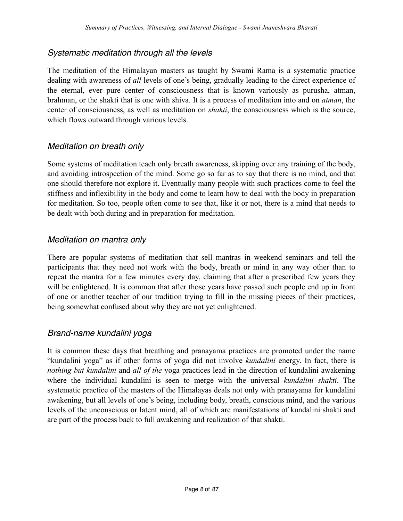## <span id="page-7-0"></span>*Systematic meditation through all the levels*

The meditation of the Himalayan masters as taught by Swami Rama is a systematic practice dealing with awareness of *all* levels of one's being, gradually leading to the direct experience of the eternal, ever pure center of consciousness that is known variously as purusha, atman, brahman, or the shakti that is one with shiva. It is a process of meditation into and on *atman*, the center of consciousness, as well as meditation on *shakti*, the consciousness which is the source, which flows outward through various levels.

### <span id="page-7-1"></span>*Meditation on breath only*

Some systems of meditation teach only breath awareness, skipping over any training of the body, and avoiding introspection of the mind. Some go so far as to say that there is no mind, and that one should therefore not explore it. Eventually many people with such practices come to feel the stiffness and inflexibility in the body and come to learn how to deal with the body in preparation for meditation. So too, people often come to see that, like it or not, there is a mind that needs to be dealt with both during and in preparation for meditation.

## <span id="page-7-2"></span>*Meditation on mantra only*

There are popular systems of meditation that sell mantras in weekend seminars and tell the participants that they need not work with the body, breath or mind in any way other than to repeat the mantra for a few minutes every day, claiming that after a prescribed few years they will be enlightened. It is common that after those years have passed such people end up in front of one or another teacher of our tradition trying to fill in the missing pieces of their practices, being somewhat confused about why they are not yet enlightened.

## <span id="page-7-3"></span>*Brand-name kundalini yoga*

It is common these days that breathing and pranayama practices are promoted under the name "kundalini yoga" as if other forms of yoga did not involve *kundalini* energy. In fact, there is *nothing but kundalini* and *all of the* yoga practices lead in the direction of kundalini awakening where the individual kundalini is seen to merge with the universal *kundalini shakti*. The systematic practice of the masters of the Himalayas deals not only with pranayama for kundalini awakening, but all levels of one's being, including body, breath, conscious mind, and the various levels of the unconscious or latent mind, all of which are manifestations of kundalini shakti and are part of the process back to full awakening and realization of that shakti.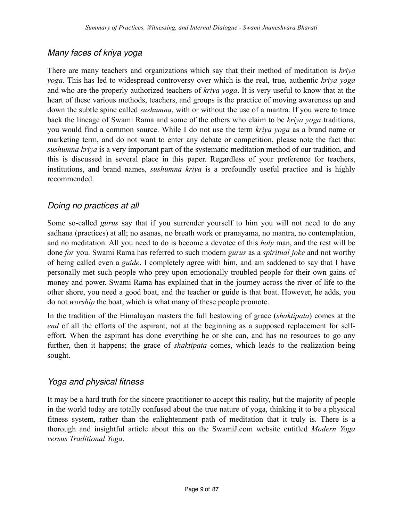## <span id="page-8-0"></span>*Many faces of kriya yoga*

There are many teachers and organizations which say that their method of meditation is *kriya yoga*. This has led to widespread controversy over which is the real, true, authentic *kriya yoga* and who are the properly authorized teachers of *kriya yoga*. It is very useful to know that at the heart of these various methods, teachers, and groups is the practice of moving awareness up and down the subtle spine called *sushumna*, with or without the use of a mantra. If you were to trace back the lineage of Swami Rama and some of the others who claim to be *kriya yoga* traditions, you would find a common source. While I do not use the term *kriya yoga* as a brand name or marketing term, and do not want to enter any debate or competition, please note the fact that *sushumna kriya* is a very important part of the systematic meditation method of our tradition, and this is discussed in several place in this paper. Regardless of your preference for teachers, institutions, and brand names, *sushumna kriya* is a profoundly useful practice and is highly recommended.

## <span id="page-8-1"></span>*Doing no practices at all*

Some so-called *gurus* say that if you surrender yourself to him you will not need to do any sadhana (practices) at all; no asanas, no breath work or pranayama, no mantra, no contemplation, and no meditation. All you need to do is become a devotee of this *holy* man, and the rest will be done *for* you. Swami Rama has referred to such modern *gurus* as a *spiritual joke* and not worthy of being called even a *guide*. I completely agree with him, and am saddened to say that I have personally met such people who prey upon emotionally troubled people for their own gains of money and power. Swami Rama has explained that in the journey across the river of life to the other shore, you need a good boat, and the teacher or guide is that boat. However, he adds, you do not *worship* the boat, which is what many of these people promote.

In the tradition of the Himalayan masters the full bestowing of grace (*shaktipata*) comes at the *end* of all the efforts of the aspirant, not at the beginning as a supposed replacement for selfeffort. When the aspirant has done everything he or she can, and has no resources to go any further, then it happens; the grace of *shaktipata* comes, which leads to the realization being sought.

## <span id="page-8-2"></span>*Yoga and physical fitness*

It may be a hard truth for the sincere practitioner to accept this reality, but the majority of people in the world today are totally confused about the true nature of yoga, thinking it to be a physical fitness system, rather than the enlightenment path of meditation that it truly is. There is a thorough and insightful article about this on the SwamiJ.com website entitled *Modern Yoga versus Traditional Yoga*.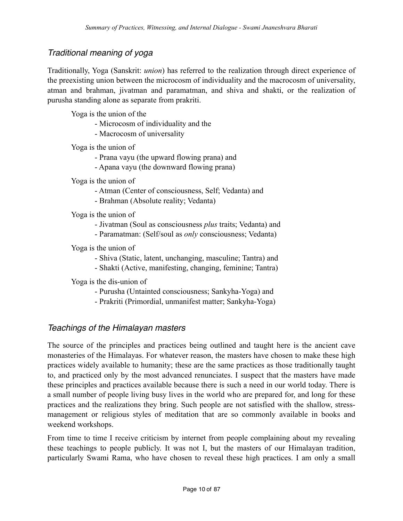## <span id="page-9-0"></span>*Traditional meaning of yoga*

Traditionally, Yoga (Sanskrit: *union*) has referred to the realization through direct experience of the preexisting union between the microcosm of individuality and the macrocosm of universality, atman and brahman, jivatman and paramatman, and shiva and shakti, or the realization of purusha standing alone as separate from prakriti.

Yoga is the union of the

- Microcosm of individuality and the
- Macrocosm of universality

Yoga is the union of

- Prana vayu (the upward flowing prana) and
- Apana vayu (the downward flowing prana)

Yoga is the union of

- Atman (Center of consciousness, Self; Vedanta) and
- Brahman (Absolute reality; Vedanta)

Yoga is the union of

- Jivatman (Soul as consciousness *plus* traits; Vedanta) and
- Paramatman: (Self/soul as *only* consciousness; Vedanta)

Yoga is the union of

- Shiva (Static, latent, unchanging, masculine; Tantra) and
- Shakti (Active, manifesting, changing, feminine; Tantra)

Yoga is the dis-union of

- Purusha (Untainted consciousness; Sankyha-Yoga) and
- Prakriti (Primordial, unmanifest matter; Sankyha-Yoga)

## <span id="page-9-1"></span>*Teachings of the Himalayan masters*

The source of the principles and practices being outlined and taught here is the ancient cave monasteries of the Himalayas. For whatever reason, the masters have chosen to make these high practices widely available to humanity; these are the same practices as those traditionally taught to, and practiced only by the most advanced renunciates. I suspect that the masters have made these principles and practices available because there is such a need in our world today. There is a small number of people living busy lives in the world who are prepared for, and long for these practices and the realizations they bring. Such people are not satisfied with the shallow, stressmanagement or religious styles of meditation that are so commonly available in books and weekend workshops.

From time to time I receive criticism by internet from people complaining about my revealing these teachings to people publicly. It was not I, but the masters of our Himalayan tradition, particularly Swami Rama, who have chosen to reveal these high practices. I am only a small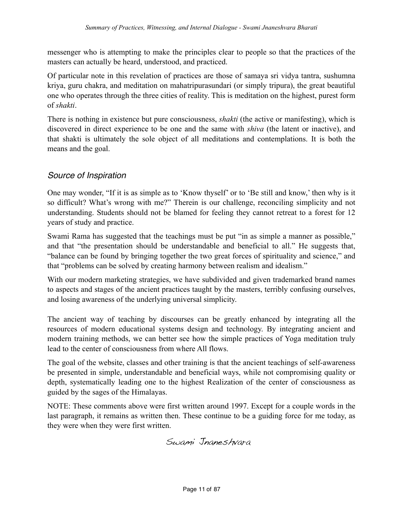messenger who is attempting to make the principles clear to people so that the practices of the masters can actually be heard, understood, and practiced.

Of particular note in this revelation of practices are those of samaya sri vidya tantra, sushumna kriya, guru chakra, and meditation on mahatripurasundari (or simply tripura), the great beautiful one who operates through the three cities of reality. This is meditation on the highest, purest form of *shakti*.

There is nothing in existence but pure consciousness, *shakti* (the active or manifesting), which is discovered in direct experience to be one and the same with *shiva* (the latent or inactive), and that shakti is ultimately the sole object of all meditations and contemplations. It is both the means and the goal.

## <span id="page-10-0"></span>*Source of Inspiration*

One may wonder, "If it is as simple as to 'Know thyself' or to 'Be still and know,' then why is it so difficult? What's wrong with me?" Therein is our challenge, reconciling simplicity and not understanding. Students should not be blamed for feeling they cannot retreat to a forest for 12 years of study and practice.

Swami Rama has suggested that the teachings must be put "in as simple a manner as possible," and that "the presentation should be understandable and beneficial to all." He suggests that, "balance can be found by bringing together the two great forces of spirituality and science," and that "problems can be solved by creating harmony between realism and idealism."

With our modern marketing strategies, we have subdivided and given trademarked brand names to aspects and stages of the ancient practices taught by the masters, terribly confusing ourselves, and losing awareness of the underlying universal simplicity.

The ancient way of teaching by discourses can be greatly enhanced by integrating all the resources of modern educational systems design and technology. By integrating ancient and modern training methods, we can better see how the simple practices of Yoga meditation truly lead to the center of consciousness from where All flows.

The goal of the website, classes and other training is that the ancient teachings of self-awareness be presented in simple, understandable and beneficial ways, while not compromising quality or depth, systematically leading one to the highest Realization of the center of consciousness as guided by the sages of the Himalayas.

NOTE: These comments above were first written around 1997. Except for a couple words in the last paragraph, it remains as written then. These continue to be a guiding force for me today, as they were when they were first written.

Swami Jnaneshvara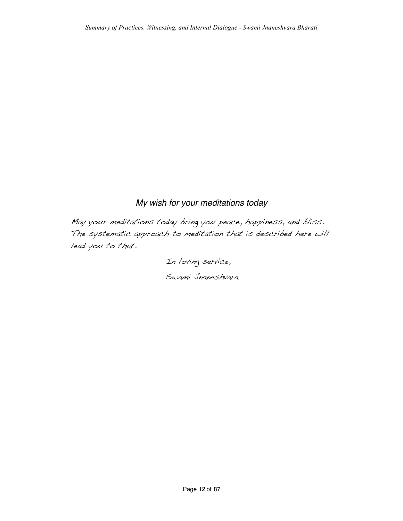## <span id="page-11-0"></span>*My wish for your meditations today*

May your meditations today bring you peace, happiness, and bliss. The systematic approach to meditation that is described here will lead you to that.

> In loving service, Swami Jnaneshvara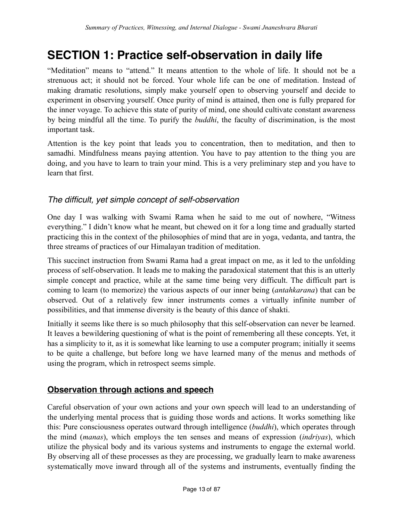## <span id="page-12-0"></span>**SECTION 1: Practice self-observation in daily life**

"Meditation" means to "attend." It means attention to the whole of life. It should not be a strenuous act; it should not be forced. Your whole life can be one of meditation. Instead of making dramatic resolutions, simply make yourself open to observing yourself and decide to experiment in observing yourself. Once purity of mind is attained, then one is fully prepared for the inner voyage. To achieve this state of purity of mind, one should cultivate constant awareness by being mindful all the time. To purify the *buddhi*, the faculty of discrimination, is the most important task.

Attention is the key point that leads you to concentration, then to meditation, and then to samadhi. Mindfulness means paying attention. You have to pay attention to the thing you are doing, and you have to learn to train your mind. This is a very preliminary step and you have to learn that first.

## <span id="page-12-1"></span>*The difficult, yet simple concept of self-observation*

One day I was walking with Swami Rama when he said to me out of nowhere, "Witness everything." I didn't know what he meant, but chewed on it for a long time and gradually started practicing this in the context of the philosophies of mind that are in yoga, vedanta, and tantra, the three streams of practices of our Himalayan tradition of meditation.

This succinct instruction from Swami Rama had a great impact on me, as it led to the unfolding process of self-observation. It leads me to making the paradoxical statement that this is an utterly simple concept and practice, while at the same time being very difficult. The difficult part is coming to learn (to memorize) the various aspects of our inner being (*antahkarana*) that can be observed. Out of a relatively few inner instruments comes a virtually infinite number of possibilities, and that immense diversity is the beauty of this dance of shakti.

Initially it seems like there is so much philosophy that this self-observation can never be learned. It leaves a bewildering questioning of what is the point of remembering all these concepts. Yet, it has a simplicity to it, as it is somewhat like learning to use a computer program; initially it seems to be quite a challenge, but before long we have learned many of the menus and methods of using the program, which in retrospect seems simple.

## <span id="page-12-2"></span>**Observation through actions and speech**

Careful observation of your own actions and your own speech will lead to an understanding of the underlying mental process that is guiding those words and actions. It works something like this: Pure consciousness operates outward through intelligence (*buddhi*), which operates through the mind (*manas*), which employs the ten senses and means of expression (*indriyas*), which utilize the physical body and its various systems and instruments to engage the external world. By observing all of these processes as they are processing, we gradually learn to make awareness systematically move inward through all of the systems and instruments, eventually finding the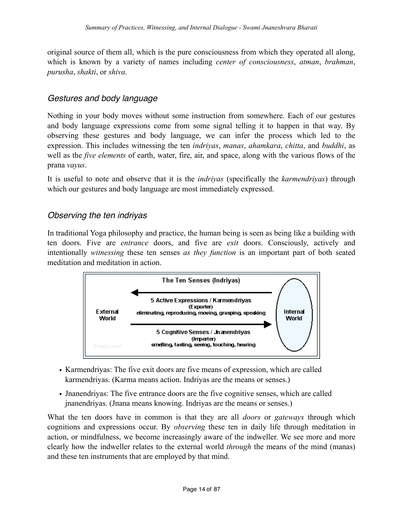original source of them all, which is the pure consciousness from which they operated all along, which is known by a variety of names including *center of consciousness*, *atman*, *brahman*, *purusha*, *shakti*, or *shiva*.

### <span id="page-13-0"></span>*Gestures and body language*

Nothing in your body moves without some instruction from somewhere. Each of our gestures and body language expressions come from some signal telling it to happen in that way. By observing these gestures and body language, we can infer the process which led to the expression. This includes witnessing the ten *indriyas*, *manas*, *ahamkara*, *chitta*, and *buddhi*, as well as the *five elements* of earth, water, fire, air, and space, along with the various flows of the prana *vayus*.

It is useful to note and observe that it is the *indriyas* (specifically the *karmendriyas*) through which our gestures and body language are most immediately expressed.

## <span id="page-13-1"></span>*Observing the ten indriyas*

In traditional Yoga philosophy and practice, the human being is seen as being like a building with ten doors. Five are *entrance* doors, and five are *exit* doors. Consciously, actively and intentionally *witnessing* these ten senses *as they function* is an important part of both seated meditation and meditation in action.



- Karmendriyas: The five exit doors are five means of expression, which are called karmendriyas. (Karma means action. Indriyas are the means or senses.)
- Jnanendriyas: The five entrance doors are the five cognitive senses, which are called jnanendriyas. (Jnana means knowing. Indriyas are the means or senses.)

What the ten doors have in common is that they are all *doors* or *gateways* through which cognitions and expressions occur. By *observing* these ten in daily life through meditation in action, or mindfulness, we become increasingly aware of the indweller. We see more and more clearly how the indweller relates to the external world *through* the means of the mind (manas) and these ten instruments that are employed by that mind.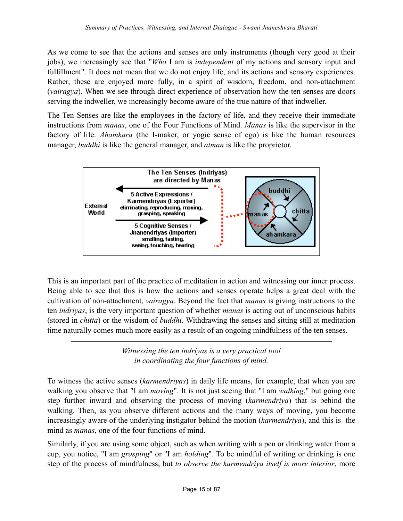As we come to see that the actions and senses are only instruments (though very good at their jobs), we increasingly see that "*Who* I am is *independent* of my actions and sensory input and fulfillment". It does not mean that we do not enjoy life, and its actions and sensory experiences. Rather, these are enjoyed more fully, in a spirit of wisdom, freedom, and non-attachment (*vairagya*). When we see through direct experience of observation how the ten senses are doors serving the indweller, we increasingly become aware of the true nature of that indweller.

The Ten Senses are like the employees in the factory of life, and they receive their immediate instructions from *manas*, one of the Four Functions of Mind. *Manas* is like the supervisor in the factory of life. *Ahamkara* (the I-maker, or yogic sense of ego) is like the human resources manager, *buddhi* is like the general manager, and *atman* is like the proprietor.



This is an important part of the practice of meditation in action and witnessing our inner process. Being able to see that this is how the actions and senses operate helps a great deal with the cultivation of non-attachment, *vairagya*. Beyond the fact that *manas* is giving instructions to the ten *indriyas*, is the very important question of whether *manas* is acting out of unconscious habits (stored in *chitta*) or the wisdom of *buddhi*. Withdrawing the senses and sitting still at meditation time naturally comes much more easily as a result of an ongoing mindfulness of the ten senses.

> *Witnessing the ten indriyas is a very practical tool in coordinating the four functions of mind.*

To witness the active senses (*karmendriyas*) in daily life means, for example, that when you are walking you observe that "I am *moving*". It is not just seeing that "I am *walking*," but going one step further inward and observing the process of moving (*karmendriya*) that is behind the walking. Then, as you observe different actions and the many ways of moving, you become increasingly aware of the underlying instigator behind the motion (*karmendriya*), and this is the mind as *manas*, one of the four functions of mind.

Similarly, if you are using some object, such as when writing with a pen or drinking water from a cup, you notice, "I am *grasping*" or "I am *holding*". To be mindful of writing or drinking is one step of the process of mindfulness, but *to observe the karmendriya itself is more interior*, more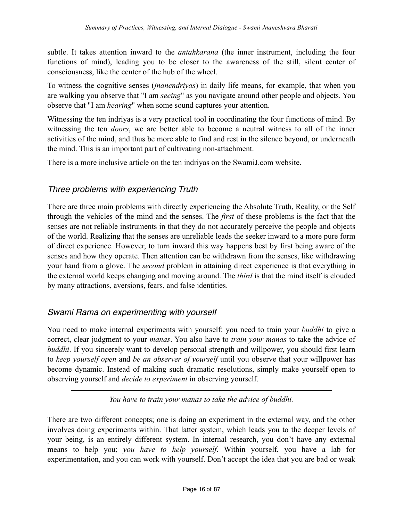subtle. It takes attention inward to the *antahkarana* (the inner instrument, including the four functions of mind), leading you to be closer to the awareness of the still, silent center of consciousness, like the center of the hub of the wheel.

To witness the cognitive senses (*jnanendriyas*) in daily life means, for example, that when you are walking you observe that "I am *seeing*" as you navigate around other people and objects. You observe that "I am *hearing*" when some sound captures your attention.

Witnessing the ten indriyas is a very practical tool in coordinating the four functions of mind. By witnessing the ten *doors*, we are better able to become a neutral witness to all of the inner activities of the mind, and thus be more able to find and rest in the silence beyond, or underneath the mind. This is an important part of cultivating non-attachment.

There is a more inclusive article on the ten indriyas on the SwamiJ.com website.

## <span id="page-15-0"></span>*Three problems with experiencing Truth*

There are three main problems with directly experiencing the Absolute Truth, Reality, or the Self through the vehicles of the mind and the senses. The *first* of these problems is the fact that the senses are not reliable instruments in that they do not accurately perceive the people and objects of the world. Realizing that the senses are unreliable leads the seeker inward to a more pure form of direct experience. However, to turn inward this way happens best by first being aware of the senses and how they operate. Then attention can be withdrawn from the senses, like withdrawing your hand from a glove. The *second* problem in attaining direct experience is that everything in the external world keeps changing and moving around. The *third* is that the mind itself is clouded by many attractions, aversions, fears, and false identities.

## <span id="page-15-1"></span>*Swami Rama on experimenting with yourself*

You need to make internal experiments with yourself: you need to train your *buddhi* to give a correct, clear judgment to your *manas*. You also have to *train your manas* to take the advice of *buddhi*. If you sincerely want to develop personal strength and willpower, you should first learn to *keep yourself open* and *be an observer of yourself* until you observe that your willpower has become dynamic. Instead of making such dramatic resolutions, simply make yourself open to observing yourself and *decide to experiment* in observing yourself.

*You have to train your manas to take the advice of buddhi.*

There are two different concepts; one is doing an experiment in the external way, and the other involves doing experiments within. That latter system, which leads you to the deeper levels of your being, is an entirely different system. In internal research, you don't have any external means to help you; *you have to help yourself*. Within yourself, you have a lab for experimentation, and you can work with yourself. Don't accept the idea that you are bad or weak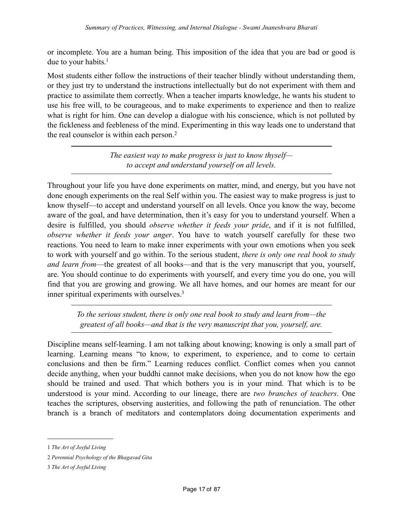or incomplete. You are a human being. This imposition of the idea that you are bad or good is due to your habits.<sup>1</sup>

Most students either follow the instructions of their teacher blindly without understanding them, or they just try to understand the instructions intellectually but do not experiment with them and practice to assimilate them correctly. When a teacher imparts knowledge, he wants his student to use his free will, to be courageous, and to make experiments to experience and then to realize what is right for him. One can develop a dialogue with his conscience, which is not polluted by the fickleness and feebleness of the mind. Experimenting in this way leads one to understand that the real counselor is within each person.[2](#page-16-1)

> *The easiest way to make progress is just to know thyself to accept and understand yourself on all levels.*

Throughout your life you have done experiments on matter, mind, and energy, but you have not done enough experiments on the real Self within you. The easiest way to make progress is just to know thyself—to accept and understand yourself on all levels. Once you know the way, become aware of the goal, and have determination, then it's easy for you to understand yourself. When a desire is fulfilled, you should *observe whether it feeds your pride*, and if it is not fulfilled, *observe whether it feeds your anger*. You have to watch yourself carefully for these two reactions. You need to learn to make inner experiments with your own emotions when you seek to work with yourself and go within. To the serious student, *there is only one real book to study and learn from*—the greatest of all books—and that is the very manuscript that you, yourself, are. You should continue to do experiments with yourself, and every time you do one, you will find that you are growing and growing. We all have homes, and our homes are meant for our inner spiritual experiments with ourselves[.3](#page-16-2)

*To the serious student, there is only one real book to study and learn from—the greatest of all books—and that is the very manuscript that you, yourself, are.*

Discipline means self-learning. I am not talking about knowing; knowing is only a small part of learning. Learning means "to know, to experiment, to experience, and to come to certain conclusions and then be firm." Learning reduces conflict. Conflict comes when you cannot decide anything, when your buddhi cannot make decisions, when you do not know how the ego should be trained and used. That which bothers you is in your mind. That which is to be understood is your mind. According to our lineage, there are *two branches of teachers*. One teaches the scriptures, observing austerities, and following the path of renunciation. The other branch is a branch of meditators and contemplators doing documentation experiments and

<span id="page-16-0"></span><sup>1</sup> *The Art of Joyful Living*

<span id="page-16-1"></span><sup>2</sup> *Perennial Psychology of the Bhagavad Gita*

<span id="page-16-2"></span><sup>3</sup> *The Art of Joyful Living*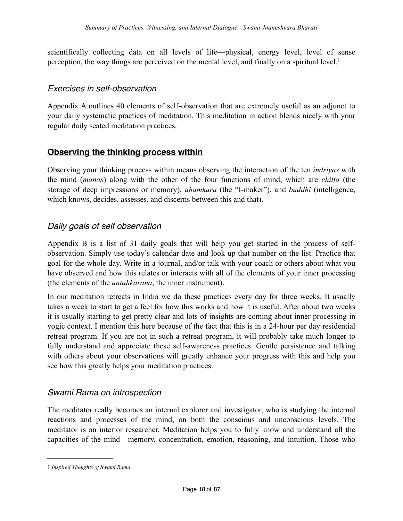scientifically collecting data on all levels of life—physical, energy level, level of sense perception, the way things are perceived on the mental level, and finally on a spiritual level.<sup>1</sup>

### <span id="page-17-0"></span>*Exercises in self-observation*

Appendix A outlines 40 elements of self-observation that are extremely useful as an adjunct to your daily systematic practices of meditation. This meditation in action blends nicely with your regular daily seated meditation practices.

## <span id="page-17-1"></span>**Observing the thinking process within**

Observing your thinking process within means observing the interaction of the ten *indriyas* with the mind (*manas*) along with the other of the four functions of mind, which are *chitta* (the storage of deep impressions or memory), *ahamkara* (the "I-maker"), and *buddhi* (intelligence, which knows, decides, assesses, and discerns between this and that).

## <span id="page-17-2"></span>*Daily goals of self observation*

Appendix B is a list of 31 daily goals that will help you get started in the process of selfobservation. Simply use today's calendar date and look up that number on the list. Practice that goal for the whole day. Write in a journal, and/or talk with your coach or others about what you have observed and how this relates or interacts with all of the elements of your inner processing (the elements of the *antahkarana*, the inner instrument).

In our meditation retreats in India we do these practices every day for three weeks. It usually takes a week to start to get a feel for how this works and how it is useful. After about two weeks it is usually starting to get pretty clear and lots of insights are coming about inner processing in yogic context. I mention this here because of the fact that this is in a 24-hour per day residential retreat program. If you are not in such a retreat program, it will probably take much longer to fully understand and appreciate these self-awareness practices. Gentle persistence and talking with others about your observations will greatly enhance your progress with this and help you see how this greatly helps your meditation practices.

## <span id="page-17-3"></span>*Swami Rama on introspection*

The meditator really becomes an internal explorer and investigator, who is studying the internal reactions and processes of the mind, on both the conscious and unconscious levels. The meditator is an interior researcher. Meditation helps you to fully know and understand all the capacities of the mind—memory, concentration, emotion, reasoning, and intuition. Those who

<span id="page-17-4"></span><sup>1</sup> *Inspired Thoughts of Swami Rama*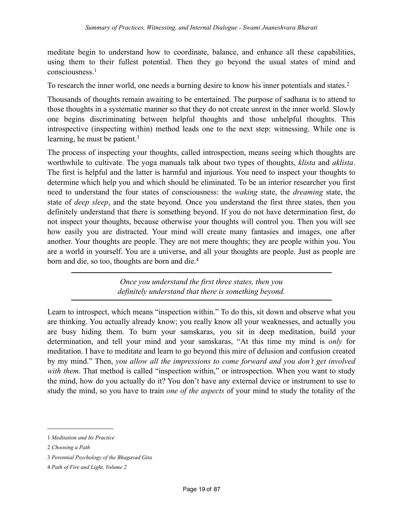meditate begin to understand how to coordinate, balance, and enhance all these capabilities, using them to their fullest potential. Then they go beyond the usual states of mind and consciousness.[1](#page-18-0)

To research the inner world, one needs a burning desire to know his inner potentials and states[.2](#page-18-1)

Thousands of thoughts remain awaiting to be entertained. The purpose of sadhana is to attend to those thoughts in a systematic manner so that they do not create unrest in the inner world. Slowly one begins discriminating between helpful thoughts and those unhelpful thoughts. This introspective (inspecting within) method leads one to the next step: witnessing. While one is learning, he must be patient.<sup>[3](#page-18-2)</sup>

The process of inspecting your thoughts, called introspection, means seeing which thoughts are worthwhile to cultivate. The yoga manuals talk about two types of thoughts, *klista* and *aklista*. The first is helpful and the latter is harmful and injurious. You need to inspect your thoughts to determine which help you and which should be eliminated. To be an interior researcher you first need to understand the four states of consciousness: the *waking* state, the *dreaming* state, the state of *deep sleep*, and the state beyond. Once you understand the first three states, then you definitely understand that there is something beyond. If you do not have determination first, do not inspect your thoughts, because otherwise your thoughts will control you. Then you will see how easily you are distracted. Your mind will create many fantasies and images, one after another. Your thoughts are people. They are not mere thoughts; they are people within you. You are a world in yourself. You are a universe, and all your thoughts are people. Just as people are born and die, so too, thoughts are born and die.[4](#page-18-3)

> *Once you understand the first three states, then you definitely understand that there is something beyond.*

Learn to introspect, which means "inspection within." To do this, sit down and observe what you are thinking. You actually already know; you really know all your weaknesses, and actually you are busy hiding them. To burn your samskaras, you sit in deep meditation, build your determination, and tell your mind and your samskaras, "At this time my mind is *only* for meditation. I have to meditate and learn to go beyond this mire of delusion and confusion created by my mind." Then, *you allow all the impressions to come forward and you don't get involved*  with them. That method is called "inspection within," or introspection. When you want to study the mind, how do you actually do it? You don't have any external device or instrument to use to study the mind, so you have to train *one of the aspects* of your mind to study the totality of the

<span id="page-18-0"></span><sup>1</sup> *Meditation and Its Practice*

<span id="page-18-1"></span><sup>2</sup> *Choosing a Path*

<span id="page-18-2"></span><sup>3</sup> *Perennial Psychology of the Bhagavad Gita*

<span id="page-18-3"></span><sup>4</sup> *Path of Fire and Light, Volume 2*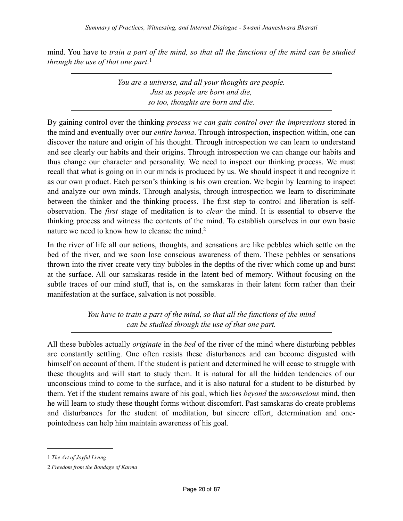mind. You have to *train a part of the mind, so that all the functions of the mind can be studied through the use of that one part*. [1](#page-19-0)

> *You are a universe, and all your thoughts are people. Just as people are born and die, so too, thoughts are born and die.*

By gaining control over the thinking *process we can gain control over the impressions* stored in the mind and eventually over our *entire karma*. Through introspection, inspection within, one can discover the nature and origin of his thought. Through introspection we can learn to understand and see clearly our habits and their origins. Through introspection we can change our habits and thus change our character and personality. We need to inspect our thinking process. We must recall that what is going on in our minds is produced by us. We should inspect it and recognize it as our own product. Each person's thinking is his own creation. We begin by learning to inspect and analyze our own minds. Through analysis, through introspection we learn to discriminate between the thinker and the thinking process. The first step to control and liberation is selfobservation. The *first* stage of meditation is to *clear* the mind. It is essential to observe the thinking process and witness the contents of the mind. To establish ourselves in our own basic nature we need to know how to cleanse the mind.<sup>2</sup>

In the river of life all our actions, thoughts, and sensations are like pebbles which settle on the bed of the river, and we soon lose conscious awareness of them. These pebbles or sensations thrown into the river create very tiny bubbles in the depths of the river which come up and burst at the surface. All our samskaras reside in the latent bed of memory. Without focusing on the subtle traces of our mind stuff, that is, on the samskaras in their latent form rather than their manifestation at the surface, salvation is not possible.

> *You have to train a part of the mind, so that all the functions of the mind can be studied through the use of that one part.*

All these bubbles actually *originate* in the *bed* of the river of the mind where disturbing pebbles are constantly settling. One often resists these disturbances and can become disgusted with himself on account of them. If the student is patient and determined he will cease to struggle with these thoughts and will start to study them. It is natural for all the hidden tendencies of our unconscious mind to come to the surface, and it is also natural for a student to be disturbed by them. Yet if the student remains aware of his goal, which lies *beyond* the *unconscious* mind, then he will learn to study these thought forms without discomfort. Past samskaras do create problems and disturbances for the student of meditation, but sincere effort, determination and onepointedness can help him maintain awareness of his goal.

<span id="page-19-0"></span><sup>1</sup> *The Art of Joyful Living*

<span id="page-19-1"></span><sup>2</sup> *Freedom from the Bondage of Karma*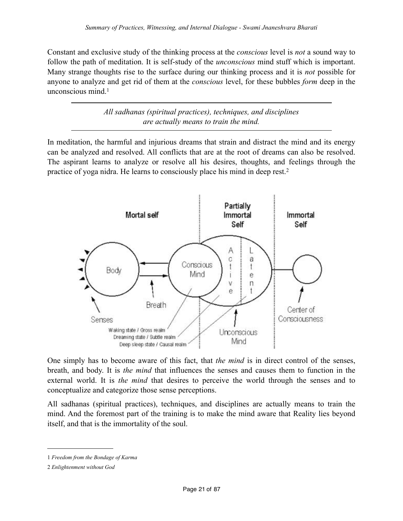Constant and exclusive study of the thinking process at the *conscious* level is *not* a sound way to follow the path of meditation. It is self-study of the *unconscious* mind stuff which is important. Many strange thoughts rise to the surface during our thinking process and it is *not* possible for anyone to analyze and get rid of them at the *conscious* level, for these bubbles *form* deep in the unconscious mind. $<sup>1</sup>$  $<sup>1</sup>$  $<sup>1</sup>$ </sup>

> *All sadhanas (spiritual practices), techniques, and disciplines are actually means to train the mind.*

In meditation, the harmful and injurious dreams that strain and distract the mind and its energy can be analyzed and resolved. All conflicts that are at the root of dreams can also be resolved. The aspirant learns to analyze or resolve all his desires, thoughts, and feelings through the practice of yoga nidra. He learns to consciously place his mind in deep rest.[2](#page-20-1)



One simply has to become aware of this fact, that *the mind* is in direct control of the senses, breath, and body. It is *the mind* that influences the senses and causes them to function in the external world. It is *the mind* that desires to perceive the world through the senses and to conceptualize and categorize those sense perceptions.

All sadhanas (spiritual practices), techniques, and disciplines are actually means to train the mind. And the foremost part of the training is to make the mind aware that Reality lies beyond itself, and that is the immortality of the soul.

<span id="page-20-0"></span><sup>1</sup> *Freedom from the Bondage of Karma*

<span id="page-20-1"></span><sup>2</sup> *Enlightenment without God*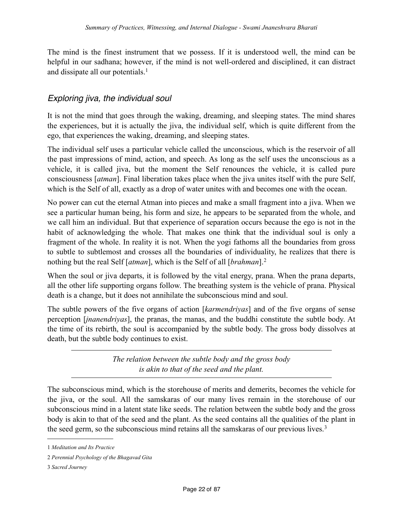The mind is the finest instrument that we possess. If it is understood well, the mind can be helpful in our sadhana; however, if the mind is not well-ordered and disciplined, it can distract and dissipate all our potentials.<sup>[1](#page-21-1)</sup>

## <span id="page-21-0"></span>*Exploring jiva, the individual soul*

It is not the mind that goes through the waking, dreaming, and sleeping states. The mind shares the experiences, but it is actually the jiva, the individual self, which is quite different from the ego, that experiences the waking, dreaming, and sleeping states.

The individual self uses a particular vehicle called the unconscious, which is the reservoir of all the past impressions of mind, action, and speech. As long as the self uses the unconscious as a vehicle, it is called jiva, but the moment the Self renounces the vehicle, it is called pure consciousness [*atman*]. Final liberation takes place when the jiva unites itself with the pure Self, which is the Self of all, exactly as a drop of water unites with and becomes one with the ocean.

No power can cut the eternal Atman into pieces and make a small fragment into a jiva. When we see a particular human being, his form and size, he appears to be separated from the whole, and we call him an individual. But that experience of separation occurs because the ego is not in the habit of acknowledging the whole. That makes one think that the individual soul is only a fragment of the whole. In reality it is not. When the yogi fathoms all the boundaries from gross to subtle to subtlemost and crosses all the boundaries of individuality, he realizes that there is nothing but the real Self [*atman*], which is the Self of all [*brahman*].[2](#page-21-2)

When the soul or jiva departs, it is followed by the vital energy, prana. When the prana departs, all the other life supporting organs follow. The breathing system is the vehicle of prana. Physical death is a change, but it does not annihilate the subconscious mind and soul.

The subtle powers of the five organs of action [*karmendriyas*] and of the five organs of sense perception [*jnanendriyas*], the pranas, the manas, and the buddhi constitute the subtle body. At the time of its rebirth, the soul is accompanied by the subtle body. The gross body dissolves at death, but the subtle body continues to exist.

> *The relation between the subtle body and the gross body is akin to that of the seed and the plant.*

The subconscious mind, which is the storehouse of merits and demerits, becomes the vehicle for the jiva, or the soul. All the samskaras of our many lives remain in the storehouse of our subconscious mind in a latent state like seeds. The relation between the subtle body and the gross body is akin to that of the seed and the plant. As the seed contains all the qualities of the plant in the seed germ, so the subconscious mind retains all the samskaras of our previous lives.<sup>[3](#page-21-3)</sup>

<span id="page-21-3"></span>3 *Sacred Journey*

<span id="page-21-1"></span><sup>1</sup> *Meditation and Its Practice*

<span id="page-21-2"></span><sup>2</sup> *Perennial Psychology of the Bhagavad Gita*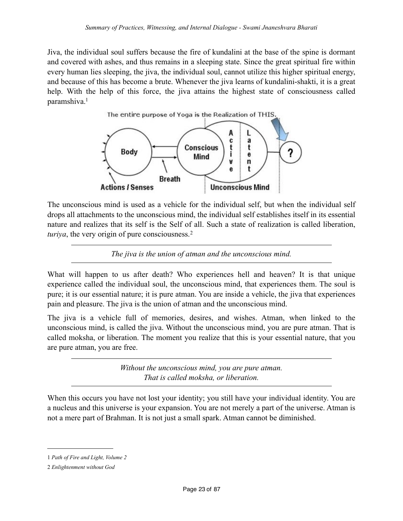Jiva, the individual soul suffers because the fire of kundalini at the base of the spine is dormant and covered with ashes, and thus remains in a sleeping state. Since the great spiritual fire within every human lies sleeping, the jiva, the individual soul, cannot utilize this higher spiritual energy, and because of this has become a brute. Whenever the jiva learns of kundalini-shakti, it is a great help. With the help of this force, the jiva attains the highest state of consciousness called paramshiva[.1](#page-22-0)



The unconscious mind is used as a vehicle for the individual self, but when the individual self drops all attachments to the unconscious mind, the individual self establishes itself in its essential nature and realizes that its self is the Self of all. Such a state of realization is called liberation, *turiya*, the very origin of pure consciousness.<sup>[2](#page-22-1)</sup>

*The jiva is the union of atman and the unconscious mind.*

What will happen to us after death? Who experiences hell and heaven? It is that unique experience called the individual soul, the unconscious mind, that experiences them. The soul is pure; it is our essential nature; it is pure atman. You are inside a vehicle, the jiva that experiences pain and pleasure. The jiva is the union of atman and the unconscious mind.

The jiva is a vehicle full of memories, desires, and wishes. Atman, when linked to the unconscious mind, is called the jiva. Without the unconscious mind, you are pure atman. That is called moksha, or liberation. The moment you realize that this is your essential nature, that you are pure atman, you are free.

> *Without the unconscious mind, you are pure atman. That is called moksha, or liberation.*

When this occurs you have not lost your identity; you still have your individual identity. You are a nucleus and this universe is your expansion. You are not merely a part of the universe. Atman is not a mere part of Brahman. It is not just a small spark. Atman cannot be diminished.

<span id="page-22-0"></span><sup>1</sup> *Path of Fire and Light, Volume 2*

<span id="page-22-1"></span><sup>2</sup> *Enlightenment without God*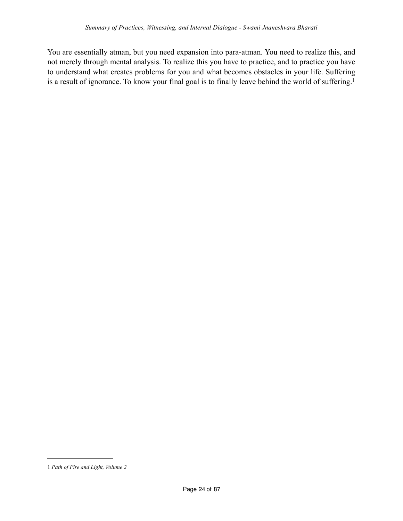You are essentially atman, but you need expansion into para-atman. You need to realize this, and not merely through mental analysis. To realize this you have to practice, and to practice you have to understand what creates problems for you and what becomes obstacles in your life. Suffering is a result of ignorance. To know your final goal is to finally leave behind the world of suffering.<sup>1</sup>

<span id="page-23-0"></span><sup>1</sup> *Path of Fire and Light, Volume 2*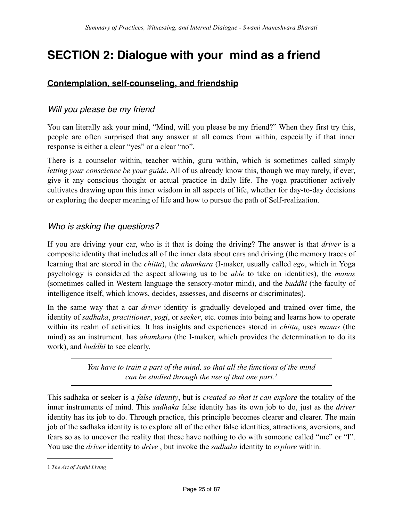## <span id="page-24-1"></span><span id="page-24-0"></span>**SECTION 2: Dialogue with your mind as a friend**

## **Contemplation, self-counseling, and friendship**

#### <span id="page-24-2"></span>*Will you please be my friend*

You can literally ask your mind, "Mind, will you please be my friend?" When they first try this, people are often surprised that any answer at all comes from within, especially if that inner response is either a clear "yes" or a clear "no".

There is a counselor within, teacher within, guru within, which is sometimes called simply *letting your conscience be your guide*. All of us already know this, though we may rarely, if ever, give it any conscious thought or actual practice in daily life. The yoga practitioner actively cultivates drawing upon this inner wisdom in all aspects of life, whether for day-to-day decisions or exploring the deeper meaning of life and how to pursue the path of Self-realization.

#### <span id="page-24-3"></span>*Who is asking the questions?*

If you are driving your car, who is it that is doing the driving? The answer is that *driver* is a composite identity that includes all of the inner data about cars and driving (the memory traces of learning that are stored in the *chitta*), the *ahamkara* (I-maker, usually called *ego*, which in Yoga psychology is considered the aspect allowing us to be *able* to take on identities), the *manas* (sometimes called in Western language the sensory-motor mind), and the *buddhi* (the faculty of intelligence itself, which knows, decides, assesses, and discerns or discriminates).

In the same way that a car *driver* identity is gradually developed and trained over time, the identity of *sadhaka*, *practitioner*, *yogi*, or *seeker*, etc. comes into being and learns how to operate within its realm of activities. It has insights and experiences stored in *chitta*, uses *manas* (the mind) as an instrument. has *ahamkara* (the I-maker, which provides the determination to do its work), and *buddhi* to see clearly.

> *You have to train a part of the mind, so that all the functions of the mind can be studied through the use of that one part. [1](#page-24-4)*

This sadhaka or seeker is a *false identity*, but is *created so that it can explore* the totality of the inner instruments of mind. This *sadhaka* false identity has its own job to do, just as the *driver* identity has its job to do. Through practice, this principle becomes clearer and clearer. The main job of the sadhaka identity is to explore all of the other false identities, attractions, aversions, and fears so as to uncover the reality that these have nothing to do with someone called "me" or "I". You use the *driver* identity to *drive* , but invoke the *sadhaka* identity to *explore* within.

<span id="page-24-4"></span><sup>1</sup> *The Art of Joyful Living*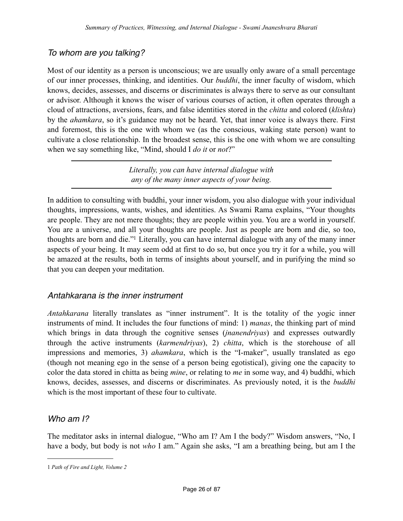## <span id="page-25-0"></span>*To whom are you talking?*

Most of our identity as a person is unconscious; we are usually only aware of a small percentage of our inner processes, thinking, and identities. Our *buddhi*, the inner faculty of wisdom, which knows, decides, assesses, and discerns or discriminates is always there to serve as our consultant or advisor. Although it knows the wiser of various courses of action, it often operates through a cloud of attractions, aversions, fears, and false identities stored in the *chitta* and colored (*klishta*) by the *ahamkara*, so it's guidance may not be heard. Yet, that inner voice is always there. First and foremost, this is the one with whom we (as the conscious, waking state person) want to cultivate a close relationship. In the broadest sense, this is the one with whom we are consulting when we say something like, "Mind, should I *do it* or *not*?"

> *Literally, you can have internal dialogue with any of the many inner aspects of your being.*

In addition to consulting with buddhi, your inner wisdom, you also dialogue with your individual thoughts, impressions, wants, wishes, and identities. As Swami Rama explains, "Your thoughts are people. They are not mere thoughts; they are people within you. You are a world in yourself. You are a universe, and all your thoughts are people. Just as people are born and die, so too, thoughts are born and die.["1](#page-25-3) Literally, you can have internal dialogue with any of the many inner aspects of your being. It may seem odd at first to do so, but once you try it for a while, you will be amazed at the results, both in terms of insights about yourself, and in purifying the mind so that you can deepen your meditation.

## <span id="page-25-1"></span>*Antahkarana is the inner instrument*

*Antahkarana* literally translates as "inner instrument". It is the totality of the yogic inner instruments of mind. It includes the four functions of mind: 1) *manas*, the thinking part of mind which brings in data through the cognitive senses (*jnanendriyas*) and expresses outwardly through the active instruments (*karmendriyas*), 2) *chitta*, which is the storehouse of all impressions and memories, 3) *ahamkara*, which is the "I-maker", usually translated as ego (though not meaning ego in the sense of a person being egotistical), giving one the capacity to color the data stored in chitta as being *mine*, or relating to *me* in some way, and 4) buddhi, which knows, decides, assesses, and discerns or discriminates. As previously noted, it is the *buddhi* which is the most important of these four to cultivate.

## <span id="page-25-2"></span>*Who am I?*

The meditator asks in internal dialogue, "Who am I? Am I the body?" Wisdom answers, "No, I have a body, but body is not *who* I am." Again she asks, "I am a breathing being, but am I the

<span id="page-25-3"></span><sup>1</sup> *Path of Fire and Light, Volume 2*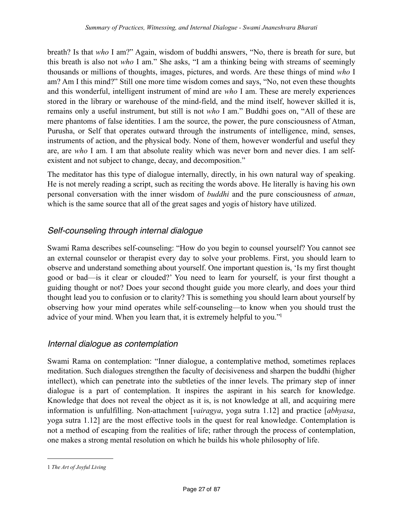breath? Is that *who* I am?" Again, wisdom of buddhi answers, "No, there is breath for sure, but this breath is also not *who* I am." She asks, "I am a thinking being with streams of seemingly thousands or millions of thoughts, images, pictures, and words. Are these things of mind *who* I am? Am I this mind?" Still one more time wisdom comes and says, "No, not even these thoughts and this wonderful, intelligent instrument of mind are *who* I am. These are merely experiences stored in the library or warehouse of the mind-field, and the mind itself, however skilled it is, remains only a useful instrument, but still is not *who* I am." Buddhi goes on, "All of these are mere phantoms of false identities. I am the source, the power, the pure consciousness of Atman, Purusha, or Self that operates outward through the instruments of intelligence, mind, senses, instruments of action, and the physical body. None of them, however wonderful and useful they are, are *who* I am. I am that absolute reality which was never born and never dies. I am selfexistent and not subject to change, decay, and decomposition."

The meditator has this type of dialogue internally, directly, in his own natural way of speaking. He is not merely reading a script, such as reciting the words above. He literally is having his own personal conversation with the inner wisdom of *buddhi* and the pure consciousness of *atman*, which is the same source that all of the great sages and yogis of history have utilized.

## <span id="page-26-0"></span>*Self-counseling through internal dialogue*

Swami Rama describes self-counseling: "How do you begin to counsel yourself? You cannot see an external counselor or therapist every day to solve your problems. First, you should learn to observe and understand something about yourself. One important question is, 'Is my first thought good or bad—is it clear or clouded?' You need to learn for yourself, is your first thought a guiding thought or not? Does your second thought guide you more clearly, and does your third thought lead you to confusion or to clarity? This is something you should learn about yourself by observing how your mind operates while self-counseling—to know when you should trust the advice of your mind. When you learn that, it is extremely helpful to you.["1](#page-26-2)

#### <span id="page-26-1"></span>*Internal dialogue as contemplation*

Swami Rama on contemplation: "Inner dialogue, a contemplative method, sometimes replaces meditation. Such dialogues strengthen the faculty of decisiveness and sharpen the buddhi (higher intellect), which can penetrate into the subtleties of the inner levels. The primary step of inner dialogue is a part of contemplation. It inspires the aspirant in his search for knowledge. Knowledge that does not reveal the object as it is, is not knowledge at all, and acquiring mere information is unfulfilling. Non-attachment [*vairagya*, yoga sutra 1.12] and practice [*abhyasa*, yoga sutra 1.12] are the most effective tools in the quest for real knowledge. Contemplation is not a method of escaping from the realities of life; rather through the process of contemplation, one makes a strong mental resolution on which he builds his whole philosophy of life.

<span id="page-26-2"></span><sup>1</sup> *The Art of Joyful Living*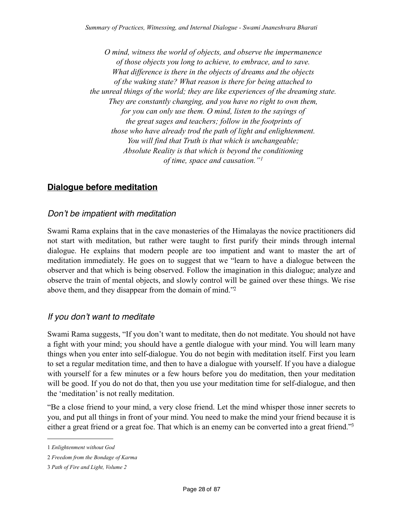*O mind, witness the world of objects, and observe the impermanence of those objects you long to achieve, to embrace, and to save. What difference is there in the objects of dreams and the objects of the waking state? What reason is there for being attached to the unreal things of the world; they are like experiences of the dreaming state. They are constantly changing, and you have no right to own them, for you can only use them. O mind, listen to the sayings of the great sages and teachers; follow in the footprints of those who have already trod the path of light and enlightenment. You will find that Truth is that which is unchangeable; Absolute Reality is that which is beyond the conditioning of time, space and causation."[1](#page-27-3)*

## <span id="page-27-0"></span>**Dialogue before meditation**

#### <span id="page-27-1"></span>*Don't be impatient with meditation*

Swami Rama explains that in the cave monasteries of the Himalayas the novice practitioners did not start with meditation, but rather were taught to first purify their minds through internal dialogue. He explains that modern people are too impatient and want to master the art of meditation immediately. He goes on to suggest that we "learn to have a dialogue between the observer and that which is being observed. Follow the imagination in this dialogue; analyze and observe the train of mental objects, and slowly control will be gained over these things. We rise above them, and they disappear from the domain of mind.["2](#page-27-4)

#### <span id="page-27-2"></span>*If you don't want to meditate*

Swami Rama suggests, "If you don't want to meditate, then do not meditate. You should not have a fight with your mind; you should have a gentle dialogue with your mind. You will learn many things when you enter into self-dialogue. You do not begin with meditation itself. First you learn to set a regular meditation time, and then to have a dialogue with yourself. If you have a dialogue with yourself for a few minutes or a few hours before you do meditation, then your meditation will be good. If you do not do that, then you use your meditation time for self-dialogue, and then the 'meditation' is not really meditation.

"Be a close friend to your mind, a very close friend. Let the mind whisper those inner secrets to you, and put all things in front of your mind. You need to make the mind your friend because it is either a great friend or a great foe. That which is an enemy can be converted into a great friend."<sup>3</sup>

<span id="page-27-3"></span><sup>1</sup> *Enlightenment without God*

<span id="page-27-4"></span><sup>2</sup> *Freedom from the Bondage of Karma*

<span id="page-27-5"></span><sup>3</sup> *Path of Fire and Light, Volume 2*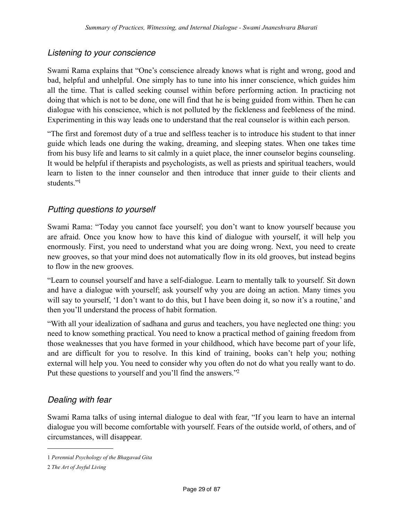## <span id="page-28-0"></span>*Listening to your conscience*

Swami Rama explains that "One's conscience already knows what is right and wrong, good and bad, helpful and unhelpful. One simply has to tune into his inner conscience, which guides him all the time. That is called seeking counsel within before performing action. In practicing not doing that which is not to be done, one will find that he is being guided from within. Then he can dialogue with his conscience, which is not polluted by the fickleness and feebleness of the mind. Experimenting in this way leads one to understand that the real counselor is within each person.

"The first and foremost duty of a true and selfless teacher is to introduce his student to that inner guide which leads one during the waking, dreaming, and sleeping states. When one takes time from his busy life and learns to sit calmly in a quiet place, the inner counselor begins counseling. It would be helpful if therapists and psychologists, as well as priests and spiritual teachers, would learn to listen to the inner counselor and then introduce that inner guide to their clients and students<sup>["1](#page-28-3)</sup>

### <span id="page-28-1"></span>*Putting questions to yourself*

Swami Rama: "Today you cannot face yourself; you don't want to know yourself because you are afraid. Once you know how to have this kind of dialogue with yourself, it will help you enormously. First, you need to understand what you are doing wrong. Next, you need to create new grooves, so that your mind does not automatically flow in its old grooves, but instead begins to flow in the new grooves.

"Learn to counsel yourself and have a self-dialogue. Learn to mentally talk to yourself. Sit down and have a dialogue with yourself; ask yourself why you are doing an action. Many times you will say to yourself, 'I don't want to do this, but I have been doing it, so now it's a routine,' and then you'll understand the process of habit formation.

"With all your idealization of sadhana and gurus and teachers, you have neglected one thing: you need to know something practical. You need to know a practical method of gaining freedom from those weaknesses that you have formed in your childhood, which have become part of your life, and are difficult for you to resolve. In this kind of training, books can't help you; nothing external will help you. You need to consider why you often do not do what you really want to do. Put these questions to yourself and you'll find the answers.["2](#page-28-4)

## <span id="page-28-2"></span>*Dealing with fear*

Swami Rama talks of using internal dialogue to deal with fear, "If you learn to have an internal dialogue you will become comfortable with yourself. Fears of the outside world, of others, and of circumstances, will disappear.

<span id="page-28-3"></span><sup>1</sup> *Perennial Psychology of the Bhagavad Gita*

<span id="page-28-4"></span><sup>2</sup> *The Art of Joyful Living*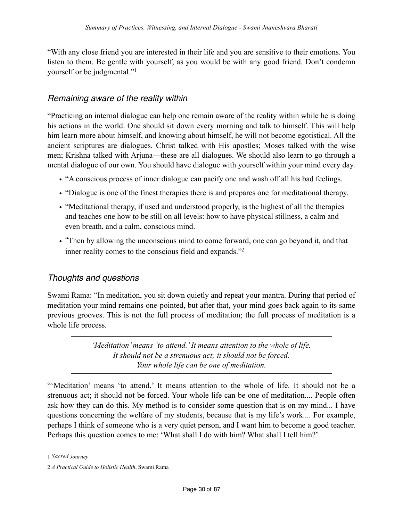"With any close friend you are interested in their life and you are sensitive to their emotions. You listen to them. Be gentle with yourself, as you would be with any good friend. Don't condemn yourself or be judgmental."[1](#page-29-2)

### <span id="page-29-0"></span>*Remaining aware of the reality within*

"Practicing an internal dialogue can help one remain aware of the reality within while he is doing his actions in the world. One should sit down every morning and talk to himself. This will help him learn more about himself, and knowing about himself, he will not become egotistical. All the ancient scriptures are dialogues. Christ talked with His apostles; Moses talked with the wise men; Krishna talked with Arjuna—these are all dialogues. We should also learn to go through a mental dialogue of our own. You should have dialogue with yourself within your mind every day.

- "A conscious process of inner dialogue can pacify one and wash off all his bad feelings.
- "Dialogue is one of the finest therapies there is and prepares one for meditational therapy.
- "Meditational therapy, if used and understood properly, is the highest of all the therapies and teaches one how to be still on all levels: how to have physical stillness, a calm and even breath, and a calm, conscious mind.
- "Then by allowing the unconscious mind to come forward, one can go beyond it, and that inner reality comes to the conscious field and expands.["2](#page-29-3)

## <span id="page-29-1"></span>*Thoughts and questions*

Swami Rama: "In meditation, you sit down quietly and repeat your mantra. During that period of meditation your mind remains one-pointed, but after that, your mind goes back again to its same previous grooves. This is not the full process of meditation; the full process of meditation is a whole life process.

> *'Meditation' means 'to attend.' It means attention to the whole of life. It should not be a strenuous act; it should not be forced. Your whole life can be one of meditation.*

"'Meditation' means 'to attend.' It means attention to the whole of life. It should not be a strenuous act; it should not be forced. Your whole life can be one of meditation.... People often ask how they can do this. My method is to consider some question that is on my mind... I have questions concerning the welfare of my students, because that is my life's work.... For example, perhaps I think of someone who is a very quiet person, and I want him to become a good teacher. Perhaps this question comes to me: 'What shall I do with him? What shall I tell him?'

<span id="page-29-2"></span><sup>1</sup> *Sacred Journey*

<span id="page-29-3"></span><sup>2</sup> *A Practical Guide to Holistic Health*, Swami Rama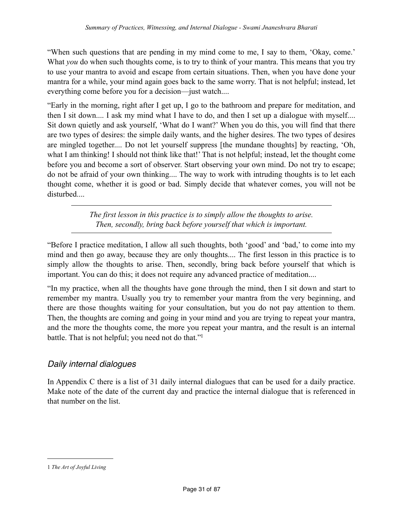"When such questions that are pending in my mind come to me, I say to them, 'Okay, come.' What *you* do when such thoughts come, is to try to think of your mantra. This means that you try to use your mantra to avoid and escape from certain situations. Then, when you have done your mantra for a while, your mind again goes back to the same worry. That is not helpful; instead, let everything come before you for a decision—just watch....

"Early in the morning, right after I get up, I go to the bathroom and prepare for meditation, and then I sit down.... I ask my mind what I have to do, and then I set up a dialogue with myself.... Sit down quietly and ask yourself, 'What do I want?' When you do this, you will find that there are two types of desires: the simple daily wants, and the higher desires. The two types of desires are mingled together.... Do not let yourself suppress [the mundane thoughts] by reacting, 'Oh, what I am thinking! I should not think like that!' That is not helpful; instead, let the thought come before you and become a sort of observer. Start observing your own mind. Do not try to escape; do not be afraid of your own thinking.... The way to work with intruding thoughts is to let each thought come, whether it is good or bad. Simply decide that whatever comes, you will not be disturbed....

> *The first lesson in this practice is to simply allow the thoughts to arise. Then, secondly, bring back before yourself that which is important.*

"Before I practice meditation, I allow all such thoughts, both 'good' and 'bad,' to come into my mind and then go away, because they are only thoughts.... The first lesson in this practice is to simply allow the thoughts to arise. Then, secondly, bring back before yourself that which is important. You can do this; it does not require any advanced practice of meditation....

"In my practice, when all the thoughts have gone through the mind, then I sit down and start to remember my mantra. Usually you try to remember your mantra from the very beginning, and there are those thoughts waiting for your consultation, but you do not pay attention to them. Then, the thoughts are coming and going in your mind and you are trying to repeat your mantra, and the more the thoughts come, the more you repeat your mantra, and the result is an internal battle. That is not helpful; you need not do that.["1](#page-30-1)

#### <span id="page-30-0"></span>*Daily internal dialogues*

In Appendix C there is a list of 31 daily internal dialogues that can be used for a daily practice. Make note of the date of the current day and practice the internal dialogue that is referenced in that number on the list.

<span id="page-30-1"></span><sup>1</sup> *The Art of Joyful Living*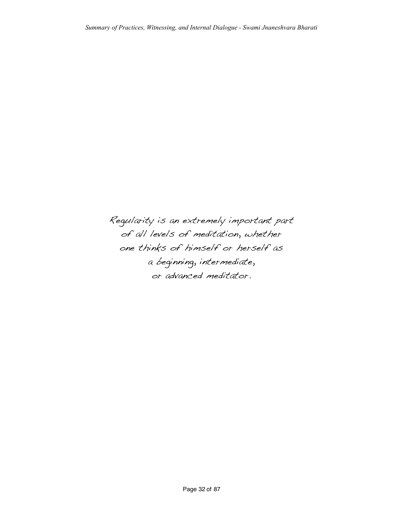Regularity is an extremely important part of all levels of meditation, whether one thinks of himself or herself as a beginning, intermediate, or advanced meditator.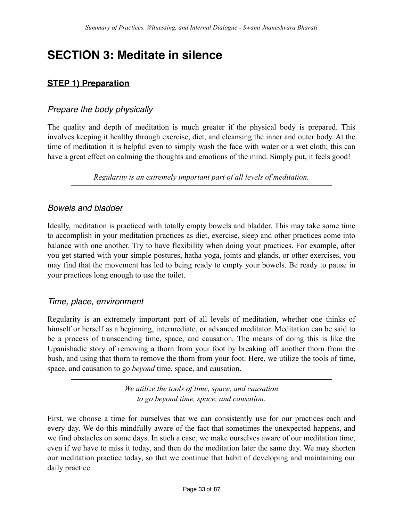## <span id="page-32-1"></span><span id="page-32-0"></span>**SECTION 3: Meditate in silence**

## **STEP 1) Preparation**

## <span id="page-32-2"></span>*Prepare the body physically*

The quality and depth of meditation is much greater if the physical body is prepared. This involves keeping it healthy through exercise, diet, and cleansing the inner and outer body. At the time of meditation it is helpful even to simply wash the face with water or a wet cloth; this can have a great effect on calming the thoughts and emotions of the mind. Simply put, it feels good!

*Regularity is an extremely important part of all levels of meditation.*

### <span id="page-32-3"></span>*Bowels and bladder*

Ideally, meditation is practiced with totally empty bowels and bladder. This may take some time to accomplish in your meditation practices as diet, exercise, sleep and other practices come into balance with one another. Try to have flexibility when doing your practices. For example, after you get started with your simple postures, hatha yoga, joints and glands, or other exercises, you may find that the movement has led to being ready to empty your bowels. Be ready to pause in your practices long enough to use the toilet.

#### <span id="page-32-4"></span>*Time, place, environment*

Regularity is an extremely important part of all levels of meditation, whether one thinks of himself or herself as a beginning, intermediate, or advanced meditator. Meditation can be said to be a process of transcending time, space, and causation. The means of doing this is like the Upanishadic story of removing a thorn from your foot by breaking off another thorn from the bush, and using that thorn to remove the thorn from your foot. Here, we utilize the tools of time, space, and causation to go *beyond* time, space, and causation.

> *We utilize the tools of time, space, and causation to go beyond time, space, and causation.*

First, we choose a time for ourselves that we can consistently use for our practices each and every day. We do this mindfully aware of the fact that sometimes the unexpected happens, and we find obstacles on some days. In such a case, we make ourselves aware of our meditation time, even if we have to miss it today, and then do the meditation later the same day. We may shorten our meditation practice today, so that we continue that habit of developing and maintaining our daily practice.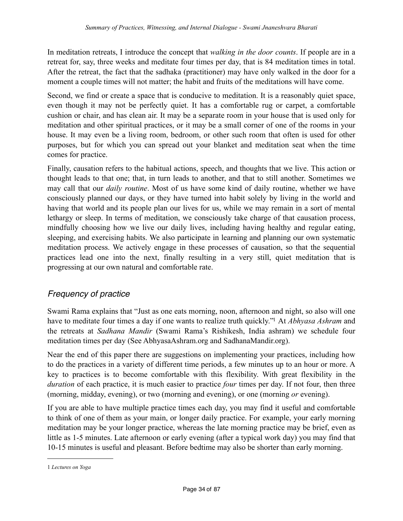In meditation retreats, I introduce the concept that *walking in the door counts*. If people are in a retreat for, say, three weeks and meditate four times per day, that is 84 meditation times in total. After the retreat, the fact that the sadhaka (practitioner) may have only walked in the door for a moment a couple times will not matter; the habit and fruits of the meditations will have come.

Second, we find or create a space that is conducive to meditation. It is a reasonably quiet space, even though it may not be perfectly quiet. It has a comfortable rug or carpet, a comfortable cushion or chair, and has clean air. It may be a separate room in your house that is used only for meditation and other spiritual practices, or it may be a small corner of one of the rooms in your house. It may even be a living room, bedroom, or other such room that often is used for other purposes, but for which you can spread out your blanket and meditation seat when the time comes for practice.

Finally, causation refers to the habitual actions, speech, and thoughts that we live. This action or thought leads to that one; that, in turn leads to another, and that to still another. Sometimes we may call that our *daily routine*. Most of us have some kind of daily routine, whether we have consciously planned our days, or they have turned into habit solely by living in the world and having that world and its people plan our lives for us, while we may remain in a sort of mental lethargy or sleep. In terms of meditation, we consciously take charge of that causation process, mindfully choosing how we live our daily lives, including having healthy and regular eating, sleeping, and exercising habits. We also participate in learning and planning our own systematic meditation process. We actively engage in these processes of causation, so that the sequential practices lead one into the next, finally resulting in a very still, quiet meditation that is progressing at our own natural and comfortable rate.

## <span id="page-33-0"></span>*Frequency of practice*

Swami Rama explains that "Just as one eats morning, noon, afternoon and night, so also will one have to meditate four times a day if one wants to realize truth quickly.["1](#page-33-1) At *Abhyasa Ashram* and the retreats at *Sadhana Mandir* (Swami Rama's Rishikesh, India ashram) we schedule four meditation times per day (See AbhyasaAshram.org and SadhanaMandir.org).

Near the end of this paper there are suggestions on implementing your practices, including how to do the practices in a variety of different time periods, a few minutes up to an hour or more. A key to practices is to become comfortable with this flexibility. With great flexibility in the *duration* of each practice, it is much easier to practice *four* times per day. If not four, then three (morning, midday, evening), or two (morning and evening), or one (morning *or* evening).

If you are able to have multiple practice times each day, you may find it useful and comfortable to think of one of them as your main, or longer daily practice. For example, your early morning meditation may be your longer practice, whereas the late morning practice may be brief, even as little as 1-5 minutes. Late afternoon or early evening (after a typical work day) you may find that 10-15 minutes is useful and pleasant. Before bedtime may also be shorter than early morning.

<span id="page-33-1"></span><sup>1</sup> *Lectures on Yoga*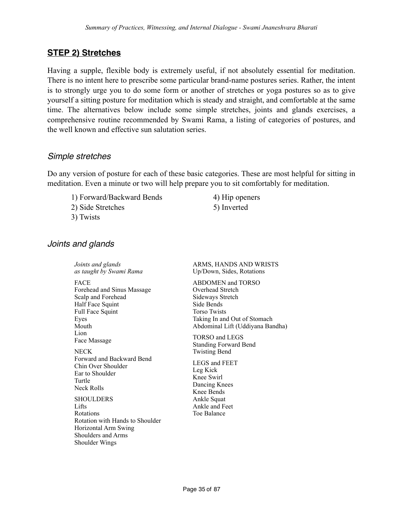### <span id="page-34-0"></span>**STEP 2) Stretches**

Having a supple, flexible body is extremely useful, if not absolutely essential for meditation. There is no intent here to prescribe some particular brand-name postures series. Rather, the intent is to strongly urge you to do some form or another of stretches or yoga postures so as to give yourself a sitting posture for meditation which is steady and straight, and comfortable at the same time. The alternatives below include some simple stretches, joints and glands exercises, a comprehensive routine recommended by Swami Rama, a listing of categories of postures, and the well known and effective sun salutation series.

#### <span id="page-34-1"></span>*Simple stretches*

Do any version of posture for each of these basic categories. These are most helpful for sitting in meditation. Even a minute or two will help prepare you to sit comfortably for meditation.

1) Forward/Backward Bends 4) Hip openers 2) Side Stretches 5) Inverted

3) Twists

#### <span id="page-34-2"></span>*Joints and glands*

*Joints and glands as taught by Swami Rama* FACE Forehead and Sinus Massage Scalp and Forehead Half Face Squint Full Face Squint Eyes Mouth Lion Face Massage **NECK** Forward and Backward Bend Chin Over Shoulder Ear to Shoulder Turtle Neck Rolls **SHOULDERS** Lifts Rotations Rotation with Hands to Shoulder Horizontal Arm Swing Shoulders and Arms

Shoulder Wings

#### ARMS, HANDS AND WRISTS Up/Down, Sides, Rotations

ABDOMEN and TORSO Overhead Stretch Sideways Stretch Side Bends Torso Twists Taking In and Out of Stomach Abdominal Lift (Uddiyana Bandha)

TORSO and LEGS Standing Forward Bend Twisting Bend

LEGS and FEET Leg Kick Knee Swirl Dancing Knees Knee Bends Ankle Squat Ankle and Feet Toe Balance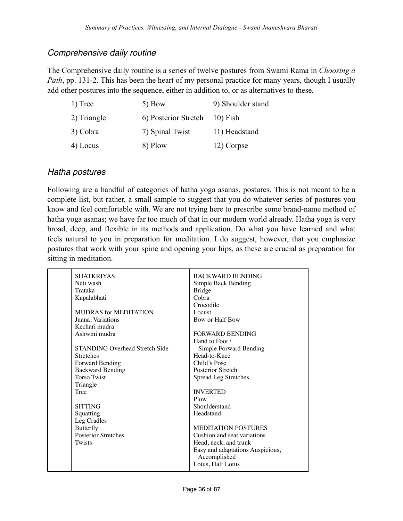#### <span id="page-35-0"></span>*Comprehensive daily routine*

The Comprehensive daily routine is a series of twelve postures from Swami Rama in *Choosing a Path*, pp. 131-2. This has been the heart of my personal practice for many years, though I usually add other postures into the sequence, either in addition to, or as alternatives to these.

| 1) Tree     | 5) Bow               | 9) Shoulder stand |
|-------------|----------------------|-------------------|
| 2) Triangle | 6) Posterior Stretch | $10$ ) Fish       |
| 3) Cobra    | 7) Spinal Twist      | 11) Headstand     |
| 4) Locus    | 8) Plow              | 12) Corpse        |

#### <span id="page-35-1"></span>*Hatha postures*

Following are a handful of categories of hatha yoga asanas, postures. This is not meant to be a complete list, but rather, a small sample to suggest that you do whatever series of postures you know and feel comfortable with. We are not trying here to prescribe some brand-name method of hatha yoga asanas; we have far too much of that in our modern world already. Hatha yoga is very broad, deep, and flexible in its methods and application. Do what you have learned and what feels natural to you in preparation for meditation. I do suggest, however, that you emphasize postures that work with your spine and opening your hips, as these are crucial as preparation for sitting in meditation.

| <b>SHATKRIYAS</b>                     | <b>BACKWARD BENDING</b>          |
|---------------------------------------|----------------------------------|
| Neti wash                             | Simple Back Bending              |
| Trataka                               | <b>Bridge</b>                    |
| Kapalabhati                           | Cobra                            |
|                                       | Crocodile                        |
| MUDRAS for MEDITATION                 | Locust                           |
| Jnana, Variations                     | Bow or Half Bow                  |
| Kechari mudra                         |                                  |
| Ashwini mudra                         | <b>FORWARD BENDING</b>           |
|                                       | Hand to Foot /                   |
| <b>STANDING Overhead Stretch Side</b> | Simple Forward Bending           |
| <b>Stretches</b>                      | Head-to-Knee                     |
| Forward Bending                       | Child's Pose                     |
| <b>Backward Bending</b>               | Posterior Stretch                |
| <b>Torso Twist</b>                    | Spread Leg Stretches             |
| Triangle                              |                                  |
| <b>Tree</b>                           | <b>INVERTED</b>                  |
|                                       | Plow                             |
| <b>SITTING</b>                        | Shoulderstand                    |
| Squatting                             | Headstand                        |
| Leg Cradles                           |                                  |
| Butterfly                             | <b>MEDITATION POSTURES</b>       |
| <b>Posterior Stretches</b>            | Cushion and seat variations      |
| Twists                                | Head, neck, and trunk            |
|                                       | Easy and adaptations Auspicious, |
|                                       | Accomplished                     |
|                                       | Lotus, Half Lotus                |
|                                       |                                  |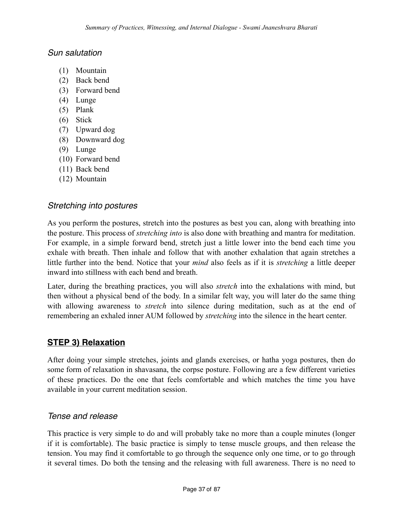#### *Sun salutation*

- (1) Mountain
- (2) Back bend
- (3) Forward bend
- (4) Lunge
- (5) Plank
- (6) Stick
- (7) Upward dog
- (8) Downward dog
- (9) Lunge
- (10) Forward bend
- (11) Back bend
- (12) Mountain

#### *Stretching into postures*

As you perform the postures, stretch into the postures as best you can, along with breathing into the posture. This process of *stretching into* is also done with breathing and mantra for meditation. For example, in a simple forward bend, stretch just a little lower into the bend each time you exhale with breath. Then inhale and follow that with another exhalation that again stretches a little further into the bend. Notice that your *mind* also feels as if it is *stretching* a little deeper inward into stillness with each bend and breath.

Later, during the breathing practices, you will also *stretch* into the exhalations with mind, but then without a physical bend of the body. In a similar felt way, you will later do the same thing with allowing awareness to *stretch* into silence during meditation, such as at the end of remembering an exhaled inner AUM followed by *stretching* into the silence in the heart center.

#### **STEP 3) Relaxation**

After doing your simple stretches, joints and glands exercises, or hatha yoga postures, then do some form of relaxation in shavasana, the corpse posture. Following are a few different varieties of these practices. Do the one that feels comfortable and which matches the time you have available in your current meditation session.

#### *Tense and release*

This practice is very simple to do and will probably take no more than a couple minutes (longer if it is comfortable). The basic practice is simply to tense muscle groups, and then release the tension. You may find it comfortable to go through the sequence only one time, or to go through it several times. Do both the tensing and the releasing with full awareness. There is no need to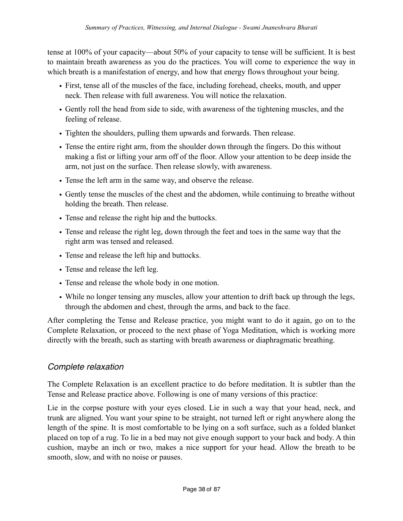tense at 100% of your capacity—about 50% of your capacity to tense will be sufficient. It is best to maintain breath awareness as you do the practices. You will come to experience the way in which breath is a manifestation of energy, and how that energy flows throughout your being.

- First, tense all of the muscles of the face, including forehead, cheeks, mouth, and upper neck. Then release with full awareness. You will notice the relaxation.
- Gently roll the head from side to side, with awareness of the tightening muscles, and the feeling of release.
- Tighten the shoulders, pulling them upwards and forwards. Then release.
- Tense the entire right arm, from the shoulder down through the fingers. Do this without making a fist or lifting your arm off of the floor. Allow your attention to be deep inside the arm, not just on the surface. Then release slowly, with awareness.
- Tense the left arm in the same way, and observe the release.
- Gently tense the muscles of the chest and the abdomen, while continuing to breathe without holding the breath. Then release.
- Tense and release the right hip and the buttocks.
- Tense and release the right leg, down through the feet and toes in the same way that the right arm was tensed and released.
- Tense and release the left hip and buttocks.
- Tense and release the left leg.
- Tense and release the whole body in one motion.
- While no longer tensing any muscles, allow your attention to drift back up through the legs, through the abdomen and chest, through the arms, and back to the face.

After completing the Tense and Release practice, you might want to do it again, go on to the Complete Relaxation, or proceed to the next phase of Yoga Meditation, which is working more directly with the breath, such as starting with breath awareness or diaphragmatic breathing.

## *Complete relaxation*

The Complete Relaxation is an excellent practice to do before meditation. It is subtler than the Tense and Release practice above. Following is one of many versions of this practice:

Lie in the corpse posture with your eyes closed. Lie in such a way that your head, neck, and trunk are aligned. You want your spine to be straight, not turned left or right anywhere along the length of the spine. It is most comfortable to be lying on a soft surface, such as a folded blanket placed on top of a rug. To lie in a bed may not give enough support to your back and body. A thin cushion, maybe an inch or two, makes a nice support for your head. Allow the breath to be smooth, slow, and with no noise or pauses.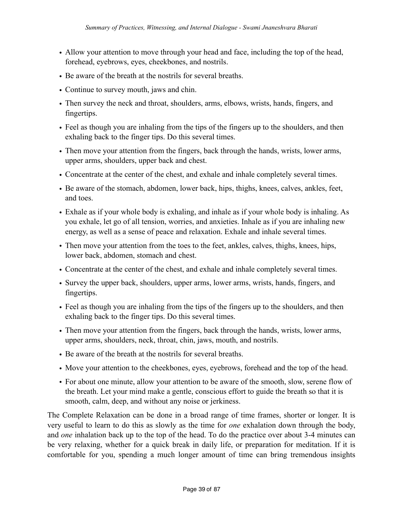- Allow your attention to move through your head and face, including the top of the head, forehead, eyebrows, eyes, cheekbones, and nostrils.
- Be aware of the breath at the nostrils for several breaths.
- Continue to survey mouth, jaws and chin.
- Then survey the neck and throat, shoulders, arms, elbows, wrists, hands, fingers, and fingertips.
- Feel as though you are inhaling from the tips of the fingers up to the shoulders, and then exhaling back to the finger tips. Do this several times.
- Then move your attention from the fingers, back through the hands, wrists, lower arms, upper arms, shoulders, upper back and chest.
- Concentrate at the center of the chest, and exhale and inhale completely several times.
- Be aware of the stomach, abdomen, lower back, hips, thighs, knees, calves, ankles, feet, and toes.
- Exhale as if your whole body is exhaling, and inhale as if your whole body is inhaling. As you exhale, let go of all tension, worries, and anxieties. Inhale as if you are inhaling new energy, as well as a sense of peace and relaxation. Exhale and inhale several times.
- Then move your attention from the toes to the feet, ankles, calves, thighs, knees, hips, lower back, abdomen, stomach and chest.
- Concentrate at the center of the chest, and exhale and inhale completely several times.
- Survey the upper back, shoulders, upper arms, lower arms, wrists, hands, fingers, and fingertips.
- Feel as though you are inhaling from the tips of the fingers up to the shoulders, and then exhaling back to the finger tips. Do this several times.
- Then move your attention from the fingers, back through the hands, wrists, lower arms, upper arms, shoulders, neck, throat, chin, jaws, mouth, and nostrils.
- Be aware of the breath at the nostrils for several breaths.
- Move your attention to the cheekbones, eyes, eyebrows, forehead and the top of the head.
- For about one minute, allow your attention to be aware of the smooth, slow, serene flow of the breath. Let your mind make a gentle, conscious effort to guide the breath so that it is smooth, calm, deep, and without any noise or jerkiness.

The Complete Relaxation can be done in a broad range of time frames, shorter or longer. It is very useful to learn to do this as slowly as the time for *one* exhalation down through the body, and *one* inhalation back up to the top of the head. To do the practice over about 3-4 minutes can be very relaxing, whether for a quick break in daily life, or preparation for meditation. If it is comfortable for you, spending a much longer amount of time can bring tremendous insights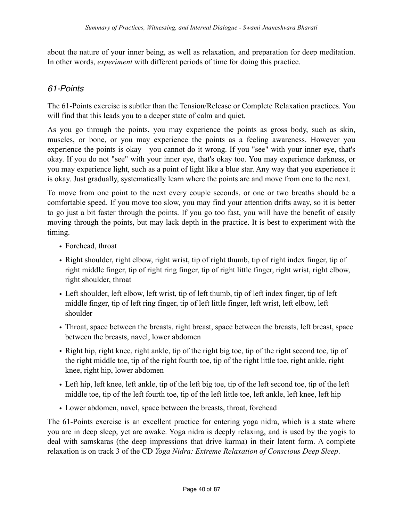about the nature of your inner being, as well as relaxation, and preparation for deep meditation. In other words, *experiment* with different periods of time for doing this practice.

# *61-Points*

The 61-Points exercise is subtler than the Tension/Release or Complete Relaxation practices. You will find that this leads you to a deeper state of calm and quiet.

As you go through the points, you may experience the points as gross body, such as skin, muscles, or bone, or you may experience the points as a feeling awareness. However you experience the points is okay—you cannot do it wrong. If you "see" with your inner eye, that's okay. If you do not "see" with your inner eye, that's okay too. You may experience darkness, or you may experience light, such as a point of light like a blue star. Any way that you experience it is okay. Just gradually, systematically learn where the points are and move from one to the next.

To move from one point to the next every couple seconds, or one or two breaths should be a comfortable speed. If you move too slow, you may find your attention drifts away, so it is better to go just a bit faster through the points. If you go too fast, you will have the benefit of easily moving through the points, but may lack depth in the practice. It is best to experiment with the timing.

- Forehead, throat
- Right shoulder, right elbow, right wrist, tip of right thumb, tip of right index finger, tip of right middle finger, tip of right ring finger, tip of right little finger, right wrist, right elbow, right shoulder, throat
- Left shoulder, left elbow, left wrist, tip of left thumb, tip of left index finger, tip of left middle finger, tip of left ring finger, tip of left little finger, left wrist, left elbow, left shoulder
- Throat, space between the breasts, right breast, space between the breasts, left breast, space between the breasts, navel, lower abdomen
- Right hip, right knee, right ankle, tip of the right big toe, tip of the right second toe, tip of the right middle toe, tip of the right fourth toe, tip of the right little toe, right ankle, right knee, right hip, lower abdomen
- Left hip, left knee, left ankle, tip of the left big toe, tip of the left second toe, tip of the left middle toe, tip of the left fourth toe, tip of the left little toe, left ankle, left knee, left hip
- Lower abdomen, navel, space between the breasts, throat, forehead

The 61-Points exercise is an excellent practice for entering yoga nidra, which is a state where you are in deep sleep, yet are awake. Yoga nidra is deeply relaxing, and is used by the yogis to deal with samskaras (the deep impressions that drive karma) in their latent form. A complete relaxation is on track 3 of the CD *Yoga Nidra: Extreme Relaxation of Conscious Deep Sleep*.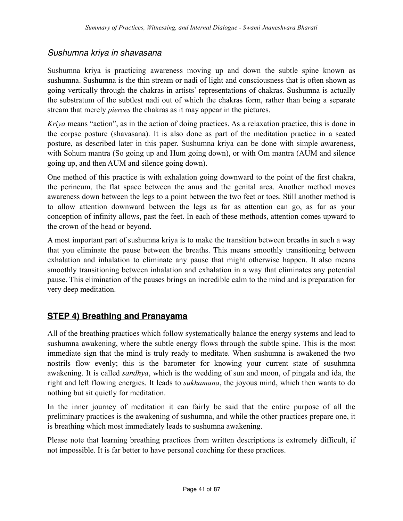## *Sushumna kriya in shavasana*

Sushumna kriya is practicing awareness moving up and down the subtle spine known as sushumna. Sushumna is the thin stream or nadi of light and consciousness that is often shown as going vertically through the chakras in artists' representations of chakras. Sushumna is actually the substratum of the subtlest nadi out of which the chakras form, rather than being a separate stream that merely *pierces* the chakras as it may appear in the pictures.

*Kriya* means "action", as in the action of doing practices. As a relaxation practice, this is done in the corpse posture (shavasana). It is also done as part of the meditation practice in a seated posture, as described later in this paper. Sushumna kriya can be done with simple awareness, with Sohum mantra (So going up and Hum going down), or with Om mantra (AUM and silence going up, and then AUM and silence going down).

One method of this practice is with exhalation going downward to the point of the first chakra, the perineum, the flat space between the anus and the genital area. Another method moves awareness down between the legs to a point between the two feet or toes. Still another method is to allow attention downward between the legs as far as attention can go, as far as your conception of infinity allows, past the feet. In each of these methods, attention comes upward to the crown of the head or beyond.

A most important part of sushumna kriya is to make the transition between breaths in such a way that you eliminate the pause between the breaths. This means smoothly transitioning between exhalation and inhalation to eliminate any pause that might otherwise happen. It also means smoothly transitioning between inhalation and exhalation in a way that eliminates any potential pause. This elimination of the pauses brings an incredible calm to the mind and is preparation for very deep meditation.

# **STEP 4) Breathing and Pranayama**

All of the breathing practices which follow systematically balance the energy systems and lead to sushumna awakening, where the subtle energy flows through the subtle spine. This is the most immediate sign that the mind is truly ready to meditate. When sushumna is awakened the two nostrils flow evenly; this is the barometer for knowing your current state of susuhmna awakening. It is called *sandhya*, which is the wedding of sun and moon, of pingala and ida, the right and left flowing energies. It leads to *sukhamana*, the joyous mind, which then wants to do nothing but sit quietly for meditation.

In the inner journey of meditation it can fairly be said that the entire purpose of all the preliminary practices is the awakening of sushumna, and while the other practices prepare one, it is breathing which most immediately leads to sushumna awakening.

Please note that learning breathing practices from written descriptions is extremely difficult, if not impossible. It is far better to have personal coaching for these practices.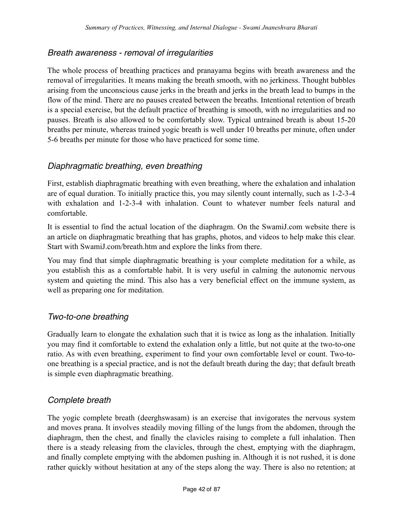## *Breath awareness - removal of irregularities*

The whole process of breathing practices and pranayama begins with breath awareness and the removal of irregularities. It means making the breath smooth, with no jerkiness. Thought bubbles arising from the unconscious cause jerks in the breath and jerks in the breath lead to bumps in the flow of the mind. There are no pauses created between the breaths. Intentional retention of breath is a special exercise, but the default practice of breathing is smooth, with no irregularities and no pauses. Breath is also allowed to be comfortably slow. Typical untrained breath is about 15-20 breaths per minute, whereas trained yogic breath is well under 10 breaths per minute, often under 5-6 breaths per minute for those who have practiced for some time.

## *Diaphragmatic breathing, even breathing*

First, establish diaphragmatic breathing with even breathing, where the exhalation and inhalation are of equal duration. To initially practice this, you may silently count internally, such as 1-2-3-4 with exhalation and 1-2-3-4 with inhalation. Count to whatever number feels natural and comfortable.

It is essential to find the actual location of the diaphragm. On the SwamiJ.com website there is an article on diaphragmatic breathing that has graphs, photos, and videos to help make this clear. Start with SwamiJ.com/breath.htm and explore the links from there.

You may find that simple diaphragmatic breathing is your complete meditation for a while, as you establish this as a comfortable habit. It is very useful in calming the autonomic nervous system and quieting the mind. This also has a very beneficial effect on the immune system, as well as preparing one for meditation.

#### *Two-to-one breathing*

Gradually learn to elongate the exhalation such that it is twice as long as the inhalation. Initially you may find it comfortable to extend the exhalation only a little, but not quite at the two-to-one ratio. As with even breathing, experiment to find your own comfortable level or count. Two-toone breathing is a special practice, and is not the default breath during the day; that default breath is simple even diaphragmatic breathing.

## *Complete breath*

The yogic complete breath (deerghswasam) is an exercise that invigorates the nervous system and moves prana. It involves steadily moving filling of the lungs from the abdomen, through the diaphragm, then the chest, and finally the clavicles raising to complete a full inhalation. Then there is a steady releasing from the clavicles, through the chest, emptying with the diaphragm, and finally complete emptying with the abdomen pushing in. Although it is not rushed, it is done rather quickly without hesitation at any of the steps along the way. There is also no retention; at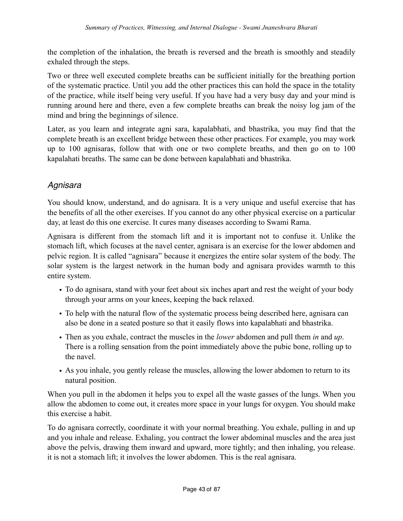the completion of the inhalation, the breath is reversed and the breath is smoothly and steadily exhaled through the steps.

Two or three well executed complete breaths can be sufficient initially for the breathing portion of the systematic practice. Until you add the other practices this can hold the space in the totality of the practice, while itself being very useful. If you have had a very busy day and your mind is running around here and there, even a few complete breaths can break the noisy log jam of the mind and bring the beginnings of silence.

Later, as you learn and integrate agni sara, kapalabhati, and bhastrika, you may find that the complete breath is an excellent bridge between these other practices. For example, you may work up to 100 agnisaras, follow that with one or two complete breaths, and then go on to 100 kapalahati breaths. The same can be done between kapalabhati and bhastrika.

# *Agnisara*

You should know, understand, and do agnisara. It is a very unique and useful exercise that has the benefits of all the other exercises. If you cannot do any other physical exercise on a particular day, at least do this one exercise. It cures many diseases according to Swami Rama.

Agnisara is different from the stomach lift and it is important not to confuse it. Unlike the stomach lift, which focuses at the navel center, agnisara is an exercise for the lower abdomen and pelvic region. It is called "agnisara" because it energizes the entire solar system of the body. The solar system is the largest network in the human body and agnisara provides warmth to this entire system.

- To do agnisara, stand with your feet about six inches apart and rest the weight of your body through your arms on your knees, keeping the back relaxed.
- To help with the natural flow of the systematic process being described here, agnisara can also be done in a seated posture so that it easily flows into kapalabhati and bhastrika.
- Then as you exhale, contract the muscles in the *lower* abdomen and pull them *in* and *up*. There is a rolling sensation from the point immediately above the pubic bone, rolling up to the navel.
- As you inhale, you gently release the muscles, allowing the lower abdomen to return to its natural position.

When you pull in the abdomen it helps you to expel all the waste gasses of the lungs. When you allow the abdomen to come out, it creates more space in your lungs for oxygen. You should make this exercise a habit.

To do agnisara correctly, coordinate it with your normal breathing. You exhale, pulling in and up and you inhale and release. Exhaling, you contract the lower abdominal muscles and the area just above the pelvis, drawing them inward and upward, more tightly; and then inhaling, you release. it is not a stomach lift; it involves the lower abdomen. This is the real agnisara.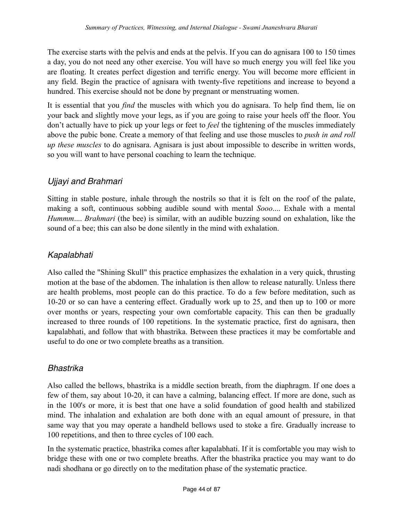The exercise starts with the pelvis and ends at the pelvis. If you can do agnisara 100 to 150 times a day, you do not need any other exercise. You will have so much energy you will feel like you are floating. It creates perfect digestion and terrific energy. You will become more efficient in any field. Begin the practice of agnisara with twenty-five repetitions and increase to beyond a hundred. This exercise should not be done by pregnant or menstruating women.

It is essential that you *find* the muscles with which you do agnisara. To help find them, lie on your back and slightly move your legs, as if you are going to raise your heels off the floor. You don't actually have to pick up your legs or feet to *feel* the tightening of the muscles immediately above the pubic bone. Create a memory of that feeling and use those muscles to *push in and roll up these muscles* to do agnisara. Agnisara is just about impossible to describe in written words, so you will want to have personal coaching to learn the technique.

# *Ujjayi and Brahmari*

Sitting in stable posture, inhale through the nostrils so that it is felt on the roof of the palate, making a soft, continuous sobbing audible sound with mental *Sooo*.... Exhale with a mental *Hummm*.... *Brahmari* (the bee) is similar, with an audible buzzing sound on exhalation, like the sound of a bee; this can also be done silently in the mind with exhalation.

## *Kapalabhati*

Also called the "Shining Skull" this practice emphasizes the exhalation in a very quick, thrusting motion at the base of the abdomen. The inhalation is then allow to release naturally. Unless there are health problems, most people can do this practice. To do a few before meditation, such as 10-20 or so can have a centering effect. Gradually work up to 25, and then up to 100 or more over months or years, respecting your own comfortable capacity. This can then be gradually increased to three rounds of 100 repetitions. In the systematic practice, first do agnisara, then kapalabhati, and follow that with bhastrika. Between these practices it may be comfortable and useful to do one or two complete breaths as a transition.

## *Bhastrika*

Also called the bellows, bhastrika is a middle section breath, from the diaphragm. If one does a few of them, say about 10-20, it can have a calming, balancing effect. If more are done, such as in the 100's or more, it is best that one have a solid foundation of good health and stabilized mind. The inhalation and exhalation are both done with an equal amount of pressure, in that same way that you may operate a handheld bellows used to stoke a fire. Gradually increase to 100 repetitions, and then to three cycles of 100 each.

In the systematic practice, bhastrika comes after kapalabhati. If it is comfortable you may wish to bridge these with one or two complete breaths. After the bhastrika practice you may want to do nadi shodhana or go directly on to the meditation phase of the systematic practice.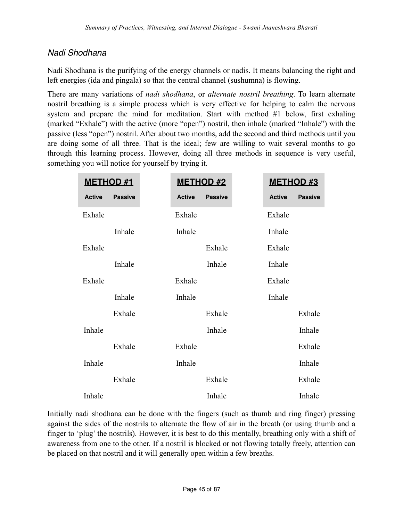# *Nadi Shodhana*

Nadi Shodhana is the purifying of the energy channels or nadis. It means balancing the right and left energies (ida and pingala) so that the central channel (sushumna) is flowing.

There are many variations of *nadi shodhana*, or *alternate nostril breathing*. To learn alternate nostril breathing is a simple process which is very effective for helping to calm the nervous system and prepare the mind for meditation. Start with method #1 below, first exhaling (marked "Exhale") with the active (more "open") nostril, then inhale (marked "Inhale") with the passive (less "open") nostril. After about two months, add the second and third methods until you are doing some of all three. That is the ideal; few are willing to wait several months to go through this learning process. However, doing all three methods in sequence is very useful, something you will notice for yourself by trying it.

| <b>METHOD #1</b> |                | <b>METHOD #2</b> |                | <b>METHOD #3</b> |                |
|------------------|----------------|------------------|----------------|------------------|----------------|
| <b>Active</b>    | <b>Passive</b> | <b>Active</b>    | <b>Passive</b> | <b>Active</b>    | <b>Passive</b> |
| Exhale           |                | Exhale           |                | Exhale           |                |
|                  | Inhale         | Inhale           |                | Inhale           |                |
| Exhale           |                |                  | Exhale         | Exhale           |                |
|                  | Inhale         |                  | Inhale         | Inhale           |                |
| Exhale           |                | Exhale           |                | Exhale           |                |
|                  | Inhale         | Inhale           |                | Inhale           |                |
|                  | Exhale         |                  | Exhale         |                  | Exhale         |
| Inhale           |                |                  | Inhale         |                  | Inhale         |
|                  | Exhale         | Exhale           |                |                  | Exhale         |
| Inhale           |                | Inhale           |                |                  | Inhale         |
|                  | Exhale         |                  | Exhale         |                  | Exhale         |
| Inhale           |                |                  | Inhale         |                  | Inhale         |

Initially nadi shodhana can be done with the fingers (such as thumb and ring finger) pressing against the sides of the nostrils to alternate the flow of air in the breath (or using thumb and a finger to 'plug' the nostrils). However, it is best to do this mentally, breathing only with a shift of awareness from one to the other. If a nostril is blocked or not flowing totally freely, attention can be placed on that nostril and it will generally open within a few breaths.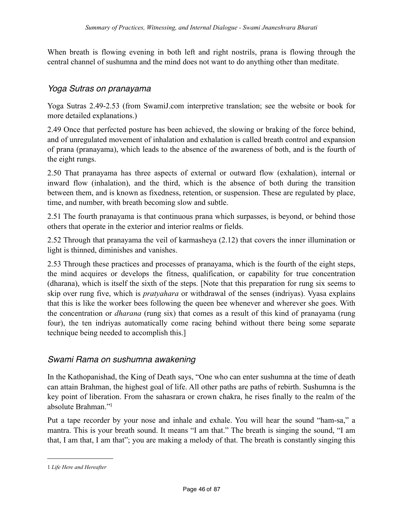When breath is flowing evening in both left and right nostrils, prana is flowing through the central channel of sushumna and the mind does not want to do anything other than meditate.

#### *Yoga Sutras on pranayama*

Yoga Sutras 2.49-2.53 (from SwamiJ.com interpretive translation; see the website or book for more detailed explanations.)

2.49 Once that perfected posture has been achieved, the slowing or braking of the force behind, and of unregulated movement of inhalation and exhalation is called breath control and expansion of prana (pranayama), which leads to the absence of the awareness of both, and is the fourth of the eight rungs.

2.50 That pranayama has three aspects of external or outward flow (exhalation), internal or inward flow (inhalation), and the third, which is the absence of both during the transition between them, and is known as fixedness, retention, or suspension. These are regulated by place, time, and number, with breath becoming slow and subtle.

2.51 The fourth pranayama is that continuous prana which surpasses, is beyond, or behind those others that operate in the exterior and interior realms or fields.

2.52 Through that pranayama the veil of karmasheya (2.12) that covers the inner illumination or light is thinned, diminishes and vanishes.

2.53 Through these practices and processes of pranayama, which is the fourth of the eight steps, the mind acquires or develops the fitness, qualification, or capability for true concentration (dharana), which is itself the sixth of the steps. [Note that this preparation for rung six seems to skip over rung five, which is *pratyahara* or withdrawal of the senses (indriyas). Vyasa explains that this is like the worker bees following the queen bee whenever and wherever she goes. With the concentration or *dharana* (rung six) that comes as a result of this kind of pranayama (rung four), the ten indriyas automatically come racing behind without there being some separate technique being needed to accomplish this.]

#### *Swami Rama on sushumna awakening*

In the Kathopanishad, the King of Death says, "One who can enter sushumna at the time of death can attain Brahman, the highest goal of life. All other paths are paths of rebirth. Sushumna is the key point of liberation. From the sahasrara or crown chakra, he rises finally to the realm of the absolute Brahman.["1](#page-45-0)

Put a tape recorder by your nose and inhale and exhale. You will hear the sound "ham-sa," a mantra. This is your breath sound. It means "I am that." The breath is singing the sound, "I am that, I am that, I am that"; you are making a melody of that. The breath is constantly singing this

<span id="page-45-0"></span><sup>1</sup> *Life Here and Hereafter*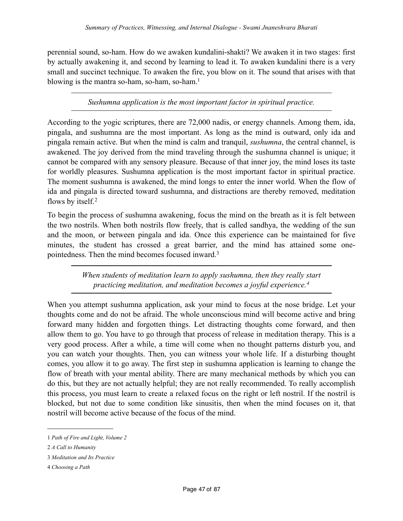perennial sound, so-ham. How do we awaken kundalini-shakti? We awaken it in two stages: first by actually awakening it, and second by learning to lead it. To awaken kundalini there is a very small and succinct technique. To awaken the fire, you blow on it. The sound that arises with that blowing is the mantra so-ham, so-ham, so-ham.<sup>1</sup>

*Sushumna application is the most important factor in spiritual practice.*

According to the yogic scriptures, there are 72,000 nadis, or energy channels. Among them, ida, pingala, and sushumna are the most important. As long as the mind is outward, only ida and pingala remain active. But when the mind is calm and tranquil, *sushumna*, the central channel, is awakened. The joy derived from the mind traveling through the sushumna channel is unique; it cannot be compared with any sensory pleasure. Because of that inner joy, the mind loses its taste for worldly pleasures. Sushumna application is the most important factor in spiritual practice. The moment sushumna is awakened, the mind longs to enter the inner world. When the flow of ida and pingala is directed toward sushumna, and distractions are thereby removed, meditation flows by itself.<sup>[2](#page-46-1)</sup>

To begin the process of sushumna awakening, focus the mind on the breath as it is felt between the two nostrils. When both nostrils flow freely, that is called sandhya, the wedding of the sun and the moon, or between pingala and ida. Once this experience can be maintained for five minutes, the student has crossed a great barrier, and the mind has attained some onepointedness. Then the mind becomes focused inward[.3](#page-46-2)

> *When students of meditation learn to apply sushumna, then they really start practicing meditation, and meditation becomes a joyful experience.[4](#page-46-3)*

When you attempt sushumna application, ask your mind to focus at the nose bridge. Let your thoughts come and do not be afraid. The whole unconscious mind will become active and bring forward many hidden and forgotten things. Let distracting thoughts come forward, and then allow them to go. You have to go through that process of release in meditation therapy. This is a very good process. After a while, a time will come when no thought patterns disturb you, and you can watch your thoughts. Then, you can witness your whole life. If a disturbing thought comes, you allow it to go away. The first step in sushumna application is learning to change the flow of breath with your mental ability. There are many mechanical methods by which you can do this, but they are not actually helpful; they are not really recommended. To really accomplish this process, you must learn to create a relaxed focus on the right or left nostril. If the nostril is blocked, but not due to some condition like sinusitis, then when the mind focuses on it, that nostril will become active because of the focus of the mind.

<span id="page-46-0"></span><sup>1</sup> *Path of Fire and Light, Volume 2*

<span id="page-46-1"></span><sup>2</sup> *A Call to Humanity*

<span id="page-46-2"></span><sup>3</sup> *Meditation and Its Practice*

<span id="page-46-3"></span><sup>4</sup> *Choosing a Path*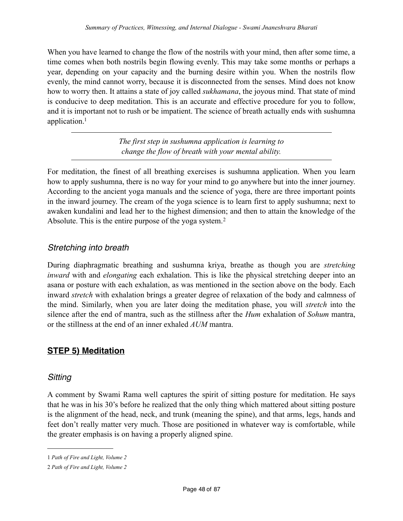When you have learned to change the flow of the nostrils with your mind, then after some time, a time comes when both nostrils begin flowing evenly. This may take some months or perhaps a year, depending on your capacity and the burning desire within you. When the nostrils flow evenly, the mind cannot worry, because it is disconnected from the senses. Mind does not know how to worry then. It attains a state of joy called *sukhamana*, the joyous mind. That state of mind is conducive to deep meditation. This is an accurate and effective procedure for you to follow, and it is important not to rush or be impatient. The science of breath actually ends with sushumna application[.1](#page-47-0)

> *The first step in sushumna application is learning to change the flow of breath with your mental ability.*

For meditation, the finest of all breathing exercises is sushumna application. When you learn how to apply sushumna, there is no way for your mind to go anywhere but into the inner journey. According to the ancient yoga manuals and the science of yoga, there are three important points in the inward journey. The cream of the yoga science is to learn first to apply sushumna; next to awaken kundalini and lead her to the highest dimension; and then to attain the knowledge of the Absolute. This is the entire purpose of the yoga system.<sup>[2](#page-47-1)</sup>

## *Stretching into breath*

During diaphragmatic breathing and sushumna kriya, breathe as though you are *stretching inward* with and *elongating* each exhalation. This is like the physical stretching deeper into an asana or posture with each exhalation, as was mentioned in the section above on the body. Each inward *stretch* with exhalation brings a greater degree of relaxation of the body and calmness of the mind. Similarly, when you are later doing the meditation phase, you will *stretch* into the silence after the end of mantra, such as the stillness after the *Hum* exhalation of *Sohum* mantra, or the stillness at the end of an inner exhaled *AUM* mantra.

## **STEP 5) Meditation**

#### *Sitting*

A comment by Swami Rama well captures the spirit of sitting posture for meditation. He says that he was in his 30's before he realized that the only thing which mattered about sitting posture is the alignment of the head, neck, and trunk (meaning the spine), and that arms, legs, hands and feet don't really matter very much. Those are positioned in whatever way is comfortable, while the greater emphasis is on having a properly aligned spine.

<span id="page-47-0"></span><sup>1</sup> *Path of Fire and Light, Volume 2*

<span id="page-47-1"></span><sup>2</sup> *Path of Fire and Light, Volume 2*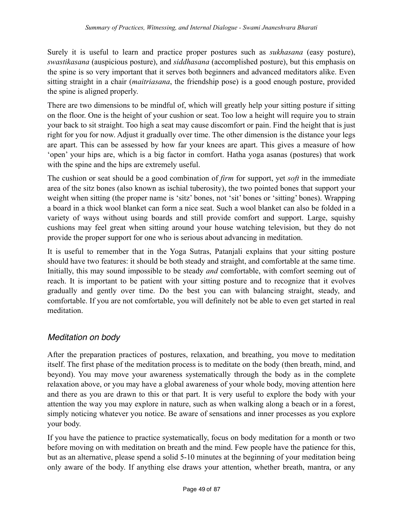Surely it is useful to learn and practice proper postures such as *sukhasana* (easy posture), *swastikasana* (auspicious posture), and *siddhasana* (accomplished posture), but this emphasis on the spine is so very important that it serves both beginners and advanced meditators alike. Even sitting straight in a chair (*maitriasana*, the friendship pose) is a good enough posture, provided the spine is aligned properly.

There are two dimensions to be mindful of, which will greatly help your sitting posture if sitting on the floor. One is the height of your cushion or seat. Too low a height will require you to strain your back to sit straight. Too high a seat may cause discomfort or pain. Find the height that is just right for you for now. Adjust it gradually over time. The other dimension is the distance your legs are apart. This can be assessed by how far your knees are apart. This gives a measure of how 'open' your hips are, which is a big factor in comfort. Hatha yoga asanas (postures) that work with the spine and the hips are extremely useful.

The cushion or seat should be a good combination of *firm* for support, yet *soft* in the immediate area of the sitz bones (also known as ischial tuberosity), the two pointed bones that support your weight when sitting (the proper name is 'sitz' bones, not 'sit' bones or 'sitting' bones). Wrapping a board in a thick wool blanket can form a nice seat. Such a wool blanket can also be folded in a variety of ways without using boards and still provide comfort and support. Large, squishy cushions may feel great when sitting around your house watching television, but they do not provide the proper support for one who is serious about advancing in meditation.

It is useful to remember that in the Yoga Sutras, Patanjali explains that your sitting posture should have two features: it should be both steady and straight, and comfortable at the same time. Initially, this may sound impossible to be steady *and* comfortable, with comfort seeming out of reach. It is important to be patient with your sitting posture and to recognize that it evolves gradually and gently over time. Do the best you can with balancing straight, steady, and comfortable. If you are not comfortable, you will definitely not be able to even get started in real meditation.

## *Meditation on body*

After the preparation practices of postures, relaxation, and breathing, you move to meditation itself. The first phase of the meditation process is to meditate on the body (then breath, mind, and beyond). You may move your awareness systematically through the body as in the complete relaxation above, or you may have a global awareness of your whole body, moving attention here and there as you are drawn to this or that part. It is very useful to explore the body with your attention the way you may explore in nature, such as when walking along a beach or in a forest, simply noticing whatever you notice. Be aware of sensations and inner processes as you explore your body.

If you have the patience to practice systematically, focus on body meditation for a month or two before moving on with meditation on breath and the mind. Few people have the patience for this, but as an alternative, please spend a solid 5-10 minutes at the beginning of your meditation being only aware of the body. If anything else draws your attention, whether breath, mantra, or any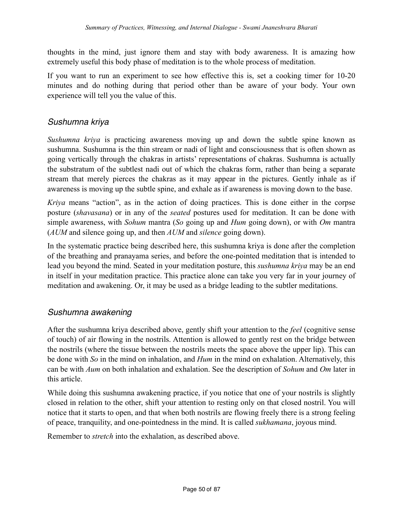thoughts in the mind, just ignore them and stay with body awareness. It is amazing how extremely useful this body phase of meditation is to the whole process of meditation.

If you want to run an experiment to see how effective this is, set a cooking timer for 10-20 minutes and do nothing during that period other than be aware of your body. Your own experience will tell you the value of this.

# *Sushumna kriya*

*Sushumna kriya* is practicing awareness moving up and down the subtle spine known as sushumna. Sushumna is the thin stream or nadi of light and consciousness that is often shown as going vertically through the chakras in artists' representations of chakras. Sushumna is actually the substratum of the subtlest nadi out of which the chakras form, rather than being a separate stream that merely pierces the chakras as it may appear in the pictures. Gently inhale as if awareness is moving up the subtle spine, and exhale as if awareness is moving down to the base.

*Kriya* means "action", as in the action of doing practices. This is done either in the corpse posture (*shavasana*) or in any of the *seated* postures used for meditation. It can be done with simple awareness, with *Sohum* mantra (*So* going up and *Hum* going down), or with *Om* mantra (*AUM* and silence going up, and then *AUM* and *silence* going down).

In the systematic practice being described here, this sushumna kriya is done after the completion of the breathing and pranayama series, and before the one-pointed meditation that is intended to lead you beyond the mind. Seated in your meditation posture, this *sushumna kriya* may be an end in itself in your meditation practice. This practice alone can take you very far in your journey of meditation and awakening. Or, it may be used as a bridge leading to the subtler meditations.

## *Sushumna awakening*

After the sushumna kriya described above, gently shift your attention to the *feel* (cognitive sense of touch) of air flowing in the nostrils. Attention is allowed to gently rest on the bridge between the nostrils (where the tissue between the nostrils meets the space above the upper lip). This can be done with *So* in the mind on inhalation, and *Hum* in the mind on exhalation. Alternatively, this can be with *Aum* on both inhalation and exhalation. See the description of *Sohum* and *Om* later in this article.

While doing this sushumna awakening practice, if you notice that one of your nostrils is slightly closed in relation to the other, shift your attention to resting only on that closed nostril. You will notice that it starts to open, and that when both nostrils are flowing freely there is a strong feeling of peace, tranquility, and one-pointedness in the mind. It is called *sukhamana*, joyous mind.

Remember to *stretch* into the exhalation, as described above.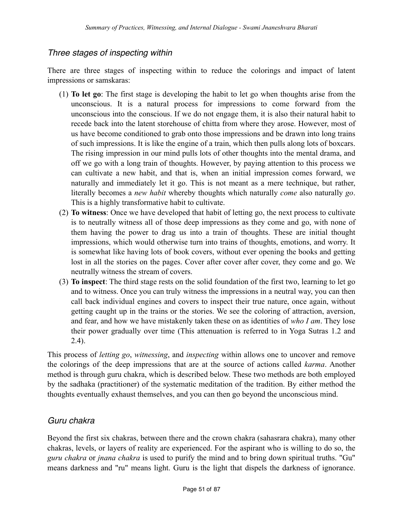## *Three stages of inspecting within*

There are three stages of inspecting within to reduce the colorings and impact of latent impressions or samskaras:

- (1) **To let go**: The first stage is developing the habit to let go when thoughts arise from the unconscious. It is a natural process for impressions to come forward from the unconscious into the conscious. If we do not engage them, it is also their natural habit to recede back into the latent storehouse of chitta from where they arose. However, most of us have become conditioned to grab onto those impressions and be drawn into long trains of such impressions. It is like the engine of a train, which then pulls along lots of boxcars. The rising impression in our mind pulls lots of other thoughts into the mental drama, and off we go with a long train of thoughts. However, by paying attention to this process we can cultivate a new habit, and that is, when an initial impression comes forward, we naturally and immediately let it go. This is not meant as a mere technique, but rather, literally becomes a *new habit* whereby thoughts which naturally *come* also naturally *go*. This is a highly transformative habit to cultivate.
- (2) **To witness**: Once we have developed that habit of letting go, the next process to cultivate is to neutrally witness all of those deep impressions as they come and go, with none of them having the power to drag us into a train of thoughts. These are initial thought impressions, which would otherwise turn into trains of thoughts, emotions, and worry. It is somewhat like having lots of book covers, without ever opening the books and getting lost in all the stories on the pages. Cover after cover after cover, they come and go. We neutrally witness the stream of covers.
- (3) **To inspect**: The third stage rests on the solid foundation of the first two, learning to let go and to witness. Once you can truly witness the impressions in a neutral way, you can then call back individual engines and covers to inspect their true nature, once again, without getting caught up in the trains or the stories. We see the coloring of attraction, aversion, and fear, and how we have mistakenly taken these on as identities of *who I am*. They lose their power gradually over time (This attenuation is referred to in Yoga Sutras 1.2 and 2.4).

This process of *letting go*, *witnessing*, and *inspecting* within allows one to uncover and remove the colorings of the deep impressions that are at the source of actions called *karma*. Another method is through guru chakra, which is described below. These two methods are both employed by the sadhaka (practitioner) of the systematic meditation of the tradition. By either method the thoughts eventually exhaust themselves, and you can then go beyond the unconscious mind.

## *Guru chakra*

Beyond the first six chakras, between there and the crown chakra (sahasrara chakra), many other chakras, levels, or layers of reality are experienced. For the aspirant who is willing to do so, the *guru chakra* or *jnana chakra* is used to purify the mind and to bring down spiritual truths. "Gu" means darkness and "ru" means light. Guru is the light that dispels the darkness of ignorance.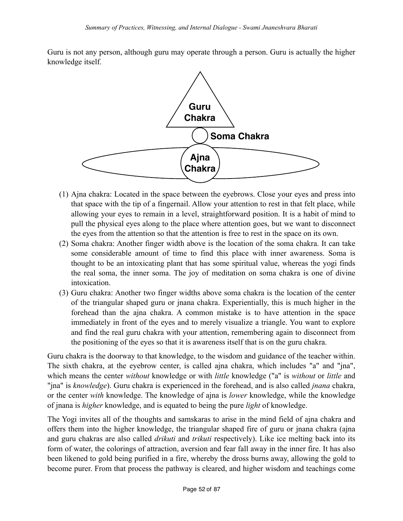Guru is not any person, although guru may operate through a person. Guru is actually the higher knowledge itself.



- (1) Ajna chakra: Located in the space between the eyebrows. Close your eyes and press into that space with the tip of a fingernail. Allow your attention to rest in that felt place, while allowing your eyes to remain in a level, straightforward position. It is a habit of mind to pull the physical eyes along to the place where attention goes, but we want to disconnect the eyes from the attention so that the attention is free to rest in the space on its own.
- (2) Soma chakra: Another finger width above is the location of the soma chakra. It can take some considerable amount of time to find this place with inner awareness. Soma is thought to be an intoxicating plant that has some spiritual value, whereas the yogi finds the real soma, the inner soma. The joy of meditation on soma chakra is one of divine intoxication.
- (3) Guru chakra: Another two finger widths above soma chakra is the location of the center of the triangular shaped guru or jnana chakra. Experientially, this is much higher in the forehead than the ajna chakra. A common mistake is to have attention in the space immediately in front of the eyes and to merely visualize a triangle. You want to explore and find the real guru chakra with your attention, remembering again to disconnect from the positioning of the eyes so that it is awareness itself that is on the guru chakra.

Guru chakra is the doorway to that knowledge, to the wisdom and guidance of the teacher within. The sixth chakra, at the eyebrow center, is called ajna chakra, which includes "a" and "jna", which means the center *without* knowledge or with *little* knowledge ("a" is *without* or *little* and "jna" is *knowledge*). Guru chakra is experienced in the forehead, and is also called *jnana* chakra, or the center *with* knowledge. The knowledge of ajna is *lower* knowledge, while the knowledge of jnana is *higher* knowledge, and is equated to being the pure *light* of knowledge.

The Yogi invites all of the thoughts and samskaras to arise in the mind field of ajna chakra and offers them into the higher knowledge, the triangular shaped fire of guru or jnana chakra (ajna and guru chakras are also called *drikuti* and *trikuti* respectively). Like ice melting back into its form of water, the colorings of attraction, aversion and fear fall away in the inner fire. It has also been likened to gold being purified in a fire, whereby the dross burns away, allowing the gold to become purer. From that process the pathway is cleared, and higher wisdom and teachings come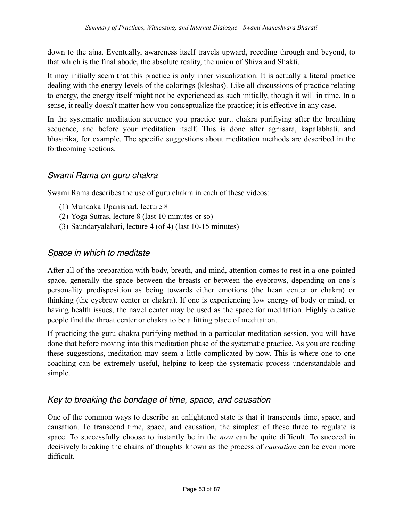down to the ajna. Eventually, awareness itself travels upward, receding through and beyond, to that which is the final abode, the absolute reality, the union of Shiva and Shakti.

It may initially seem that this practice is only inner visualization. It is actually a literal practice dealing with the energy levels of the colorings (kleshas). Like all discussions of practice relating to energy, the energy itself might not be experienced as such initially, though it will in time. In a sense, it really doesn't matter how you conceptualize the practice; it is effective in any case.

In the systematic meditation sequence you practice guru chakra purifiying after the breathing sequence, and before your meditation itself. This is done after agnisara, kapalabhati, and bhastrika, for example. The specific suggestions about meditation methods are described in the forthcoming sections.

## *Swami Rama on guru chakra*

Swami Rama describes the use of guru chakra in each of these videos:

- (1) Mundaka Upanishad, lecture 8
- (2) Yoga Sutras, lecture 8 (last 10 minutes or so)
- (3) Saundaryalahari, lecture 4 (of 4) (last 10-15 minutes)

#### *Space in which to meditate*

After all of the preparation with body, breath, and mind, attention comes to rest in a one-pointed space, generally the space between the breasts or between the eyebrows, depending on one's personality predisposition as being towards either emotions (the heart center or chakra) or thinking (the eyebrow center or chakra). If one is experiencing low energy of body or mind, or having health issues, the navel center may be used as the space for meditation. Highly creative people find the throat center or chakra to be a fitting place of meditation.

If practicing the guru chakra purifying method in a particular meditation session, you will have done that before moving into this meditation phase of the systematic practice. As you are reading these suggestions, meditation may seem a little complicated by now. This is where one-to-one coaching can be extremely useful, helping to keep the systematic process understandable and simple.

#### *Key to breaking the bondage of time, space, and causation*

One of the common ways to describe an enlightened state is that it transcends time, space, and causation. To transcend time, space, and causation, the simplest of these three to regulate is space. To successfully choose to instantly be in the *now* can be quite difficult. To succeed in decisively breaking the chains of thoughts known as the process of *causation* can be even more difficult.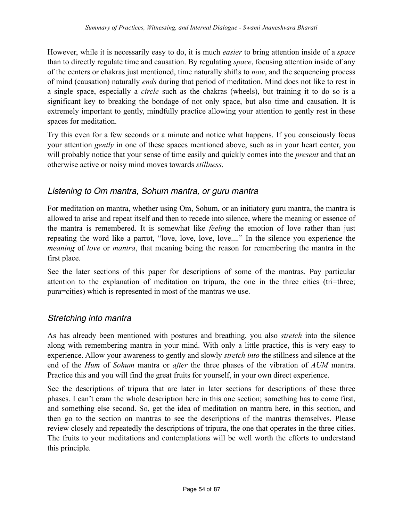However, while it is necessarily easy to do, it is much *easier* to bring attention inside of a *space* than to directly regulate time and causation. By regulating *space*, focusing attention inside of any of the centers or chakras just mentioned, time naturally shifts to *now*, and the sequencing process of mind (causation) naturally *ends* during that period of meditation. Mind does not like to rest in a single space, especially a *circle* such as the chakras (wheels), but training it to do so is a significant key to breaking the bondage of not only space, but also time and causation. It is extremely important to gently, mindfully practice allowing your attention to gently rest in these spaces for meditation.

Try this even for a few seconds or a minute and notice what happens. If you consciously focus your attention *gently* in one of these spaces mentioned above, such as in your heart center, you will probably notice that your sense of time easily and quickly comes into the *present* and that an otherwise active or noisy mind moves towards *stillness*.

## *Listening to Om mantra, Sohum mantra, or guru mantra*

For meditation on mantra, whether using Om, Sohum, or an initiatory guru mantra, the mantra is allowed to arise and repeat itself and then to recede into silence, where the meaning or essence of the mantra is remembered. It is somewhat like *feeling* the emotion of love rather than just repeating the word like a parrot, "love, love, love, love...." In the silence you experience the *meaning* of *love* or *mantra*, that meaning being the reason for remembering the mantra in the first place.

See the later sections of this paper for descriptions of some of the mantras. Pay particular attention to the explanation of meditation on tripura, the one in the three cities (tri=three; pura=cities) which is represented in most of the mantras we use.

#### *Stretching into mantra*

As has already been mentioned with postures and breathing, you also *stretch* into the silence along with remembering mantra in your mind. With only a little practice, this is very easy to experience. Allow your awareness to gently and slowly *stretch into* the stillness and silence at the end of the *Hum* of *Sohum* mantra or *after* the three phases of the vibration of *AUM* mantra. Practice this and you will find the great fruits for yourself, in your own direct experience.

See the descriptions of tripura that are later in later sections for descriptions of these three phases. I can't cram the whole description here in this one section; something has to come first, and something else second. So, get the idea of meditation on mantra here, in this section, and then go to the section on mantras to see the descriptions of the mantras themselves. Please review closely and repeatedly the descriptions of tripura, the one that operates in the three cities. The fruits to your meditations and contemplations will be well worth the efforts to understand this principle.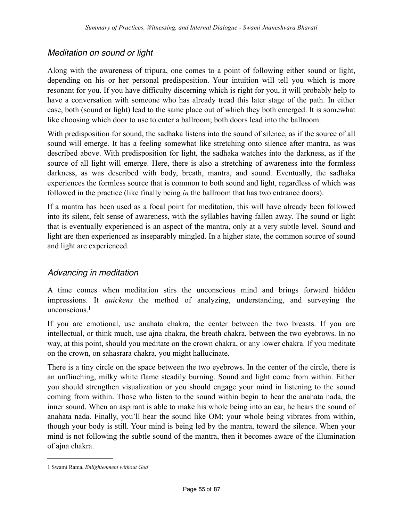## *Meditation on sound or light*

Along with the awareness of tripura, one comes to a point of following either sound or light, depending on his or her personal predisposition. Your intuition will tell you which is more resonant for you. If you have difficulty discerning which is right for you, it will probably help to have a conversation with someone who has already tread this later stage of the path. In either case, both (sound or light) lead to the same place out of which they both emerged. It is somewhat like choosing which door to use to enter a ballroom; both doors lead into the ballroom.

With predisposition for sound, the sadhaka listens into the sound of silence, as if the source of all sound will emerge. It has a feeling somewhat like stretching onto silence after mantra, as was described above. With predisposition for light, the sadhaka watches into the darkness, as if the source of all light will emerge. Here, there is also a stretching of awareness into the formless darkness, as was described with body, breath, mantra, and sound. Eventually, the sadhaka experiences the formless source that is common to both sound and light, regardless of which was followed in the practice (like finally being *in* the ballroom that has two entrance doors).

If a mantra has been used as a focal point for meditation, this will have already been followed into its silent, felt sense of awareness, with the syllables having fallen away. The sound or light that is eventually experienced is an aspect of the mantra, only at a very subtle level. Sound and light are then experienced as inseparably mingled. In a higher state, the common source of sound and light are experienced.

## *Advancing in meditation*

A time comes when meditation stirs the unconscious mind and brings forward hidden impressions. It *quickens* the method of analyzing, understanding, and surveying the unconscious<sup>1</sup>

If you are emotional, use anahata chakra, the center between the two breasts. If you are intellectual, or think much, use ajna chakra, the breath chakra, between the two eyebrows. In no way, at this point, should you meditate on the crown chakra, or any lower chakra. If you meditate on the crown, on sahasrara chakra, you might hallucinate.

There is a tiny circle on the space between the two eyebrows. In the center of the circle, there is an unflinching, milky white flame steadily burning. Sound and light come from within. Either you should strengthen visualization or you should engage your mind in listening to the sound coming from within. Those who listen to the sound within begin to hear the anahata nada, the inner sound. When an aspirant is able to make his whole being into an ear, he hears the sound of anahata nada. Finally, you'll hear the sound like OM; your whole being vibrates from within, though your body is still. Your mind is being led by the mantra, toward the silence. When your mind is not following the subtle sound of the mantra, then it becomes aware of the illumination of ajna chakra.

<span id="page-54-0"></span><sup>1</sup> Swami Rama, *Enlightenment without God*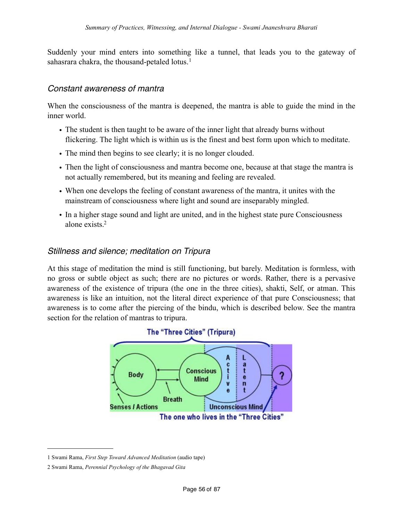Suddenly your mind enters into something like a tunnel, that leads you to the gateway of sahasrara chakra, the thousand-petaled lotus.<sup>[1](#page-55-0)</sup>

## *Constant awareness of mantra*

When the consciousness of the mantra is deepened, the mantra is able to guide the mind in the inner world.

- The student is then taught to be aware of the inner light that already burns without flickering. The light which is within us is the finest and best form upon which to meditate.
- The mind then begins to see clearly; it is no longer clouded.
- Then the light of consciousness and mantra become one, because at that stage the mantra is not actually remembered, but its meaning and feeling are revealed.
- When one develops the feeling of constant awareness of the mantra, it unites with the mainstream of consciousness where light and sound are inseparably mingled.
- In a higher stage sound and light are united, and in the highest state pure Consciousness alone exists<sup>2</sup>

## *Stillness and silence; meditation on Tripura*

At this stage of meditation the mind is still functioning, but barely. Meditation is formless, with no gross or subtle object as such; there are no pictures or words. Rather, there is a pervasive awareness of the existence of tripura (the one in the three cities), shakti, Self, or atman. This awareness is like an intuition, not the literal direct experience of that pure Consciousness; that awareness is to come after the piercing of the bindu, which is described below. See the mantra section for the relation of mantras to tripura.



<span id="page-55-0"></span><sup>1</sup> Swami Rama, *First Step Toward Advanced Meditation* (audio tape)

<span id="page-55-1"></span><sup>2</sup> Swami Rama, *Perennial Psychology of the Bhagavad Gita*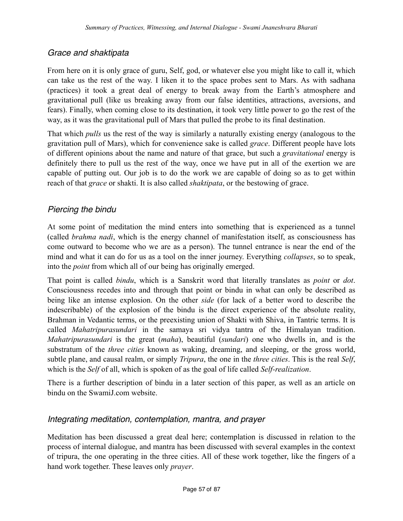## *Grace and shaktipata*

From here on it is only grace of guru, Self, god, or whatever else you might like to call it, which can take us the rest of the way. I liken it to the space probes sent to Mars. As with sadhana (practices) it took a great deal of energy to break away from the Earth's atmosphere and gravitational pull (like us breaking away from our false identities, attractions, aversions, and fears). Finally, when coming close to its destination, it took very little power to go the rest of the way, as it was the gravitational pull of Mars that pulled the probe to its final destination.

That which *pulls* us the rest of the way is similarly a naturally existing energy (analogous to the gravitation pull of Mars), which for convenience sake is called *grace*. Different people have lots of different opinions about the name and nature of that grace, but such a *gravitational* energy is definitely there to pull us the rest of the way, once we have put in all of the exertion we are capable of putting out. Our job is to do the work we are capable of doing so as to get within reach of that *grace* or shakti. It is also called *shaktipata*, or the bestowing of grace.

## *Piercing the bindu*

At some point of meditation the mind enters into something that is experienced as a tunnel (called *brahma nadi*, which is the energy channel of manifestation itself, as consciousness has come outward to become who we are as a person). The tunnel entrance is near the end of the mind and what it can do for us as a tool on the inner journey. Everything *collapses*, so to speak, into the *point* from which all of our being has originally emerged.

That point is called *bindu*, which is a Sanskrit word that literally translates as *point* or *dot*. Consciousness recedes into and through that point or bindu in what can only be described as being like an intense explosion. On the other *side* (for lack of a better word to describe the indescribable) of the explosion of the bindu is the direct experience of the absolute reality, Brahman in Vedantic terms, or the preexisting union of Shakti with Shiva, in Tantric terms. It is called *Mahatripurasundari* in the samaya sri vidya tantra of the Himalayan tradition. *Mahatripurasundari* is the great (*maha*), beautiful (*sundari*) one who dwells in, and is the substratum of the *three cities* known as waking, dreaming, and sleeping, or the gross world, subtle plane, and causal realm, or simply *Tripura*, the one in the *three cities*. This is the real *Self*, which is the *Self* of all, which is spoken of as the goal of life called *Self-realization*.

There is a further description of bindu in a later section of this paper, as well as an article on bindu on the SwamiJ.com website.

#### *Integrating meditation, contemplation, mantra, and prayer*

Meditation has been discussed a great deal here; contemplation is discussed in relation to the process of internal dialogue, and mantra has been discussed with several examples in the context of tripura, the one operating in the three cities. All of these work together, like the fingers of a hand work together. These leaves only *prayer*.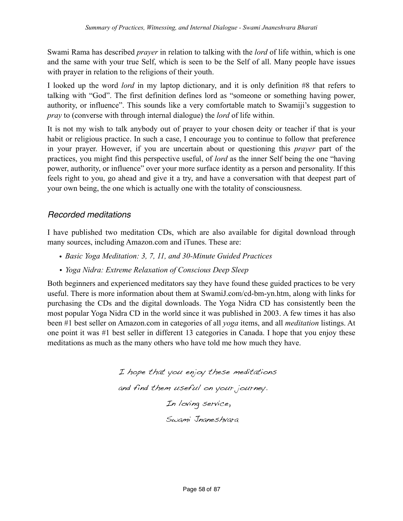Swami Rama has described *prayer* in relation to talking with the *lord* of life within, which is one and the same with your true Self, which is seen to be the Self of all. Many people have issues with prayer in relation to the religions of their youth.

I looked up the word *lord* in my laptop dictionary, and it is only definition #8 that refers to talking with "God". The first definition defines lord as "someone or something having power, authority, or influence". This sounds like a very comfortable match to Swamiji's suggestion to *pray* to (converse with through internal dialogue) the *lord* of life within.

It is not my wish to talk anybody out of prayer to your chosen deity or teacher if that is your habit or religious practice. In such a case, I encourage you to continue to follow that preference in your prayer. However, if you are uncertain about or questioning this *prayer* part of the practices, you might find this perspective useful, of *lord* as the inner Self being the one "having power, authority, or influence" over your more surface identity as a person and personality. If this feels right to you, go ahead and give it a try, and have a conversation with that deepest part of your own being, the one which is actually one with the totality of consciousness.

# *Recorded meditations*

I have published two meditation CDs, which are also available for digital download through many sources, including Amazon.com and iTunes. These are:

- *Basic Yoga Meditation: 3, 7, 11, and 30-Minute Guided Practices*
- *• Yoga Nidra: Extreme Relaxation of Conscious Deep Sleep*

Both beginners and experienced meditators say they have found these guided practices to be very useful. There is more information about them at SwamiJ.com/cd-bm-yn.htm, along with links for purchasing the CDs and the digital downloads. The Yoga Nidra CD has consistently been the most popular Yoga Nidra CD in the world since it was published in 2003. A few times it has also been #1 best seller on Amazon.com in categories of all *yoga* items, and all *meditation* listings. At one point it was #1 best seller in different 13 categories in Canada. I hope that you enjoy these meditations as much as the many others who have told me how much they have.

> I hope that you enjoy these meditations and find them useful on your journey. In loving service, Swami Jnaneshvara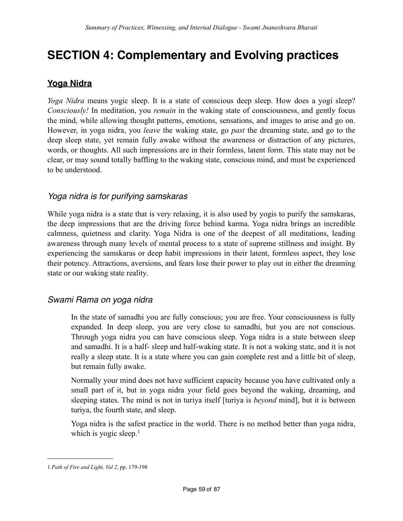# **SECTION 4: Complementary and Evolving practices**

## **Yoga Nidra**

*Yoga Nidra* means yogic sleep. It is a state of conscious deep sleep. How does a yogi sleep? *Consciously!* In meditation, you *remain* in the waking state of consciousness, and gently focus the mind, while allowing thought patterns, emotions, sensations, and images to arise and go on. However, in yoga nidra, you *leave* the waking state, go *past* the dreaming state, and go to the deep sleep state, yet remain fully awake without the awareness or distraction of any pictures, words, or thoughts. All such impressions are in their formless, latent form. This state may not be clear, or may sound totally baffling to the waking state, conscious mind, and must be experienced to be understood.

#### *Yoga nidra is for purifying samskaras*

While yoga nidra is a state that is very relaxing, it is also used by yogis to purify the samskaras, the deep impressions that are the driving force behind karma. Yoga nidra brings an incredible calmness, quietness and clarity. Yoga Nidra is one of the deepest of all meditations, leading awareness through many levels of mental process to a state of supreme stillness and insight. By experiencing the samskaras or deep habit impressions in their latent, formless aspect, they lose their potency. Attractions, aversions, and fears lose their power to play out in either the dreaming state or our waking state reality.

#### *Swami Rama on yoga nidra*

In the state of samadhi you are fully conscious; you are free. Your consciousness is fully expanded. In deep sleep, you are very close to samadhi, but you are not conscious. Through yoga nidra you can have conscious sleep. Yoga nidra is a state between sleep and samadhi. It is a half- sleep and half-waking state. It is not a waking state, and it is not really a sleep state. It is a state where you can gain complete rest and a little bit of sleep, but remain fully awake.

Normally your mind does not have sufficient capacity because you have cultivated only a small part of it, but in yoga nidra your field goes beyond the waking, dreaming, and sleeping states. The mind is not in turiya itself [turiya is *beyond* mind], but it is between turiya, the fourth state, and sleep.

Yoga nidra is the safest practice in the world. There is no method better than yoga nidra, which is yogic sleep. $<sup>1</sup>$  $<sup>1</sup>$  $<sup>1</sup>$ </sup>

<span id="page-58-0"></span><sup>1</sup> *Path of Fire and Light, Vol 2*, pp. 179-198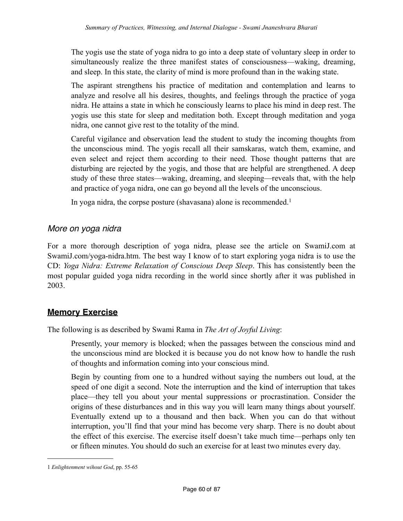The yogis use the state of yoga nidra to go into a deep state of voluntary sleep in order to simultaneously realize the three manifest states of consciousness—waking, dreaming, and sleep. In this state, the clarity of mind is more profound than in the waking state.

The aspirant strengthens his practice of meditation and contemplation and learns to analyze and resolve all his desires, thoughts, and feelings through the practice of yoga nidra. He attains a state in which he consciously learns to place his mind in deep rest. The yogis use this state for sleep and meditation both. Except through meditation and yoga nidra, one cannot give rest to the totality of the mind.

Careful vigilance and observation lead the student to study the incoming thoughts from the unconscious mind. The yogis recall all their samskaras, watch them, examine, and even select and reject them according to their need. Those thought patterns that are disturbing are rejected by the yogis, and those that are helpful are strengthened. A deep study of these three states—waking, dreaming, and sleeping—reveals that, with the help and practice of yoga nidra, one can go beyond all the levels of the unconscious.

In yoga nidra, the corpse posture (shavasana) alone is recommended.<sup>[1](#page-59-0)</sup>

## *More on yoga nidra*

For a more thorough description of yoga nidra, please see the article on SwamiJ.com at SwamiJ.com/yoga-nidra.htm. The best way I know of to start exploring yoga nidra is to use the CD: *Yoga Nidra: Extreme Relaxation of Conscious Deep Sleep*. This has consistently been the most popular guided yoga nidra recording in the world since shortly after it was published in 2003.

## **Memory Exercise**

The following is as described by Swami Rama in *The Art of Joyful Living*:

Presently, your memory is blocked; when the passages between the conscious mind and the unconscious mind are blocked it is because you do not know how to handle the rush of thoughts and information coming into your conscious mind.

Begin by counting from one to a hundred without saying the numbers out loud, at the speed of one digit a second. Note the interruption and the kind of interruption that takes place—they tell you about your mental suppressions or procrastination. Consider the origins of these disturbances and in this way you will learn many things about yourself. Eventually extend up to a thousand and then back. When you can do that without interruption, you'll find that your mind has become very sharp. There is no doubt about the effect of this exercise. The exercise itself doesn't take much time—perhaps only ten or fifteen minutes. You should do such an exercise for at least two minutes every day.

<span id="page-59-0"></span><sup>1</sup> *Enlightenment wihout God*, pp. 55-65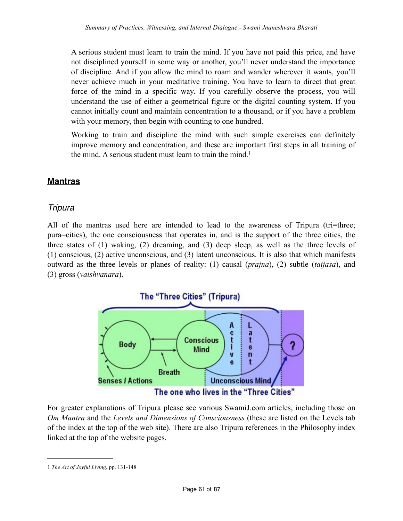A serious student must learn to train the mind. If you have not paid this price, and have not disciplined yourself in some way or another, you'll never understand the importance of discipline. And if you allow the mind to roam and wander wherever it wants, you'll never achieve much in your meditative training. You have to learn to direct that great force of the mind in a specific way. If you carefully observe the process, you will understand the use of either a geometrical figure or the digital counting system. If you cannot initially count and maintain concentration to a thousand, or if you have a problem with your memory, then begin with counting to one hundred.

Working to train and discipline the mind with such simple exercises can definitely improve memory and concentration, and these are important first steps in all training of the mind. A serious student must learn to train the mind.<sup>1</sup>

## **Mantras**

## *Tripura*

All of the mantras used here are intended to lead to the awareness of Tripura (tri=three; pura=cities), the one consciousness that operates in, and is the support of the three cities, the three states of (1) waking, (2) dreaming, and (3) deep sleep, as well as the three levels of (1) conscious, (2) active unconscious, and (3) latent unconscious. It is also that which manifests outward as the three levels or planes of reality: (1) causal (*prajna*), (2) subtle (*taijasa*), and (3) gross (*vaishvanara*).



For greater explanations of Tripura please see various SwamiJ.com articles, including those on *Om Mantra* and the *Levels and Dimensions of Consciousness* (these are listed on the Levels tab of the index at the top of the web site). There are also Tripura references in the Philosophy index linked at the top of the website pages.

<span id="page-60-0"></span><sup>1</sup> *The Art of Joyful Living*, pp. 131-148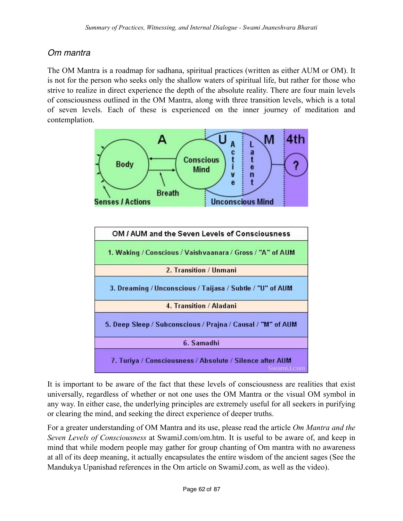# *Om mantra*

The OM Mantra is a roadmap for sadhana, spiritual practices (written as either AUM or OM). It is not for the person who seeks only the shallow waters of spiritual life, but rather for those who strive to realize in direct experience the depth of the absolute reality. There are four main levels of consciousness outlined in the OM Mantra, along with three transition levels, which is a total of seven levels. Each of these is experienced on the inner journey of meditation and contemplation.



It is important to be aware of the fact that these levels of consciousness are realities that exist universally, regardless of whether or not one uses the OM Mantra or the visual OM symbol in any way. In either case, the underlying principles are extremely useful for all seekers in purifying or clearing the mind, and seeking the direct experience of deeper truths.

For a greater understanding of OM Mantra and its use, please read the article *Om Mantra and the Seven Levels of Consciousness* at SwamiJ.com/om.htm. It is useful to be aware of, and keep in mind that while modern people may gather for group chanting of Om mantra with no awareness at all of its deep meaning, it actually encapsulates the entire wisdom of the ancient sages (See the Mandukya Upanishad references in the Om article on SwamiJ.com, as well as the video).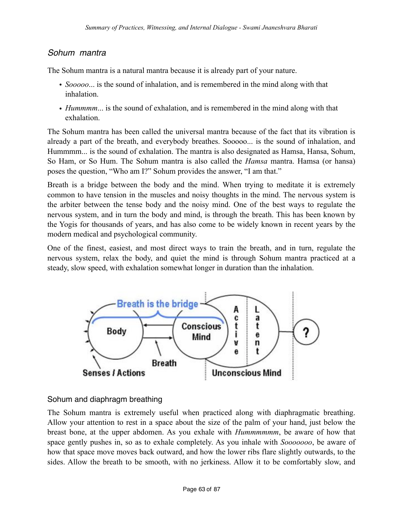#### *Sohum mantra*

The Sohum mantra is a natural mantra because it is already part of your nature.

- *Sooooo*... is the sound of inhalation, and is remembered in the mind along with that inhalation.
- *Hummmm*... is the sound of exhalation, and is remembered in the mind along with that exhalation.

The Sohum mantra has been called the universal mantra because of the fact that its vibration is already a part of the breath, and everybody breathes. Sooooo... is the sound of inhalation, and Hummmm... is the sound of exhalation. The mantra is also designated as Hamsa, Hansa, Sohum, So Ham, or So Hum. The Sohum mantra is also called the *Hamsa* mantra. Hamsa (or hansa) poses the question, "Who am I?" Sohum provides the answer, "I am that."

Breath is a bridge between the body and the mind. When trying to meditate it is extremely common to have tension in the muscles and noisy thoughts in the mind. The nervous system is the arbiter between the tense body and the noisy mind. One of the best ways to regulate the nervous system, and in turn the body and mind, is through the breath. This has been known by the Yogis for thousands of years, and has also come to be widely known in recent years by the modern medical and psychological community.

One of the finest, easiest, and most direct ways to train the breath, and in turn, regulate the nervous system, relax the body, and quiet the mind is through Sohum mantra practiced at a steady, slow speed, with exhalation somewhat longer in duration than the inhalation.



#### Sohum and diaphragm breathing

The Sohum mantra is extremely useful when practiced along with diaphragmatic breathing. Allow your attention to rest in a space about the size of the palm of your hand, just below the breast bone, at the upper abdomen. As you exhale with *Hummmmmm*, be aware of how that space gently pushes in, so as to exhale completely. As you inhale with *Sooooooo*, be aware of how that space move moves back outward, and how the lower ribs flare slightly outwards, to the sides. Allow the breath to be smooth, with no jerkiness. Allow it to be comfortably slow, and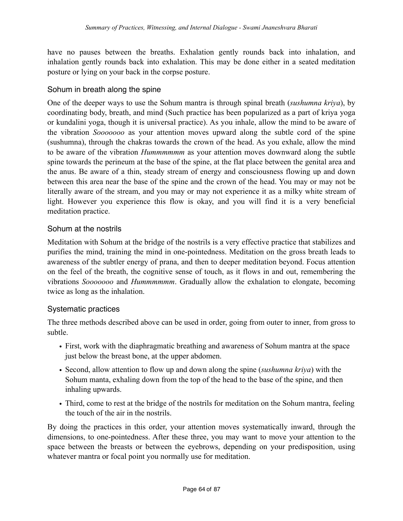have no pauses between the breaths. Exhalation gently rounds back into inhalation, and inhalation gently rounds back into exhalation. This may be done either in a seated meditation posture or lying on your back in the corpse posture.

#### Sohum in breath along the spine

One of the deeper ways to use the Sohum mantra is through spinal breath (*sushumna kriya*), by coordinating body, breath, and mind (Such practice has been popularized as a part of kriya yoga or kundalini yoga, though it is universal practice). As you inhale, allow the mind to be aware of the vibration *Sooooooo* as your attention moves upward along the subtle cord of the spine (sushumna), through the chakras towards the crown of the head. As you exhale, allow the mind to be aware of the vibration *Hummmmmm* as your attention moves downward along the subtle spine towards the perineum at the base of the spine, at the flat place between the genital area and the anus. Be aware of a thin, steady stream of energy and consciousness flowing up and down between this area near the base of the spine and the crown of the head. You may or may not be literally aware of the stream, and you may or may not experience it as a milky white stream of light. However you experience this flow is okay, and you will find it is a very beneficial meditation practice.

#### Sohum at the nostrils

Meditation with Sohum at the bridge of the nostrils is a very effective practice that stabilizes and purifies the mind, training the mind in one-pointedness. Meditation on the gross breath leads to awareness of the subtler energy of prana, and then to deeper meditation beyond. Focus attention on the feel of the breath, the cognitive sense of touch, as it flows in and out, remembering the vibrations *Sooooooo* and *Hummmmmm*. Gradually allow the exhalation to elongate, becoming twice as long as the inhalation.

#### Systematic practices

The three methods described above can be used in order, going from outer to inner, from gross to subtle.

- First, work with the diaphragmatic breathing and awareness of Sohum mantra at the space just below the breast bone, at the upper abdomen.
- Second, allow attention to flow up and down along the spine (*sushumna kriya*) with the Sohum manta, exhaling down from the top of the head to the base of the spine, and then inhaling upwards.
- Third, come to rest at the bridge of the nostrils for meditation on the Sohum mantra, feeling the touch of the air in the nostrils.

By doing the practices in this order, your attention moves systematically inward, through the dimensions, to one-pointedness. After these three, you may want to move your attention to the space between the breasts or between the eyebrows, depending on your predisposition, using whatever mantra or focal point you normally use for meditation.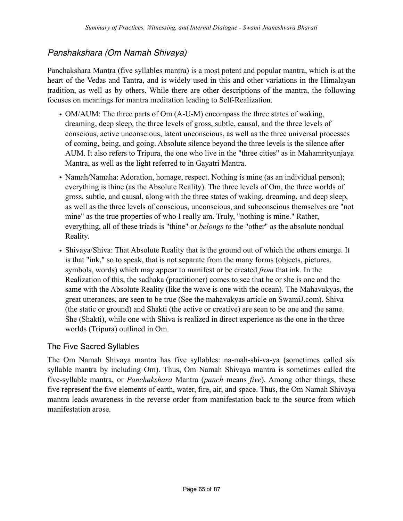# *Panshakshara (Om Namah Shivaya)*

Panchakshara Mantra (five syllables mantra) is a most potent and popular mantra, which is at the heart of the Vedas and Tantra, and is widely used in this and other variations in the Himalayan tradition, as well as by others. While there are other descriptions of the mantra, the following focuses on meanings for mantra meditation leading to Self-Realization.

- OM/AUM: The three parts of Om (A-U-M) encompass the three states of waking, dreaming, deep sleep, the three levels of gross, subtle, causal, and the three levels of conscious, active unconscious, latent unconscious, as well as the three universal processes of coming, being, and going. Absolute silence beyond the three levels is the silence after AUM. It also refers to Tripura, the one who live in the "three cities" as in Mahamrityunjaya Mantra, as well as the light referred to in Gayatri Mantra.
- Namah/Namaha: Adoration, homage, respect. Nothing is mine (as an individual person); everything is thine (as the Absolute Reality). The three levels of Om, the three worlds of gross, subtle, and causal, along with the three states of waking, dreaming, and deep sleep, as well as the three levels of conscious, unconscious, and subconscious themselves are "not mine" as the true properties of who I really am. Truly, "nothing is mine." Rather, everything, all of these triads is "thine" or *belongs to* the "other" as the absolute nondual Reality.
- Shivaya/Shiva: That Absolute Reality that is the ground out of which the others emerge. It is that "ink," so to speak, that is not separate from the many forms (objects, pictures, symbols, words) which may appear to manifest or be created *from* that ink. In the Realization of this, the sadhaka (practitioner) comes to see that he or she is one and the same with the Absolute Reality (like the wave is one with the ocean). The Mahavakyas, the great utterances, are seen to be true (See the mahavakyas article on SwamiJ.com). Shiva (the static or ground) and Shakti (the active or creative) are seen to be one and the same. She (Shakti), while one with Shiva is realized in direct experience as the one in the three worlds (Tripura) outlined in Om.

#### The Five Sacred Syllables

The Om Namah Shivaya mantra has five syllables: na-mah-shi-va-ya (sometimes called six syllable mantra by including Om). Thus, Om Namah Shivaya mantra is sometimes called the five-syllable mantra, or *Panchakshara* Mantra (*panch* means *five*). Among other things, these five represent the five elements of earth, water, fire, air, and space. Thus, the Om Namah Shivaya mantra leads awareness in the reverse order from manifestation back to the source from which manifestation arose.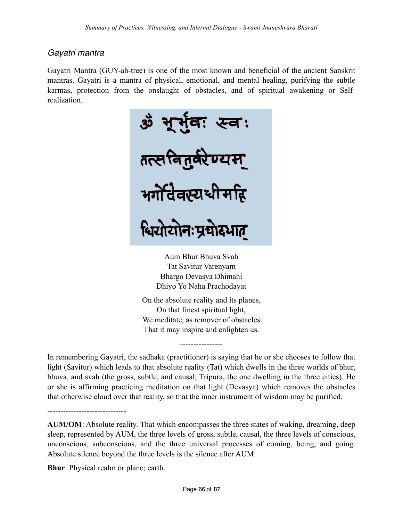# *Gayatri mantra*

Gayatri Mantra (GUY-ah-tree) is one of the most known and beneficial of the ancient Sanskrit mantras. Gayatri is a mantra of physical, emotional, and mental healing, purifying the subtle karmas, protection from the onslaught of obstacles, and of spiritual awakening or Selfrealization.



Aum Bhur Bhuva Svah Tat Savitur Varenyam Bhargo Devasya Dhimahi Dhiyo Yo Naha Prachodayat

On the absolute reality and its planes, On that finest spiritual light, We meditate, as remover of obstacles That it may inspire and enlighten us.

----------------

In remembering Gayatri, the sadhaka (practitioner) is saying that he or she chooses to follow that light (Savitur) which leads to that absolute reality (Tat) which dwells in the three worlds of bhur, bhuva, and svah (the gross, subtle, and causal; Tripura, the one dwelling in the three cities). He or she is affirming practicing meditation on that light (Devasya) which removes the obstacles that otherwise cloud over that reality, so that the inner instrument of wisdom may be purified.

------------------------------

**AUM/OM**: Absolute reality. That which encompasses the three states of waking, dreaming, deep sleep, represented by AUM, the three levels of gross, subtle, causal, the three levels of conscious, unconscious, subconscious, and the three universal processes of coming, being, and going. Absolute silence beyond the three levels is the silence after AUM.

**Bhur**: Physical realm or plane; earth.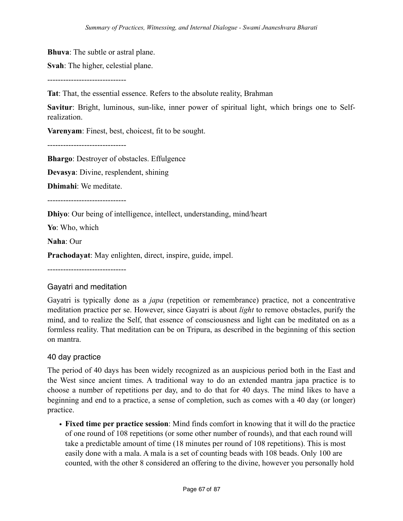**Bhuva**: The subtle or astral plane.

**Svah**: The higher, celestial plane.

------------------------------

**Tat**: That, the essential essence. Refers to the absolute reality, Brahman

**Savitur**: Bright, luminous, sun-like, inner power of spiritual light, which brings one to Selfrealization.

**Varenyam**: Finest, best, choicest, fit to be sought.

------------------------------

**Bhargo**: Destroyer of obstacles. Effulgence

**Devasya**: Divine, resplendent, shining

**Dhimahi**: We meditate.

------------------------------

**Dhiyo**: Our being of intelligence, intellect, understanding, mind/heart

**Yo**: Who, which

**Naha**: Our

**Prachodayat**: May enlighten, direct, inspire, guide, impel.

------------------------------

#### Gayatri and meditation

Gayatri is typically done as a *japa* (repetition or remembrance) practice, not a concentrative meditation practice per se. However, since Gayatri is about *light* to remove obstacles, purify the mind, and to realize the Self, that essence of consciousness and light can be meditated on as a formless reality. That meditation can be on Tripura, as described in the beginning of this section on mantra.

#### 40 day practice

The period of 40 days has been widely recognized as an auspicious period both in the East and the West since ancient times. A traditional way to do an extended mantra japa practice is to choose a number of repetitions per day, and to do that for 40 days. The mind likes to have a beginning and end to a practice, a sense of completion, such as comes with a 40 day (or longer) practice.

• **Fixed time per practice session**: Mind finds comfort in knowing that it will do the practice of one round of 108 repetitions (or some other number of rounds), and that each round will take a predictable amount of time (18 minutes per round of 108 repetitions). This is most easily done with a mala. A mala is a set of counting beads with 108 beads. Only 100 are counted, with the other 8 considered an offering to the divine, however you personally hold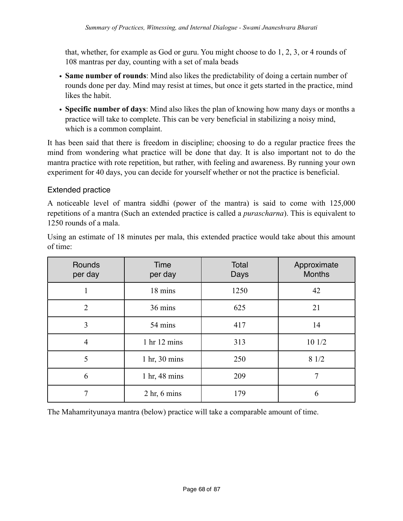that, whether, for example as God or guru. You might choose to do 1, 2, 3, or 4 rounds of 108 mantras per day, counting with a set of mala beads

- **Same number of rounds**: Mind also likes the predictability of doing a certain number of rounds done per day. Mind may resist at times, but once it gets started in the practice, mind likes the habit.
- **Specific number of days**: Mind also likes the plan of knowing how many days or months a practice will take to complete. This can be very beneficial in stabilizing a noisy mind, which is a common complaint.

It has been said that there is freedom in discipline; choosing to do a regular practice frees the mind from wondering what practice will be done that day. It is also important not to do the mantra practice with rote repetition, but rather, with feeling and awareness. By running your own experiment for 40 days, you can decide for yourself whether or not the practice is beneficial.

#### Extended practice

A noticeable level of mantra siddhi (power of the mantra) is said to come with 125,000 repetitions of a mantra (Such an extended practice is called a *purascharna*). This is equivalent to 1250 rounds of a mala.

Using an estimate of 18 minutes per mala, this extended practice would take about this amount of time:

| Rounds<br>per day | Time<br>per day                    | Total<br>Days | Approximate<br><b>Months</b> |
|-------------------|------------------------------------|---------------|------------------------------|
|                   | 18 mins                            | 1250          | 42                           |
| $\overline{2}$    | 36 mins                            | 625           | 21                           |
| 3                 | 54 mins                            | 417           | 14                           |
| $\overline{4}$    | 1 hr 12 mins                       | 313           | 10 1/2                       |
| 5                 | $1 \text{ hr}$ , $30 \text{ mins}$ | 250           | 81/2                         |
| 6                 | 1 hr, 48 mins                      | 209           |                              |
|                   | $2 \text{ hr}$ , 6 mins            | 179           | 6                            |

The Mahamrityunaya mantra (below) practice will take a comparable amount of time.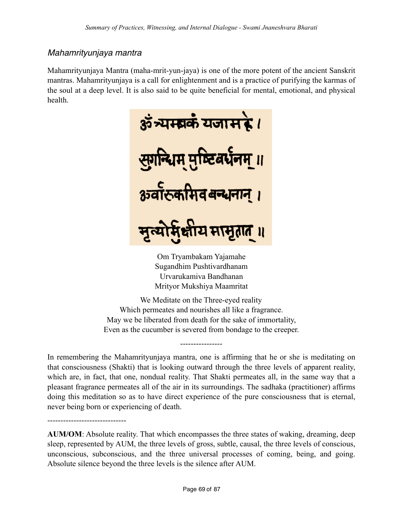## *Mahamrityunjaya mantra*

------------------------------

Mahamrityunjaya Mantra (maha-mrit-yun-jaya) is one of the more potent of the ancient Sanskrit mantras. Mahamrityunjaya is a call for enlightenment and is a practice of purifying the karmas of the soul at a deep level. It is also said to be quite beneficial for mental, emotional, and physical health.



Om Tryambakam Yajamahe Sugandhim Pushtivardhanam Urvarukamiva Bandhanan Mrityor Mukshiya Maamritat

We Meditate on the Three-eyed reality Which permeates and nourishes all like a fragrance. May we be liberated from death for the sake of immortality, Even as the cucumber is severed from bondage to the creeper.

----------------

In remembering the Mahamrityunjaya mantra, one is affirming that he or she is meditating on that consciousness (Shakti) that is looking outward through the three levels of apparent reality, which are, in fact, that one, nondual reality. That Shakti permeates all, in the same way that a pleasant fragrance permeates all of the air in its surroundings. The sadhaka (practitioner) affirms doing this meditation so as to have direct experience of the pure consciousness that is eternal, never being born or experiencing of death.

**AUM/OM**: Absolute reality. That which encompasses the three states of waking, dreaming, deep sleep, represented by AUM, the three levels of gross, subtle, causal, the three levels of conscious, unconscious, subconscious, and the three universal processes of coming, being, and going. Absolute silence beyond the three levels is the silence after AUM.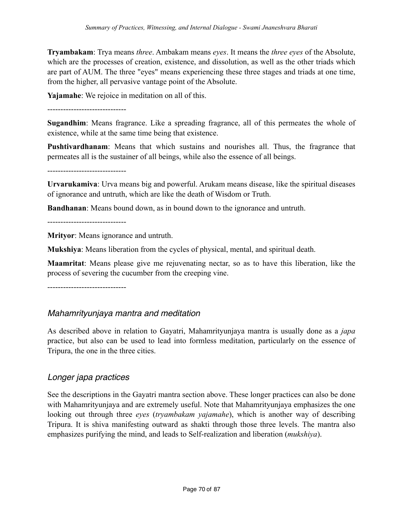**Tryambakam**: Trya means *three*. Ambakam means *eyes*. It means the *three eyes* of the Absolute, which are the processes of creation, existence, and dissolution, as well as the other triads which are part of AUM. The three "eyes" means experiencing these three stages and triads at one time, from the higher, all pervasive vantage point of the Absolute.

**Yajamahe**: We rejoice in meditation on all of this.

------------------------------

**Sugandhim**: Means fragrance. Like a spreading fragrance, all of this permeates the whole of existence, while at the same time being that existence.

**Pushtivardhanam**: Means that which sustains and nourishes all. Thus, the fragrance that permeates all is the sustainer of all beings, while also the essence of all beings.

------------------------------

**Urvarukamiva**: Urva means big and powerful. Arukam means disease, like the spiritual diseases of ignorance and untruth, which are like the death of Wisdom or Truth.

**Bandhanan**: Means bound down, as in bound down to the ignorance and untruth.

------------------------------

**Mrityor**: Means ignorance and untruth.

**Mukshiya**: Means liberation from the cycles of physical, mental, and spiritual death.

**Maamritat**: Means please give me rejuvenating nectar, so as to have this liberation, like the process of severing the cucumber from the creeping vine.

------------------------------

## *Mahamrityunjaya mantra and meditation*

As described above in relation to Gayatri, Mahamrityunjaya mantra is usually done as a *japa* practice, but also can be used to lead into formless meditation, particularly on the essence of Tripura, the one in the three cities.

## *Longer japa practices*

See the descriptions in the Gayatri mantra section above. These longer practices can also be done with Mahamrityunjaya and are extremely useful. Note that Mahamrityunjaya emphasizes the one looking out through three *eyes* (*tryambakam yajamahe*), which is another way of describing Tripura. It is shiva manifesting outward as shakti through those three levels. The mantra also emphasizes purifying the mind, and leads to Self-realization and liberation (*mukshiya*).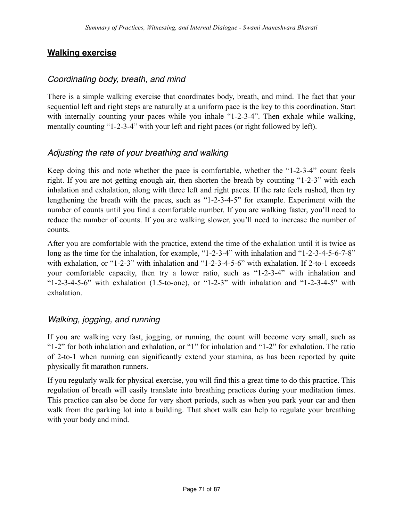## **Walking exercise**

## *Coordinating body, breath, and mind*

There is a simple walking exercise that coordinates body, breath, and mind. The fact that your sequential left and right steps are naturally at a uniform pace is the key to this coordination. Start with internally counting your paces while you inhale "1-2-3-4". Then exhale while walking, mentally counting "1-2-3-4" with your left and right paces (or right followed by left).

## *Adjusting the rate of your breathing and walking*

Keep doing this and note whether the pace is comfortable, whether the "1-2-3-4" count feels right. If you are not getting enough air, then shorten the breath by counting "1-2-3" with each inhalation and exhalation, along with three left and right paces. If the rate feels rushed, then try lengthening the breath with the paces, such as "1-2-3-4-5" for example. Experiment with the number of counts until you find a comfortable number. If you are walking faster, you'll need to reduce the number of counts. If you are walking slower, you'll need to increase the number of counts.

After you are comfortable with the practice, extend the time of the exhalation until it is twice as long as the time for the inhalation, for example, "1-2-3-4" with inhalation and "1-2-3-4-5-6-7-8" with exhalation, or "1-2-3" with inhalation and "1-2-3-4-5-6" with exhalation. If 2-to-1 exceeds your comfortable capacity, then try a lower ratio, such as "1-2-3-4" with inhalation and "1-2-3-4-5-6" with exhalation  $(1.5$ -to-one), or "1-2-3" with inhalation and "1-2-3-4-5" with exhalation.

## *Walking, jogging, and running*

If you are walking very fast, jogging, or running, the count will become very small, such as "1-2" for both inhalation and exhalation, or "1" for inhalation and "1-2" for exhalation. The ratio of 2-to-1 when running can significantly extend your stamina, as has been reported by quite physically fit marathon runners.

If you regularly walk for physical exercise, you will find this a great time to do this practice. This regulation of breath will easily translate into breathing practices during your meditation times. This practice can also be done for very short periods, such as when you park your car and then walk from the parking lot into a building. That short walk can help to regulate your breathing with your body and mind.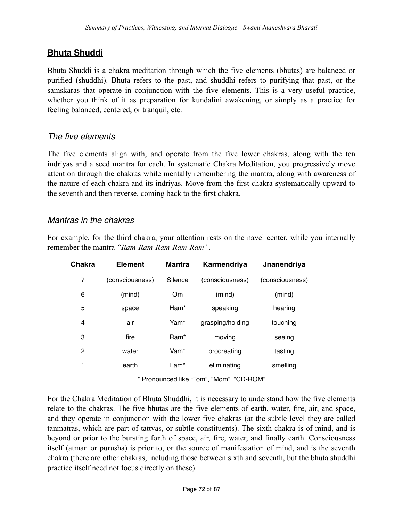## **Bhuta Shuddi**

Bhuta Shuddi is a chakra meditation through which the five elements (bhutas) are balanced or purified (shuddhi). Bhuta refers to the past, and shuddhi refers to purifying that past, or the samskaras that operate in conjunction with the five elements. This is a very useful practice, whether you think of it as preparation for kundalini awakening, or simply as a practice for feeling balanced, centered, or tranquil, etc.

#### *The five elements*

The five elements align with, and operate from the five lower chakras, along with the ten indriyas and a seed mantra for each. In systematic Chakra Meditation, you progressively move attention through the chakras while mentally remembering the mantra, along with awareness of the nature of each chakra and its indriyas. Move from the first chakra systematically upward to the seventh and then reverse, coming back to the first chakra.

## *Mantras in the chakras*

For example, for the third chakra, your attention rests on the navel center, while you internally remember the mantra *"Ram-Ram-Ram-Ram-Ram"*.

| Chakra | <b>Element</b>  | <b>Mantra</b> | Karmendriya      | Jnanendriya     |
|--------|-----------------|---------------|------------------|-----------------|
| 7      | (consciousness) | Silence       | (consciousness)  | (consciousness) |
| 6      | (mind)          | Om            | (mind)           | (mind)          |
| 5      | space           | Ham*          | speaking         | hearing         |
| 4      | air             | Yam*          | grasping/holding | touching        |
| 3      | fire            | Ram*          | moving           | seeing          |
| 2      | water           | Vam*          | procreating      | tasting         |
| 1      | earth           | Lam*          | eliminating      | smelling        |
|        |                 |               |                  |                 |

\* Pronounced like "Tom", "Mom", "CD-ROM"

For the Chakra Meditation of Bhuta Shuddhi, it is necessary to understand how the five elements relate to the chakras. The five bhutas are the five elements of earth, water, fire, air, and space, and they operate in conjunction with the lower five chakras (at the subtle level they are called tanmatras, which are part of tattvas, or subtle constituents). The sixth chakra is of mind, and is beyond or prior to the bursting forth of space, air, fire, water, and finally earth. Consciousness itself (atman or purusha) is prior to, or the source of manifestation of mind, and is the seventh chakra (there are other chakras, including those between sixth and seventh, but the bhuta shuddhi practice itself need not focus directly on these).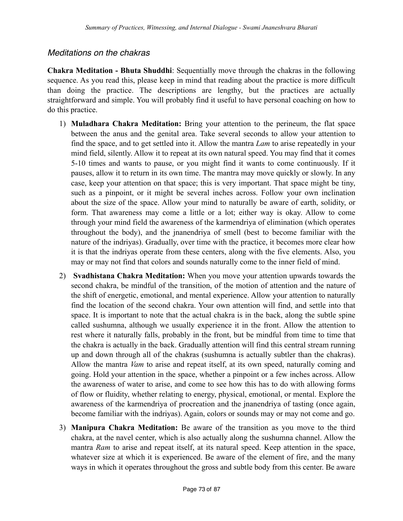# *Meditations on the chakras*

**Chakra Meditation - Bhuta Shuddhi**: Sequentially move through the chakras in the following sequence. As you read this, please keep in mind that reading about the practice is more difficult than doing the practice. The descriptions are lengthy, but the practices are actually straightforward and simple. You will probably find it useful to have personal coaching on how to do this practice.

- 1) **Muladhara Chakra Meditation:** Bring your attention to the perineum, the flat space between the anus and the genital area. Take several seconds to allow your attention to find the space, and to get settled into it. Allow the mantra *Lam* to arise repeatedly in your mind field, silently. Allow it to repeat at its own natural speed. You may find that it comes 5-10 times and wants to pause, or you might find it wants to come continuously. If it pauses, allow it to return in its own time. The mantra may move quickly or slowly. In any case, keep your attention on that space; this is very important. That space might be tiny, such as a pinpoint, or it might be several inches across. Follow your own inclination about the size of the space. Allow your mind to naturally be aware of earth, solidity, or form. That awareness may come a little or a lot; either way is okay. Allow to come through your mind field the awareness of the karmendriya of elimination (which operates throughout the body), and the jnanendriya of smell (best to become familiar with the nature of the indriyas). Gradually, over time with the practice, it becomes more clear how it is that the indriyas operate from these centers, along with the five elements. Also, you may or may not find that colors and sounds naturally come to the inner field of mind.
- 2) **Svadhistana Chakra Meditation:** When you move your attention upwards towards the second chakra, be mindful of the transition, of the motion of attention and the nature of the shift of energetic, emotional, and mental experience. Allow your attention to naturally find the location of the second chakra. Your own attention will find, and settle into that space. It is important to note that the actual chakra is in the back, along the subtle spine called sushumna, although we usually experience it in the front. Allow the attention to rest where it naturally falls, probably in the front, but be mindful from time to time that the chakra is actually in the back. Gradually attention will find this central stream running up and down through all of the chakras (sushumna is actually subtler than the chakras). Allow the mantra *Vam* to arise and repeat itself, at its own speed, naturally coming and going. Hold your attention in the space, whether a pinpoint or a few inches across. Allow the awareness of water to arise, and come to see how this has to do with allowing forms of flow or fluidity, whether relating to energy, physical, emotional, or mental. Explore the awareness of the karmendriya of procreation and the jnanendriya of tasting (once again, become familiar with the indriyas). Again, colors or sounds may or may not come and go.
- 3) **Manipura Chakra Meditation:** Be aware of the transition as you move to the third chakra, at the navel center, which is also actually along the sushumna channel. Allow the mantra *Ram* to arise and repeat itself, at its natural speed. Keep attention in the space, whatever size at which it is experienced. Be aware of the element of fire, and the many ways in which it operates throughout the gross and subtle body from this center. Be aware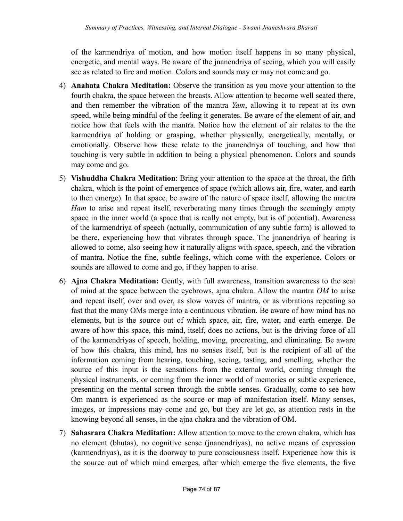of the karmendriya of motion, and how motion itself happens in so many physical, energetic, and mental ways. Be aware of the jnanendriya of seeing, which you will easily see as related to fire and motion. Colors and sounds may or may not come and go.

- 4) **Anahata Chakra Meditation:** Observe the transition as you move your attention to the fourth chakra, the space between the breasts. Allow attention to become well seated there, and then remember the vibration of the mantra *Yam*, allowing it to repeat at its own speed, while being mindful of the feeling it generates. Be aware of the element of air, and notice how that feels with the mantra. Notice how the element of air relates to the the karmendriya of holding or grasping, whether physically, energetically, mentally, or emotionally. Observe how these relate to the jnanendriya of touching, and how that touching is very subtle in addition to being a physical phenomenon. Colors and sounds may come and go.
- 5) **Vishuddha Chakra Meditation**: Bring your attention to the space at the throat, the fifth chakra, which is the point of emergence of space (which allows air, fire, water, and earth to then emerge). In that space, be aware of the nature of space itself, allowing the mantra *Ham* to arise and repeat itself, reverberating many times through the seemingly empty space in the inner world (a space that is really not empty, but is of potential). Awareness of the karmendriya of speech (actually, communication of any subtle form) is allowed to be there, experiencing how that vibrates through space. The jnanendriya of hearing is allowed to come, also seeing how it naturally aligns with space, speech, and the vibration of mantra. Notice the fine, subtle feelings, which come with the experience. Colors or sounds are allowed to come and go, if they happen to arise.
- 6) **Ajna Chakra Meditation:** Gently, with full awareness, transition awareness to the seat of mind at the space between the eyebrows, ajna chakra. Allow the mantra *OM* to arise and repeat itself, over and over, as slow waves of mantra, or as vibrations repeating so fast that the many OMs merge into a continuous vibration. Be aware of how mind has no elements, but is the source out of which space, air, fire, water, and earth emerge. Be aware of how this space, this mind, itself, does no actions, but is the driving force of all of the karmendriyas of speech, holding, moving, procreating, and eliminating. Be aware of how this chakra, this mind, has no senses itself, but is the recipient of all of the information coming from hearing, touching, seeing, tasting, and smelling, whether the source of this input is the sensations from the external world, coming through the physical instruments, or coming from the inner world of memories or subtle experience, presenting on the mental screen through the subtle senses. Gradually, come to see how Om mantra is experienced as the source or map of manifestation itself. Many senses, images, or impressions may come and go, but they are let go, as attention rests in the knowing beyond all senses, in the ajna chakra and the vibration of OM.
- 7) **Sahasrara Chakra Meditation:** Allow attention to move to the crown chakra, which has no element (bhutas), no cognitive sense (jnanendriyas), no active means of expression (karmendriyas), as it is the doorway to pure consciousness itself. Experience how this is the source out of which mind emerges, after which emerge the five elements, the five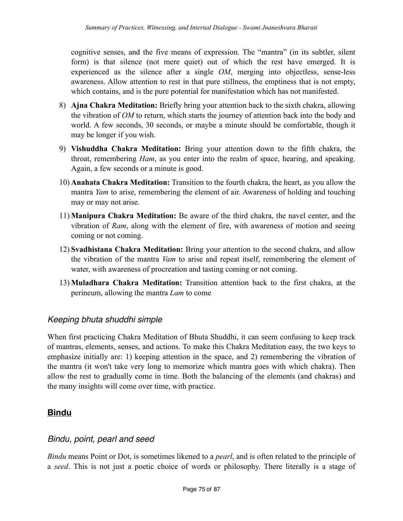cognitive senses, and the five means of expression. The "mantra" (in its subtler, silent form) is that silence (not mere quiet) out of which the rest have emerged. It is experienced as the silence after a single *OM*, merging into objectless, sense-less awareness. Allow attention to rest in that pure stillness, the emptiness that is not empty, which contains, and is the pure potential for manifestation which has not manifested.

- 8) **Ajna Chakra Meditation:** Briefly bring your attention back to the sixth chakra, allowing the vibration of *OM* to return, which starts the journey of attention back into the body and world. A few seconds, 30 seconds, or maybe a minute should be comfortable, though it may be longer if you wish.
- 9) **Vishuddha Chakra Meditation:** Bring your attention down to the fifth chakra, the throat, remembering *Ham*, as you enter into the realm of space, hearing, and speaking. Again, a few seconds or a minute is good.
- 10) **Anahata Chakra Meditation:** Transition to the fourth chakra, the heart, as you allow the mantra *Yam* to arise, remembering the element of air. Awareness of holding and touching may or may not arise.
- 11) **Manipura Chakra Meditation:** Be aware of the third chakra, the navel center, and the vibration of *Ram*, along with the element of fire, with awareness of motion and seeing coming or not coming.
- 12) **Svadhistana Chakra Meditation:** Bring your attention to the second chakra, and allow the vibration of the mantra *Vam* to arise and repeat itself, remembering the element of water, with awareness of procreation and tasting coming or not coming.
- 13) **Muladhara Chakra Meditation:** Transition attention back to the first chakra, at the perineum, allowing the mantra *Lam* to come

#### *Keeping bhuta shuddhi simple*

When first practicing Chakra Meditation of Bhuta Shuddhi, it can seem confusing to keep track of mantras, elements, senses, and actions. To make this Chakra Meditation easy, the two keys to emphasize initially are: 1) keeping attention in the space, and 2) remembering the vibration of the mantra (it won't take very long to memorize which mantra goes with which chakra). Then allow the rest to gradually come in time. Both the balancing of the elements (and chakras) and the many insights will come over time, with practice.

# **Bindu**

#### *Bindu, point, pearl and seed*

*Bindu* means Point or Dot, is sometimes likened to a *pearl*, and is often related to the principle of a *seed*. This is not just a poetic choice of words or philosophy. There literally is a stage of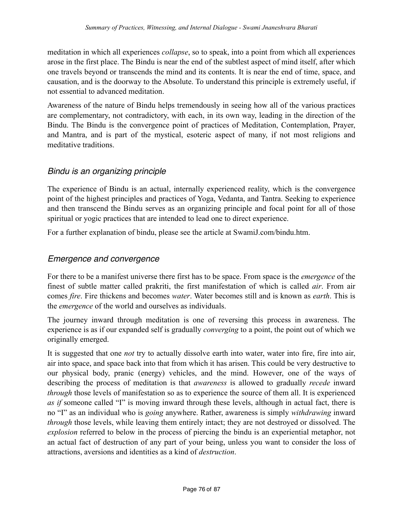meditation in which all experiences *collapse*, so to speak, into a point from which all experiences arose in the first place. The Bindu is near the end of the subtlest aspect of mind itself, after which one travels beyond or transcends the mind and its contents. It is near the end of time, space, and causation, and is the doorway to the Absolute. To understand this principle is extremely useful, if not essential to advanced meditation.

Awareness of the nature of Bindu helps tremendously in seeing how all of the various practices are complementary, not contradictory, with each, in its own way, leading in the direction of the Bindu. The Bindu is the convergence point of practices of Meditation, Contemplation, Prayer, and Mantra, and is part of the mystical, esoteric aspect of many, if not most religions and meditative traditions.

# *Bindu is an organizing principle*

The experience of Bindu is an actual, internally experienced reality, which is the convergence point of the highest principles and practices of Yoga, Vedanta, and Tantra. Seeking to experience and then transcend the Bindu serves as an organizing principle and focal point for all of those spiritual or yogic practices that are intended to lead one to direct experience.

For a further explanation of bindu, please see the article at SwamiJ.com/bindu.htm.

#### *Emergence and convergence*

For there to be a manifest universe there first has to be space. From space is the *emergence* of the finest of subtle matter called prakriti, the first manifestation of which is called *air*. From air comes *fire*. Fire thickens and becomes *water*. Water becomes still and is known as *earth*. This is the *emergence* of the world and ourselves as individuals.

The journey inward through meditation is one of reversing this process in awareness. The experience is as if our expanded self is gradually *converging* to a point, the point out of which we originally emerged.

It is suggested that one *not* try to actually dissolve earth into water, water into fire, fire into air, air into space, and space back into that from which it has arisen. This could be very destructive to our physical body, pranic (energy) vehicles, and the mind. However, one of the ways of describing the process of meditation is that *awareness* is allowed to gradually *recede* inward *through* those levels of manifestation so as to experience the source of them all. It is experienced *as if* someone called "I" is moving inward through these levels, although in actual fact, there is no "I" as an individual who is *going* anywhere. Rather, awareness is simply *withdrawing* inward *through* those levels, while leaving them entirely intact; they are not destroyed or dissolved. The *explosion* referred to below in the process of piercing the bindu is an experiential metaphor, not an actual fact of destruction of any part of your being, unless you want to consider the loss of attractions, aversions and identities as a kind of *destruction*.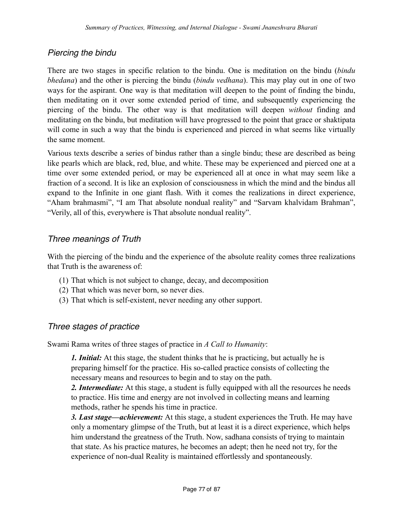# *Piercing the bindu*

There are two stages in specific relation to the bindu. One is meditation on the bindu (*bindu bhedana*) and the other is piercing the bindu (*bindu vedhana*). This may play out in one of two ways for the aspirant. One way is that meditation will deepen to the point of finding the bindu, then meditating on it over some extended period of time, and subsequently experiencing the piercing of the bindu. The other way is that meditation will deepen *without* finding and meditating on the bindu, but meditation will have progressed to the point that grace or shaktipata will come in such a way that the bindu is experienced and pierced in what seems like virtually the same moment.

Various texts describe a series of bindus rather than a single bindu; these are described as being like pearls which are black, red, blue, and white. These may be experienced and pierced one at a time over some extended period, or may be experienced all at once in what may seem like a fraction of a second. It is like an explosion of consciousness in which the mind and the bindus all expand to the Infinite in one giant flash. With it comes the realizations in direct experience, "Aham brahmasmi", "I am That absolute nondual reality" and "Sarvam khalvidam Brahman", "Verily, all of this, everywhere is That absolute nondual reality".

# *Three meanings of Truth*

With the piercing of the bindu and the experience of the absolute reality comes three realizations that Truth is the awareness of:

- (1) That which is not subject to change, decay, and decomposition
- (2) That which was never born, so never dies.
- (3) That which is self-existent, never needing any other support.

# *Three stages of practice*

Swami Rama writes of three stages of practice in *A Call to Humanity*:

*1. Initial:* At this stage, the student thinks that he is practicing, but actually he is preparing himself for the practice. His so-called practice consists of collecting the necessary means and resources to begin and to stay on the path.

*2. Intermediate:* At this stage, a student is fully equipped with all the resources he needs to practice. His time and energy are not involved in collecting means and learning methods, rather he spends his time in practice.

*3. Last stage—achievement:* At this stage, a student experiences the Truth. He may have only a momentary glimpse of the Truth, but at least it is a direct experience, which helps him understand the greatness of the Truth. Now, sadhana consists of trying to maintain that state. As his practice matures, he becomes an adept; then he need not try, for the experience of non-dual Reality is maintained effortlessly and spontaneously.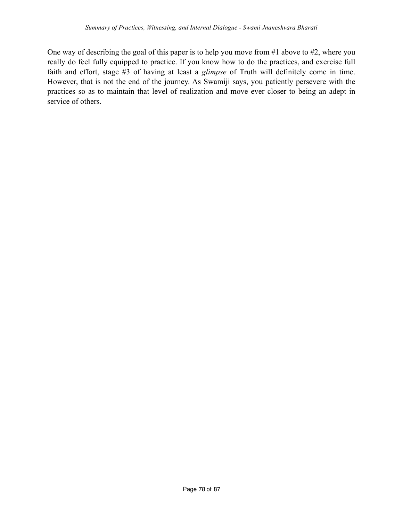One way of describing the goal of this paper is to help you move from #1 above to #2, where you really do feel fully equipped to practice. If you know how to do the practices, and exercise full faith and effort, stage #3 of having at least a *glimpse* of Truth will definitely come in time. However, that is not the end of the journey. As Swamiji says, you patiently persevere with the practices so as to maintain that level of realization and move ever closer to being an adept in service of others.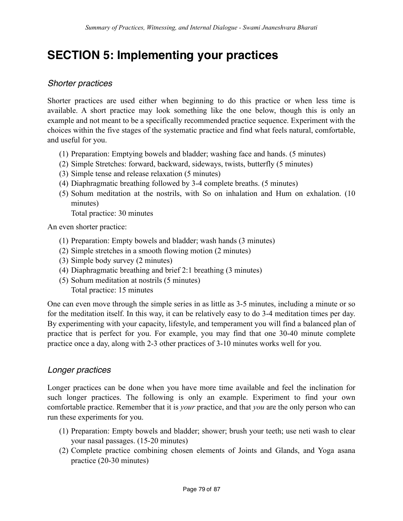# **SECTION 5: Implementing your practices**

#### *Shorter practices*

Shorter practices are used either when beginning to do this practice or when less time is available. A short practice may look something like the one below, though this is only an example and not meant to be a specifically recommended practice sequence. Experiment with the choices within the five stages of the systematic practice and find what feels natural, comfortable, and useful for you.

- (1) Preparation: Emptying bowels and bladder; washing face and hands. (5 minutes)
- (2) Simple Stretches: forward, backward, sideways, twists, butterfly (5 minutes)
- (3) Simple tense and release relaxation (5 minutes)
- (4) Diaphragmatic breathing followed by 3-4 complete breaths. (5 minutes)
- (5) Sohum meditation at the nostrils, with So on inhalation and Hum on exhalation. (10 minutes)

Total practice: 30 minutes

An even shorter practice:

- (1) Preparation: Empty bowels and bladder; wash hands (3 minutes)
- (2) Simple stretches in a smooth flowing motion (2 minutes)
- (3) Simple body survey (2 minutes)
- (4) Diaphragmatic breathing and brief 2:1 breathing (3 minutes)
- (5) Sohum meditation at nostrils (5 minutes) Total practice: 15 minutes

One can even move through the simple series in as little as 3-5 minutes, including a minute or so for the meditation itself. In this way, it can be relatively easy to do 3-4 meditation times per day. By experimenting with your capacity, lifestyle, and temperament you will find a balanced plan of practice that is perfect for you. For example, you may find that one 30-40 minute complete practice once a day, along with 2-3 other practices of 3-10 minutes works well for you.

#### *Longer practices*

Longer practices can be done when you have more time available and feel the inclination for such longer practices. The following is only an example. Experiment to find your own comfortable practice. Remember that it is *your* practice, and that *you* are the only person who can run these experiments for you.

- (1) Preparation: Empty bowels and bladder; shower; brush your teeth; use neti wash to clear your nasal passages. (15-20 minutes)
- (2) Complete practice combining chosen elements of Joints and Glands, and Yoga asana practice (20-30 minutes)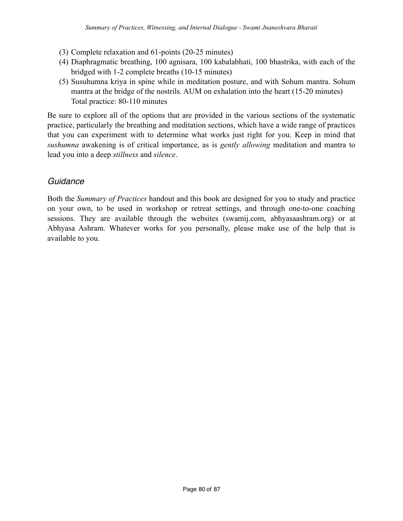- (3) Complete relaxation and 61-points (20-25 minutes)
- (4) Diaphragmatic breathing, 100 agnisara, 100 kabalabhati, 100 bhastrika, with each of the bridged with 1-2 complete breaths (10-15 minutes)
- (5) Susuhumna kriya in spine while in meditation posture, and with Sohum mantra. Sohum mantra at the bridge of the nostrils. AUM on exhalation into the heart (15-20 minutes) Total practice: 80-110 minutes

Be sure to explore all of the options that are provided in the various sections of the systematic practice, particularly the breathing and meditation sections, which have a wide range of practices that you can experiment with to determine what works just right for you. Keep in mind that *sushumna* awakening is of critical importance, as is *gently allowing* meditation and mantra to lead you into a deep *stillness* and *silence*.

# *Guidance*

Both the *Summary of Practices* handout and this book are designed for you to study and practice on your own, to be used in workshop or retreat settings, and through one-to-one coaching sessions. They are available through the websites (swamij.com, abhyasaashram.org) or at Abhyasa Ashram. Whatever works for you personally, please make use of the help that is available to you.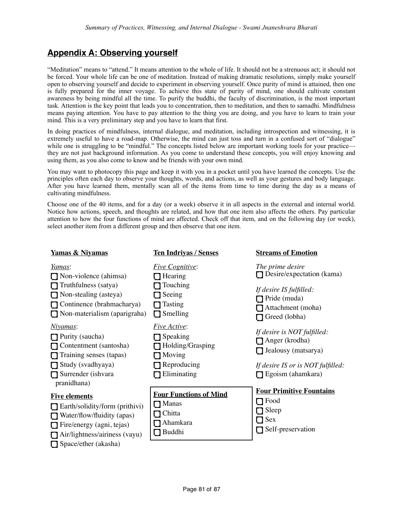# **Appendix A: Observing yourself**

"Meditation" means to "attend." It means attention to the whole of life. It should not be a strenuous act; it should not be forced. Your whole life can be one of meditation. Instead of making dramatic resolutions, simply make yourself open to observing yourself and decide to experiment in observing yourself. Once purity of mind is attained, then one is fully prepared for the inner voyage. To achieve this state of purity of mind, one should cultivate constant awareness by being mindful all the time. To purify the buddhi, the faculty of discrimination, is the most important task. Attention is the key point that leads you to concentration, then to meditation, and then to samadhi. Mindfulness means paying attention. You have to pay attention to the thing you are doing, and you have to learn to train your mind. This is a very preliminary step and you have to learn that first.

In doing practices of mindfulness, internal dialogue, and meditation, including introspection and witnessing, it is extremely useful to have a road-map. Otherwise, the mind can just toss and turn in a confused sort of "dialogue" while one is struggling to be "mindful." The concepts listed below are important working tools for your practice they are not just background information. As you come to understand these concepts, you will enjoy knowing and using them, as you also come to know and be friends with your own mind.

You may want to photocopy this page and keep it with you in a pocket until you have learned the concepts. Use the principles often each day to observe your thoughts, words, and actions, as well as your gestures and body language. After you have learned them, mentally scan all of the items from time to time during the day as a means of cultivating mindfulness.

Choose one of the 40 items, and for a day (or a week) observe it in all aspects in the external and internal world. Notice how actions, speech, and thoughts are related, and how that one item also affects the others. Pay particular attention to how the four functions of mind are affected. Check off that item, and on the following day (or week), select another item from a different group and then observe that one item.

| <b>Yamas &amp; Nivamas</b>                                                                                                                                                                      | <b>Ten Indrivas / Senses</b>                                                                              | <b>Streams of Emotion</b>                                                                                                             |
|-------------------------------------------------------------------------------------------------------------------------------------------------------------------------------------------------|-----------------------------------------------------------------------------------------------------------|---------------------------------------------------------------------------------------------------------------------------------------|
| <u>Yamas:</u><br>$\Box$ Non-violence (ahimsa)<br>Truthfulness (satya)<br>Non-stealing (asteya)<br>Continence (brahmacharya)<br>Non-materialism (aparigraha)                                     | <b>Five Cognitive:</b><br>Hearing<br>Touching<br>Seeing<br>Tasting<br>Smelling                            | The prime desire<br>Desire/expectation (kama)<br>If desire IS fulfilled:<br>Pride (muda)<br>Attachment (moha)<br>Greed (lobha)        |
| <u>Niyamas</u> :<br>$\Box$ Purity (saucha)<br>Contentment (santosha)<br>$\Box$ Training senses (tapas)<br>$\Box$ Study (svadhyaya)<br>Surrender (ishvara<br>pranidhana)                         | <i>Five Active:</i><br>$\Box$ Speaking<br>Holding/Grasping<br>$\Box$ Moving<br>Reproducing<br>Eliminating | If desire is NOT fulfilled:<br>$\Box$ Anger (krodha)<br>Jealousy (matsarya)<br>If desire IS or is NOT fulfilled:<br>Egoism (ahamkara) |
| <b>Five elements</b><br>$\Box$ Earth/solidity/form (prithivi)<br>Water/flow/fluidity (apas)<br>Fire/energy (agni, tejas)<br>$\Box$ Air/lightness/airiness (vayu)<br>$\Box$ Space/ether (akasha) | <b>Four Functions of Mind</b><br><b>Manas</b><br>1 I<br>Chitta<br>Ahamkara<br>Buddhi                      | <b>Four Primitive Fountains</b><br>Food<br>$\Box$ Sleep<br>Sex<br>Self-preservation                                                   |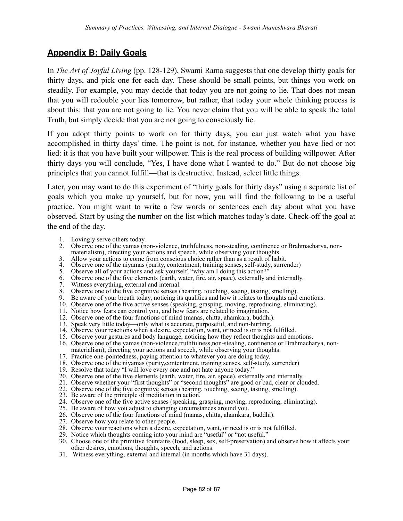# **Appendix B: Daily Goals**

In *The Art of Joyful Living* (pp. 128-129), Swami Rama suggests that one develop thirty goals for thirty days, and pick one for each day. These should be small points, but things you work on steadily. For example, you may decide that today you are not going to lie. That does not mean that you will redouble your lies tomorrow, but rather, that today your whole thinking process is about this: that you are not going to lie. You never claim that you will be able to speak the total Truth, but simply decide that you are not going to consciously lie.

If you adopt thirty points to work on for thirty days, you can just watch what you have accomplished in thirty days' time. The point is not, for instance, whether you have lied or not lied: it is that you have built your willpower. This is the real process of building willpower. After thirty days you will conclude, "Yes, I have done what I wanted to do." But do not choose big principles that you cannot fulfill—that is destructive. Instead, select little things.

Later, you may want to do this experiment of "thirty goals for thirty days" using a separate list of goals which you make up yourself, but for now, you will find the following to be a useful practice. You might want to write a few words or sentences each day about what you have observed. Start by using the number on the list which matches today's date. Check-off the goal at the end of the day.

- 1. Lovingly serve others today.
- 2. Observe one of the yamas (non-violence, truthfulness, non-stealing, continence or Brahmacharya, nonmaterialism), directing your actions and speech, while observing your thoughts.
- 3. Allow your actions to come from conscious choice rather than as a result of habit.
- 4. Observe one of the niyamas (purity, contentment, training senses, self-study, surrender)
- 5. Observe all of your actions and ask yourself, "why am I doing this action?"
- 6. Observe one of the five elements (earth, water, fire, air, space), externally and internally.
- 7. Witness everything, external and internal.
- 8. Observe one of the five cognitive senses (hearing, touching, seeing, tasting, smelling).
- 9. Be aware of your breath today, noticing its qualities and how it relates to thoughts and emotions.
- 10. Observe one of the five active senses (speaking, grasping, moving, reproducing, eliminating).
- 11. Notice how fears can control you, and how fears are related to imagination.
- 12. Observe one of the four functions of mind (manas, chitta, ahamkara, buddhi).
- 13. Speak very little today—only what is accurate, purposeful, and non-hurting.
- 14. Observe your reactions when a desire, expectation, want, or need is or is not fulfilled.
- 15. Observe your gestures and body language, noticing how they reflect thoughts and emotions.
- 16. Observe one of the yamas (non-violence,truthfulness,non-stealing, continence or Brahmacharya, non-
- materialism), directing your actions and speech, while observing your thoughts.
- 17. Practice one-pointedness, paying attention to whatever you are doing today.
- 18. Observe one of the niyamas (purity,contentment, training senses, self-study, surrender)
- 19. Resolve that today "I will love every one and not hate anyone today."
- 20. Observe one of the five elements (earth, water, fire, air, space), externally and internally.
- 21. Observe whether your "first thoughts" or "second thoughts" are good or bad, clear or clouded.
- 22. Observe one of the five cognitive senses (hearing, touching, seeing, tasting, smelling).
- 23. Be aware of the principle of meditation in action.
- 24. Observe one of the five active senses (speaking, grasping, moving, reproducing, eliminating).
- 25. Be aware of how you adjust to changing circumstances around you.
- 26. Observe one of the four functions of mind (manas, chitta, ahamkara, buddhi).
- 27. Observe how you relate to other people.
- 28. Observe your reactions when a desire, expectation, want, or need is or is not fulfilled.
- 29. Notice which thoughts coming into your mind are "useful" or "not useful."
- 30. Choose one of the primitive fountains (food, sleep, sex, self-preservation) and observe how it affects your other desires, emotions, thoughts, speech, and actions.
- 31. Witness everything, external and internal (in months which have 31 days).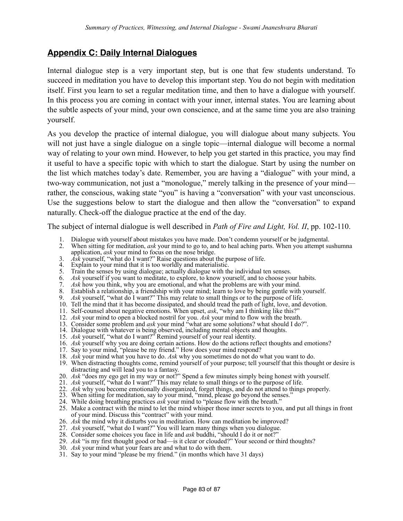# **Appendix C: Daily Internal Dialogues**

Internal dialogue step is a very important step, but is one that few students understand. To succeed in meditation you have to develop this important step. You do not begin with meditation itself. First you learn to set a regular meditation time, and then to have a dialogue with yourself. In this process you are coming in contact with your inner, internal states. You are learning about the subtle aspects of your mind, your own conscience, and at the same time you are also training yourself.

As you develop the practice of internal dialogue, you will dialogue about many subjects. You will not just have a single dialogue on a single topic—internal dialogue will become a normal way of relating to your own mind. However, to help you get started in this practice, you may find it useful to have a specific topic with which to start the dialogue. Start by using the number on the list which matches today's date. Remember, you are having a "dialogue" with your mind, a two-way communication, not just a "monologue," merely talking in the presence of your mind rather, the conscious, waking state "you" is having a "conversation" with your vast unconscious. Use the suggestions below to start the dialogue and then allow the "conversation" to expand naturally. Check-off the dialogue practice at the end of the day.

The subject of internal dialogue is well described in *Path of Fire and Light, Vol. II*, pp. 102-110.

- 1. Dialogue with yourself about mistakes you have made. Don't condemn yourself or be judgmental.
- 2. When sitting for meditation, *ask* your mind to go to, and to heal aching parts. When you attempt sushumna application, *ask* your mind to focus on the nose bridge.
- 3. *Ask* yourself, "what do I want?" Raise questions about the purpose of life.
- 4. Explain to your mind that it is too worldly and materialistic.
- 5. Train the senses by using dialogue; actually dialogue with the individual ten senses.
- 6. *Ask* yourself if you want to meditate, to explore, to know yourself, and to choose your habits.
- 7. *Ask* how you think, why you are emotional, and what the problems are with your mind.
- 8. Establish a relationship, a friendship with your mind; learn to love by being gentle with yourself.
- 9. *Ask* yourself, "what do I want?" This may relate to small things or to the purpose of life.
- 10. Tell the mind that it has become dissipated, and should tread the path of light, love, and devotion.
- 11. Self-counsel about negative emotions. When upset, *ask*, "why am I thinking like this?"
- 12. *Ask* your mind to open a blocked nostril for you. *Ask* your mind to flow with the breath.
- 13. Consider some problem and *ask* your mind "what are some solutions? what should I do?".
- 14. Dialogue with whatever is being observed, including mental objects and thoughts.
- 15. *Ask* yourself, "what do I want?" Remind yourself of your real identity.
- 16. *Ask* yourself why you are doing certain actions. How do the actions reflect thoughts and emotions?
- 17. Say to your mind, "please be my friend." How does your mind respond?
- 18. *Ask* your mind what you have to do. *Ask* why you sometimes do not do what you want to do.
- 19. When distracting thoughts come, remind yourself of your purpose; tell yourself that this thought or desire is distracting and will lead you to a fantasy.
- 20. *Ask* "does my ego get in my way or not?" Spend a few minutes simply being honest with yourself.
- 21. *Ask* yourself, "what do I want?" This may relate to small things or to the purpose of life.
- 22. *Ask* why you become emotionally disorganized, forget things, and do not attend to things properly.
- 23. When sitting for meditation, say to your mind, "mind, please go beyond the senses."
- 24. While doing breathing practices *ask* your mind to "please flow with the breath."
- 25. Make a contract with the mind to let the mind whisper those inner secrets to you, and put all things in front of your mind. Discuss this "contract" with your mind.
- 26. *Ask* the mind why it disturbs you in meditation. How can meditation be improved?
- 27. *Ask* yourself, "what do I want?" You will learn many things when you dialogue.
- 28. Consider some choices you face in life and *ask* buddhi, "should I do it or not?"
- 29. *Ask* "is my first thought good or bad—is it clear or clouded?" Your second or third thoughts?
- 30. *Ask* your mind what your fears are and what to do with them.
- 31. Say to your mind "please be my friend." (in months which have 31 days)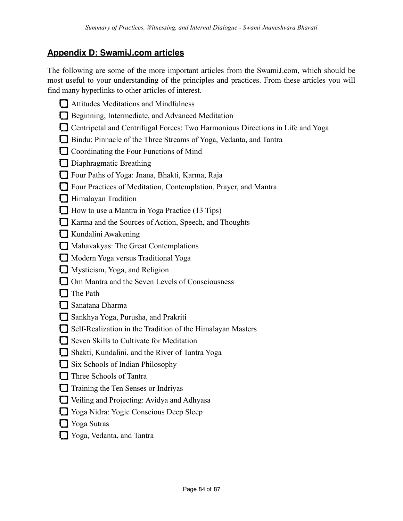# **Appendix D: SwamiJ.com articles**

The following are some of the more important articles from the SwamiJ.com, which should be most useful to your understanding of the principles and practices. From these articles you will find many hyperlinks to other articles of interest.

- Attitudes Meditations and Mindfulness Beginning, Intermediate, and Advanced Meditation
- Centripetal and Centrifugal Forces: Two Harmonious Directions in Life and Yoga
- Bindu: Pinnacle of the Three Streams of Yoga, Vedanta, and Tantra
- Coordinating the Four Functions of Mind
- Diaphragmatic Breathing
- Four Paths of Yoga: Jnana, Bhakti, Karma, Raja
- Four Practices of Meditation, Contemplation, Prayer, and Mantra
- **Himalayan Tradition**
- How to use a Mantra in Yoga Practice (13 Tips)
- Karma and the Sources of Action, Speech, and Thoughts
- Kundalini Awakening
- Mahavakyas: The Great Contemplations
- Modern Yoga versus Traditional Yoga
- **Mysticism, Yoga, and Religion**
- Om Mantra and the Seven Levels of Consciousness
- $\Box$  The Path
- Sanatana Dharma
- Sankhya Yoga, Purusha, and Prakriti
- Self-Realization in the Tradition of the Himalayan Masters
- Seven Skills to Cultivate for Meditation
- Shakti, Kundalini, and the River of Tantra Yoga
- Six Schools of Indian Philosophy
- **T** Three Schools of Tantra
- Training the Ten Senses or Indriyas
- Veiling and Projecting: Avidya and Adhyasa
- Yoga Nidra: Yogic Conscious Deep Sleep
- **T** Yoga Sutras
- Yoga, Vedanta, and Tantra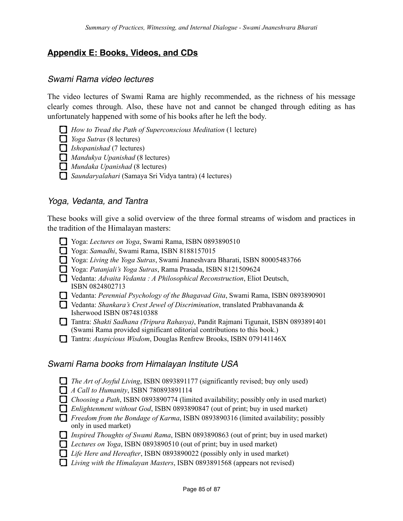# **Appendix E: Books, Videos, and CDs**

#### *Swami Rama video lectures*

The video lectures of Swami Rama are highly recommended, as the richness of his message clearly comes through. Also, these have not and cannot be changed through editing as has unfortunately happened with some of his books after he left the body.

- *How to Tread the Path of Superconscious Meditation* (1 lecture)
- *Yoga Sutras* (8 lectures)
- *Ishopanishad* (7 lectures)
- *Mandukya Upanishad* (8 lectures)
- *Mundaka Upanishad* (8 lectures)
- *Saundaryalahari* (Samaya Sri Vidya tantra) (4 lectures)

#### *Yoga, Vedanta, and Tantra*

These books will give a solid overview of the three formal streams of wisdom and practices in the tradition of the Himalayan masters:

- Yoga: *Lectures on Yoga*, Swami Rama, ISBN 0893890510
- Yoga: *Samadhi*, Swami Rama, ISBN 8188157015
- Yoga: *Living the Yoga Sutras*, Swami Jnaneshvara Bharati, ISBN 80005483766
- Yoga: *Patanjali's Yoga Sutras*, Rama Prasada, ISBN 8121509624
- Vedanta: *Advaita Vedanta : A Philosophical Reconstruction*, Eliot Deutsch, ISBN 0824802713
- Vedanta: *Perennial Psychology of the Bhagavad Gita*, Swami Rama, ISBN 0893890901
- Vedanta: *Shankara's Crest Jewel of Discrimination*, translated Prabhavananda & Isherwood ISBN 0874810388
- Tantra: *Shakti Sadhana (Tripura Rahasya)*, Pandit Rajmani Tigunait, ISBN 0893891401 (Swami Rama provided significant editorial contributions to this book.)
- Tantra: *Auspicious Wisdom*, Douglas Renfrew Brooks, ISBN 079141146X

#### *Swami Rama books from Himalayan Institute USA*

- *The Art of Joyful Living*, ISBN 0893891177 (significantly revised; buy only used)
- *A Call to Humanity*, ISBN 780893891114
- *Choosing a Path*, ISBN 0893890774 (limited availability; possibly only in used market)
- *Enlightenment without God*, ISBN 0893890847 (out of print; buy in used market)
- *Freedom from the Bondage of Karma*, ISBN 0893890316 (limited availability; possibly only in used market)
- *Inspired Thoughts of Swami Rama*, ISBN 0893890863 (out of print; buy in used market)
- *Lectures on Yoga*, ISBN 0893890510 (out of print; buy in used market)
- *Life Here and Hereafter*, ISBN 0893890022 (possibly only in used market)
- *Living with the Himalayan Masters*, ISBN 0893891568 (appears not revised)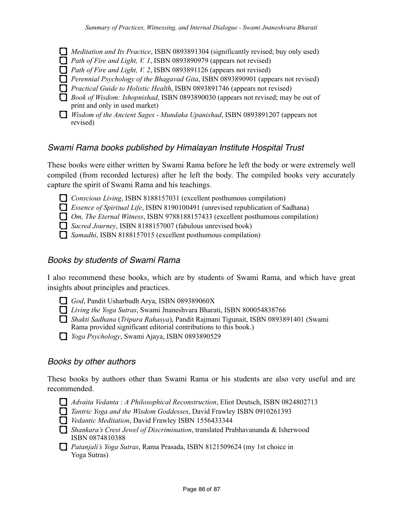- *Meditation and Its Practice*, ISBN 0893891304 (significantly revised; buy only used)
- *Path of Fire and Light, V. 1*, ISBN 0893890979 (appears not revised)
- *Path of Fire and Light, V. 2*, ISBN 0893891126 (appears not revised)
- *Perennial Psychology of the Bhagavad Gita*, ISBN 0893890901 (appears not revised)
- *Practical Guide to Holistic Health*, ISBN 0893891746 (appears not revised)
- *Book of Wisdom: Ishopnishad*, ISBN 0893890030 (appears not revised; may be out of print and only in used market)
- *Wisdom of the Ancient Sages Mundaka Upanishad*, ISBN 0893891207 (appears not revised)

#### *Swami Rama books published by Himalayan Institute Hospital Trust*

These books were either written by Swami Rama before he left the body or were extremely well compiled (from recorded lectures) after he left the body. The compiled books very accurately capture the spirit of Swami Rama and his teachings.

- *Conscious Living*, ISBN 8188157031 (excellent posthumous compilation)
- *Essence of Spiritual Life*, ISBN 8190100491 (unrevised republication of Sadhana)
- *Om, The Eternal Witness*, ISBN 9788188157433 (excellent posthumous compilation)
- *Sacred Journey*, ISBN 8188157007 (fabulous unrevised book)
- *Samadhi*, ISBN 8188157015 (excellent posthumous compilation)

#### *Books by students of Swami Rama*

I also recommend these books, which are by students of Swami Rama, and which have great insights about principles and practices.

- God, Pandit Usharbudh Arya, ISBN 089389060X
- *Living the Yoga Sutras*, Swami Jnaneshvara Bharati, ISBN 800054838766
- *Shakti Sadhana* (*Tripura Rahasya*), Pandit Rajmani Tigunait, ISBN 0893891401 (Swami Rama provided significant editorial contributions to this book.)
- *Yoga Psychology*, Swami Ajaya, ISBN 0893890529

#### *Books by other authors*

These books by authors other than Swami Rama or his students are also very useful and are recommended.

- *Advaita Vedanta : A Philosophical Reconstruction*, Eliot Deutsch, ISBN 0824802713
- *Tantric Yoga and the Wisdom Goddesses*, David Frawley ISBN 0910261393
- *Vedantic Meditation*, David Frawley ISBN 1556433344
- *Shankara's Crest Jewel of Discrimination*, translated Prabhavananda & Isherwood ISBN 0874810388
- *Patanjali's Yoga Sutras*, Rama Prasada, ISBN 8121509624 (my 1st choice in Yoga Sutras)